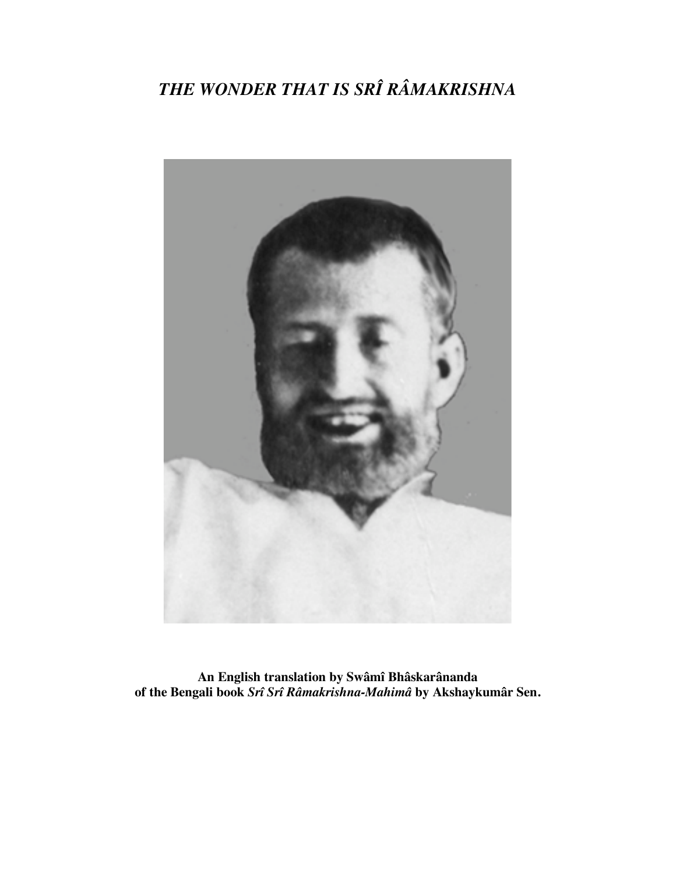# *THE WONDER THAT IS SRÎ RÂMAKRISHNA*



**An English translation by Swâmî Bhâskarânanda of the Bengali book** *Srî Srî Râmakrishna-Mahimâ* **by Akshaykumâr Sen.**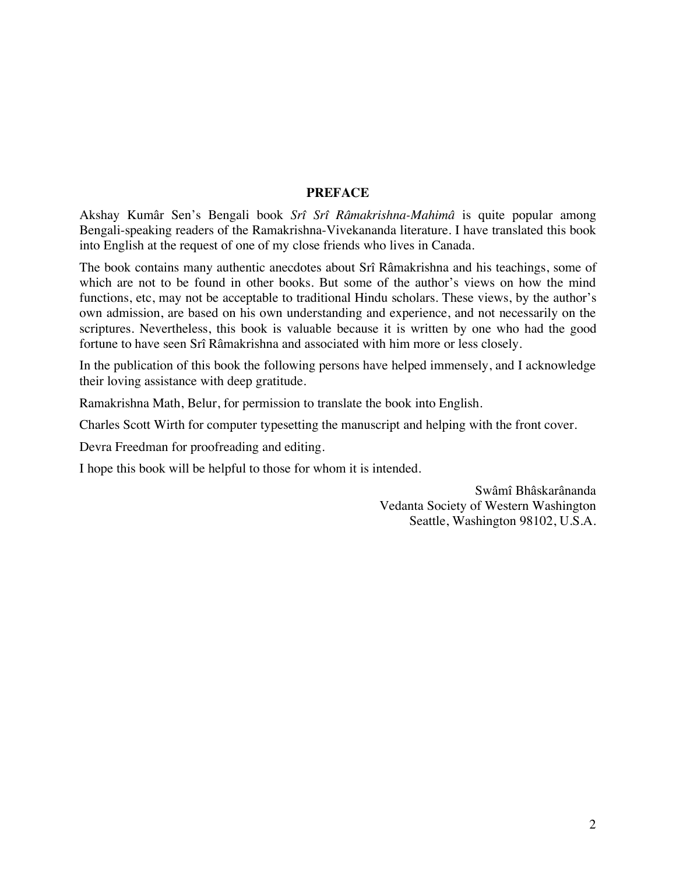#### **PREFACE**

Akshay Kumâr Sen's Bengali book *Srî Srî Râmakrishna-Mahimâ* is quite popular among Bengali-speaking readers of the Ramakrishna-Vivekananda literature. I have translated this book into English at the request of one of my close friends who lives in Canada.

The book contains many authentic anecdotes about Srî Râmakrishna and his teachings, some of which are not to be found in other books. But some of the author's views on how the mind functions, etc, may not be acceptable to traditional Hindu scholars. These views, by the author's own admission, are based on his own understanding and experience, and not necessarily on the scriptures. Nevertheless, this book is valuable because it is written by one who had the good fortune to have seen Srî Râmakrishna and associated with him more or less closely.

In the publication of this book the following persons have helped immensely, and I acknowledge their loving assistance with deep gratitude.

Ramakrishna Math, Belur, for permission to translate the book into English.

Charles Scott Wirth for computer typesetting the manuscript and helping with the front cover.

Devra Freedman for proofreading and editing.

I hope this book will be helpful to those for whom it is intended.

Swâmî Bhâskarânanda Vedanta Society of Western Washington Seattle, Washington 98102, U.S.A.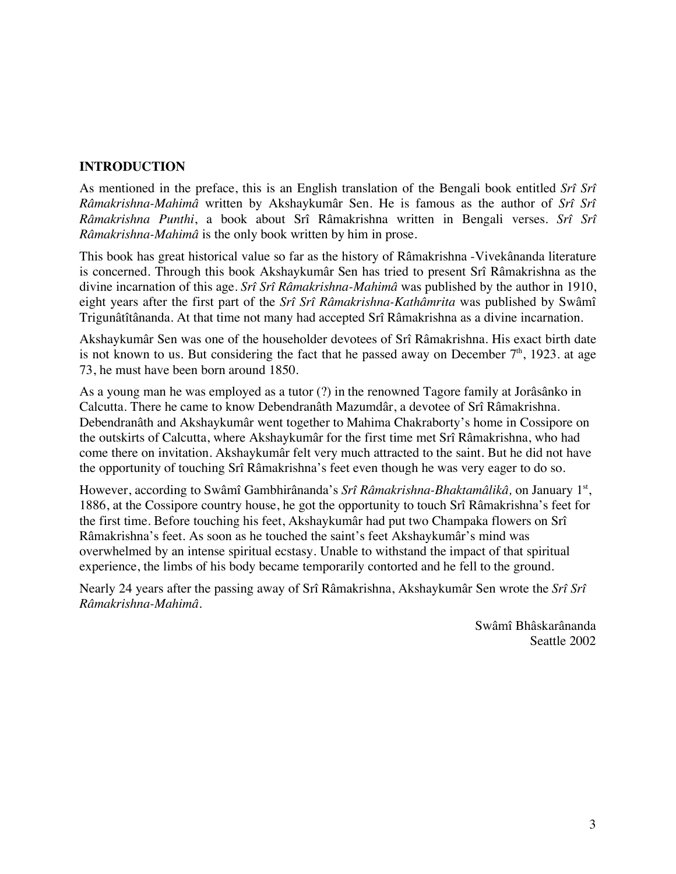## **INTRODUCTION**

As mentioned in the preface, this is an English translation of the Bengali book entitled *Srî Srî Râmakrishna-Mahimâ* written by Akshaykumâr Sen. He is famous as the author of *Srî Srî Râmakrishna Punthi*, a book about Srî Râmakrishna written in Bengali verses. *Srî Srî Râmakrishna-Mahimâ* is the only book written by him in prose.

This book has great historical value so far as the history of Râmakrishna -Vivekânanda literature is concerned. Through this book Akshaykumâr Sen has tried to present Srî Râmakrishna as the divine incarnation of this age. *Srî Srî Râmakrishna-Mahimâ* was published by the author in 1910, eight years after the first part of the *Srî Srî Râmakrishna-Kathâmrita* was published by Swâmî Trigunâtîtânanda. At that time not many had accepted Srî Râmakrishna as a divine incarnation.

Akshaykumâr Sen was one of the householder devotees of Srî Râmakrishna. His exact birth date is not known to us. But considering the fact that he passed away on December  $7<sup>th</sup>$ , 1923. at age 73, he must have been born around 1850.

As a young man he was employed as a tutor (?) in the renowned Tagore family at Jorâsânko in Calcutta. There he came to know Debendranâth Mazumdâr, a devotee of Srî Râmakrishna. Debendranâth and Akshaykumâr went together to Mahima Chakraborty's home in Cossipore on the outskirts of Calcutta, where Akshaykumâr for the first time met Srî Râmakrishna, who had come there on invitation. Akshaykumâr felt very much attracted to the saint. But he did not have the opportunity of touching Srî Râmakrishna's feet even though he was very eager to do so.

However, according to Swâmî Gambhirânanda's Srî Râmakrishna-Bhaktamâlikâ, on January 1<sup>st</sup>, 1886, at the Cossipore country house, he got the opportunity to touch Srî Râmakrishna's feet for the first time. Before touching his feet, Akshaykumâr had put two Champaka flowers on Srî Râmakrishna's feet. As soon as he touched the saint's feet Akshaykumâr's mind was overwhelmed by an intense spiritual ecstasy. Unable to withstand the impact of that spiritual experience, the limbs of his body became temporarily contorted and he fell to the ground.

Nearly 24 years after the passing away of Srî Râmakrishna, Akshaykumâr Sen wrote the *Srî Srî Râmakrishna-Mahimâ.*

> Swâmî Bhâskarânanda Seattle 2002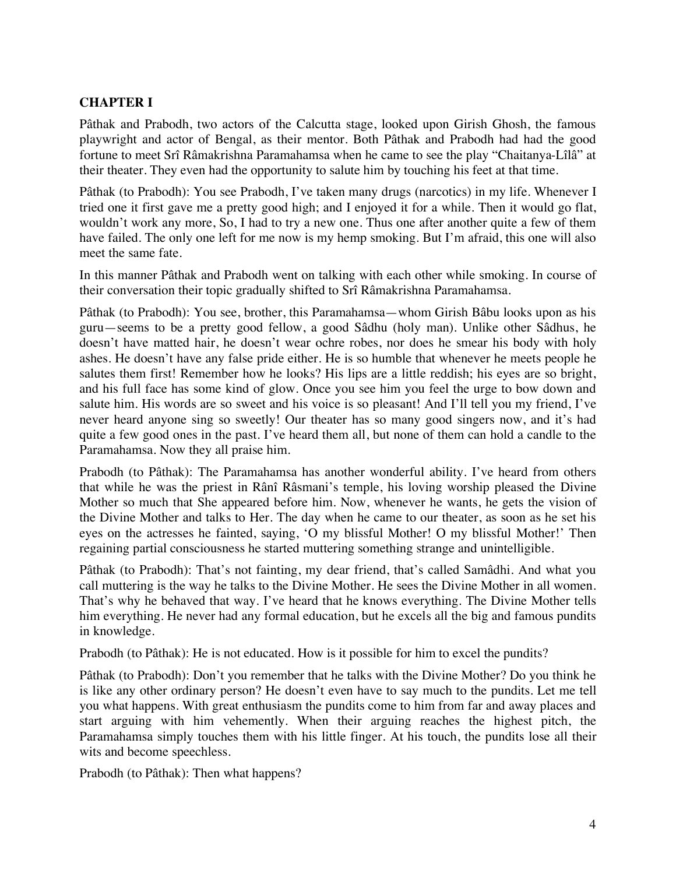## **CHAPTER I**

Pâthak and Prabodh, two actors of the Calcutta stage, looked upon Girish Ghosh, the famous playwright and actor of Bengal, as their mentor. Both Pâthak and Prabodh had had the good fortune to meet Srî Râmakrishna Paramahamsa when he came to see the play "Chaitanya-Lîlâ" at their theater. They even had the opportunity to salute him by touching his feet at that time.

Pâthak (to Prabodh): You see Prabodh, I've taken many drugs (narcotics) in my life. Whenever I tried one it first gave me a pretty good high; and I enjoyed it for a while. Then it would go flat, wouldn't work any more, So, I had to try a new one. Thus one after another quite a few of them have failed. The only one left for me now is my hemp smoking. But I'm afraid, this one will also meet the same fate.

In this manner Pâthak and Prabodh went on talking with each other while smoking. In course of their conversation their topic gradually shifted to Srî Râmakrishna Paramahamsa.

Pâthak (to Prabodh): You see, brother, this Paramahamsa—whom Girish Bâbu looks upon as his guru—seems to be a pretty good fellow, a good Sâdhu (holy man). Unlike other Sâdhus, he doesn't have matted hair, he doesn't wear ochre robes, nor does he smear his body with holy ashes. He doesn't have any false pride either. He is so humble that whenever he meets people he salutes them first! Remember how he looks? His lips are a little reddish; his eyes are so bright, and his full face has some kind of glow. Once you see him you feel the urge to bow down and salute him. His words are so sweet and his voice is so pleasant! And I'll tell you my friend, I've never heard anyone sing so sweetly! Our theater has so many good singers now, and it's had quite a few good ones in the past. I've heard them all, but none of them can hold a candle to the Paramahamsa. Now they all praise him.

Prabodh (to Pâthak): The Paramahamsa has another wonderful ability. I've heard from others that while he was the priest in Rânî Râsmani's temple, his loving worship pleased the Divine Mother so much that She appeared before him. Now, whenever he wants, he gets the vision of the Divine Mother and talks to Her. The day when he came to our theater, as soon as he set his eyes on the actresses he fainted, saying, 'O my blissful Mother! O my blissful Mother!' Then regaining partial consciousness he started muttering something strange and unintelligible.

Pâthak (to Prabodh): That's not fainting, my dear friend, that's called Samâdhi. And what you call muttering is the way he talks to the Divine Mother. He sees the Divine Mother in all women. That's why he behaved that way. I've heard that he knows everything. The Divine Mother tells him everything. He never had any formal education, but he excels all the big and famous pundits in knowledge.

Prabodh (to Pâthak): He is not educated. How is it possible for him to excel the pundits?

Pâthak (to Prabodh): Don't you remember that he talks with the Divine Mother? Do you think he is like any other ordinary person? He doesn't even have to say much to the pundits. Let me tell you what happens. With great enthusiasm the pundits come to him from far and away places and start arguing with him vehemently. When their arguing reaches the highest pitch, the Paramahamsa simply touches them with his little finger. At his touch, the pundits lose all their wits and become speechless.

Prabodh (to Pâthak): Then what happens?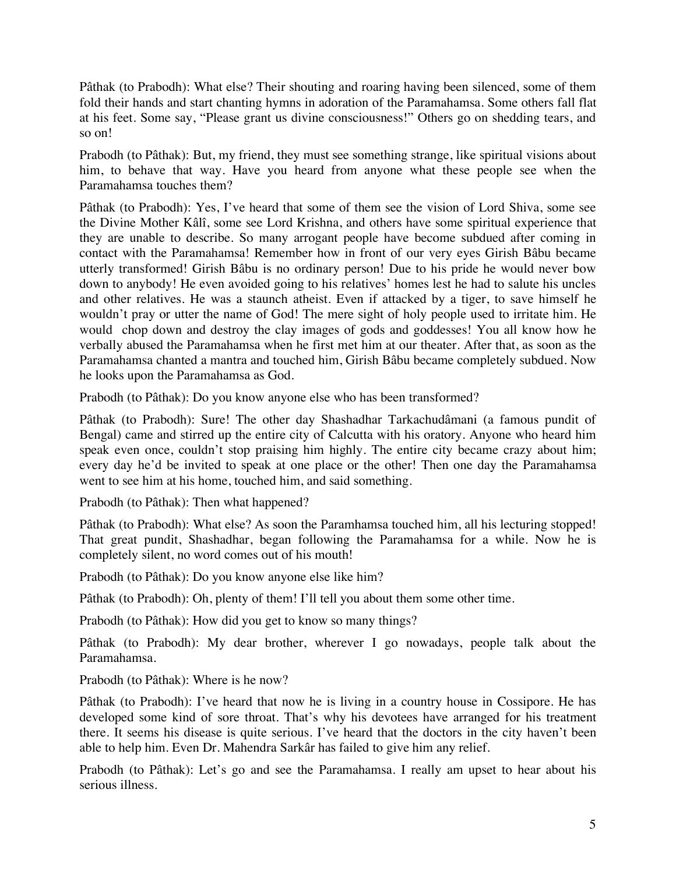Pâthak (to Prabodh): What else? Their shouting and roaring having been silenced, some of them fold their hands and start chanting hymns in adoration of the Paramahamsa. Some others fall flat at his feet. Some say, "Please grant us divine consciousness!" Others go on shedding tears, and so on!

Prabodh (to Pâthak): But, my friend, they must see something strange, like spiritual visions about him, to behave that way. Have you heard from anyone what these people see when the Paramahamsa touches them?

Pâthak (to Prabodh): Yes, I've heard that some of them see the vision of Lord Shiva, some see the Divine Mother Kâlî, some see Lord Krishna, and others have some spiritual experience that they are unable to describe. So many arrogant people have become subdued after coming in contact with the Paramahamsa! Remember how in front of our very eyes Girish Bâbu became utterly transformed! Girish Bâbu is no ordinary person! Due to his pride he would never bow down to anybody! He even avoided going to his relatives' homes lest he had to salute his uncles and other relatives. He was a staunch atheist. Even if attacked by a tiger, to save himself he wouldn't pray or utter the name of God! The mere sight of holy people used to irritate him. He would chop down and destroy the clay images of gods and goddesses! You all know how he verbally abused the Paramahamsa when he first met him at our theater. After that, as soon as the Paramahamsa chanted a mantra and touched him, Girish Bâbu became completely subdued. Now he looks upon the Paramahamsa as God.

Prabodh (to Pâthak): Do you know anyone else who has been transformed?

Pâthak (to Prabodh): Sure! The other day Shashadhar Tarkachudâmani (a famous pundit of Bengal) came and stirred up the entire city of Calcutta with his oratory. Anyone who heard him speak even once, couldn't stop praising him highly. The entire city became crazy about him; every day he'd be invited to speak at one place or the other! Then one day the Paramahamsa went to see him at his home, touched him, and said something.

Prabodh (to Pâthak): Then what happened?

Pâthak (to Prabodh): What else? As soon the Paramhamsa touched him, all his lecturing stopped! That great pundit, Shashadhar, began following the Paramahamsa for a while. Now he is completely silent, no word comes out of his mouth!

Prabodh (to Pâthak): Do you know anyone else like him?

Pâthak (to Prabodh): Oh, plenty of them! I'll tell you about them some other time.

Prabodh (to Pâthak): How did you get to know so many things?

Pâthak (to Prabodh): My dear brother, wherever I go nowadays, people talk about the Paramahamsa.

Prabodh (to Pâthak): Where is he now?

Pâthak (to Prabodh): I've heard that now he is living in a country house in Cossipore. He has developed some kind of sore throat. That's why his devotees have arranged for his treatment there. It seems his disease is quite serious. I've heard that the doctors in the city haven't been able to help him. Even Dr. Mahendra Sarkâr has failed to give him any relief.

Prabodh (to Pâthak): Let's go and see the Paramahamsa. I really am upset to hear about his serious illness.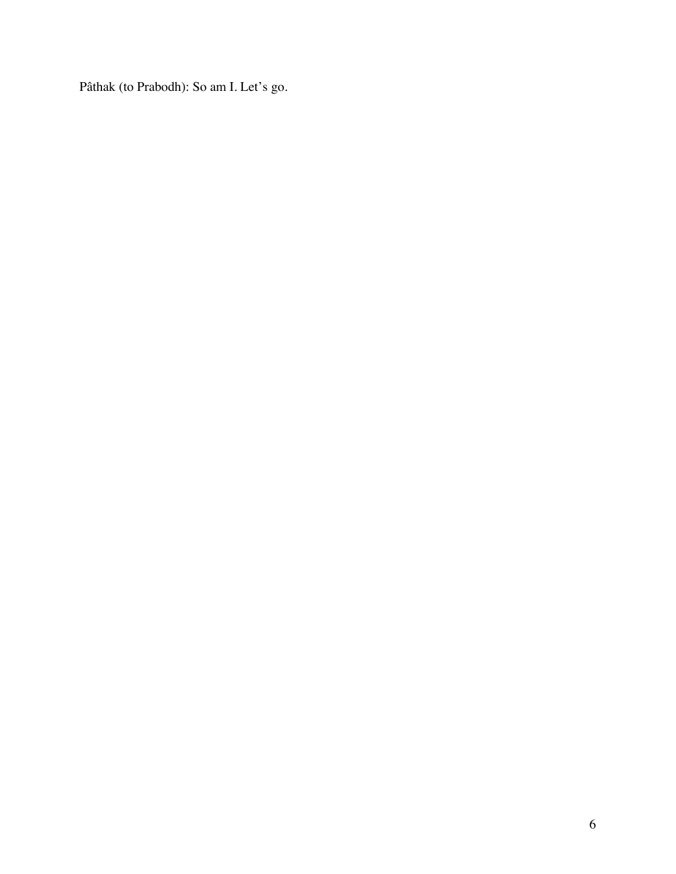Pâthak (to Prabodh): So am I. Let's go.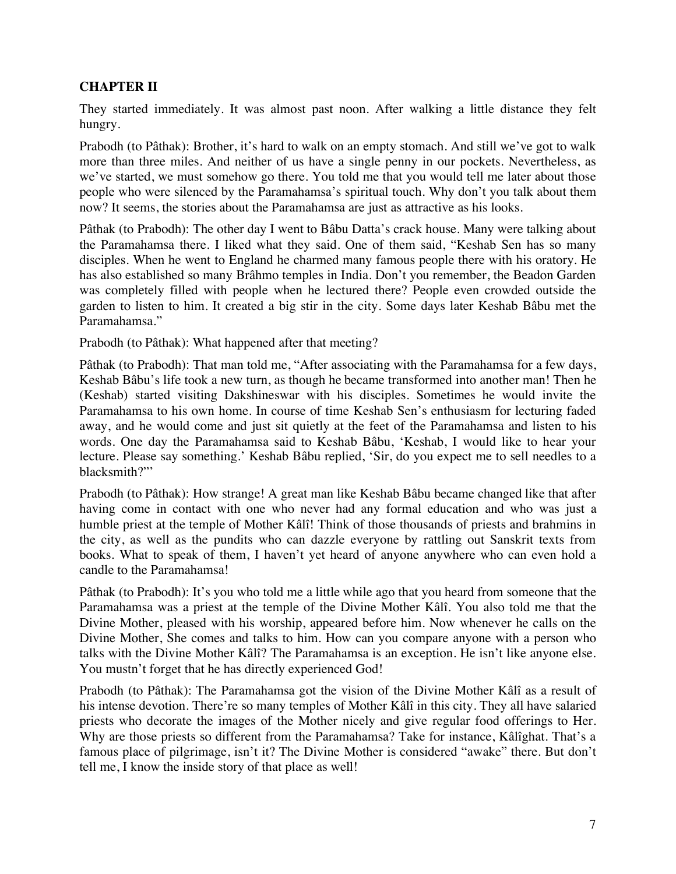## **CHAPTER II**

They started immediately. It was almost past noon. After walking a little distance they felt hungry.

Prabodh (to Pâthak): Brother, it's hard to walk on an empty stomach. And still we've got to walk more than three miles. And neither of us have a single penny in our pockets. Nevertheless, as we've started, we must somehow go there. You told me that you would tell me later about those people who were silenced by the Paramahamsa's spiritual touch. Why don't you talk about them now? It seems, the stories about the Paramahamsa are just as attractive as his looks.

Pâthak (to Prabodh): The other day I went to Bâbu Datta's crack house. Many were talking about the Paramahamsa there. I liked what they said. One of them said, "Keshab Sen has so many disciples. When he went to England he charmed many famous people there with his oratory. He has also established so many Brâhmo temples in India. Don't you remember, the Beadon Garden was completely filled with people when he lectured there? People even crowded outside the garden to listen to him. It created a big stir in the city. Some days later Keshab Bâbu met the Paramahamsa."

Prabodh (to Pâthak): What happened after that meeting?

Pâthak (to Prabodh): That man told me, "After associating with the Paramahamsa for a few days, Keshab Bâbu's life took a new turn, as though he became transformed into another man! Then he (Keshab) started visiting Dakshineswar with his disciples. Sometimes he would invite the Paramahamsa to his own home. In course of time Keshab Sen's enthusiasm for lecturing faded away, and he would come and just sit quietly at the feet of the Paramahamsa and listen to his words. One day the Paramahamsa said to Keshab Bâbu, 'Keshab, I would like to hear your lecture. Please say something.' Keshab Bâbu replied, 'Sir, do you expect me to sell needles to a blacksmith?"'

Prabodh (to Pâthak): How strange! A great man like Keshab Bâbu became changed like that after having come in contact with one who never had any formal education and who was just a humble priest at the temple of Mother Kâlî! Think of those thousands of priests and brahmins in the city, as well as the pundits who can dazzle everyone by rattling out Sanskrit texts from books. What to speak of them, I haven't yet heard of anyone anywhere who can even hold a candle to the Paramahamsa!

Pâthak (to Prabodh): It's you who told me a little while ago that you heard from someone that the Paramahamsa was a priest at the temple of the Divine Mother Kâlî. You also told me that the Divine Mother, pleased with his worship, appeared before him. Now whenever he calls on the Divine Mother, She comes and talks to him. How can you compare anyone with a person who talks with the Divine Mother Kâlî? The Paramahamsa is an exception. He isn't like anyone else. You mustn't forget that he has directly experienced God!

Prabodh (to Pâthak): The Paramahamsa got the vision of the Divine Mother Kâlî as a result of his intense devotion. There're so many temples of Mother Kâlî in this city. They all have salaried priests who decorate the images of the Mother nicely and give regular food offerings to Her. Why are those priests so different from the Paramahamsa? Take for instance, Kâlîghat. That's a famous place of pilgrimage, isn't it? The Divine Mother is considered "awake" there. But don't tell me, I know the inside story of that place as well!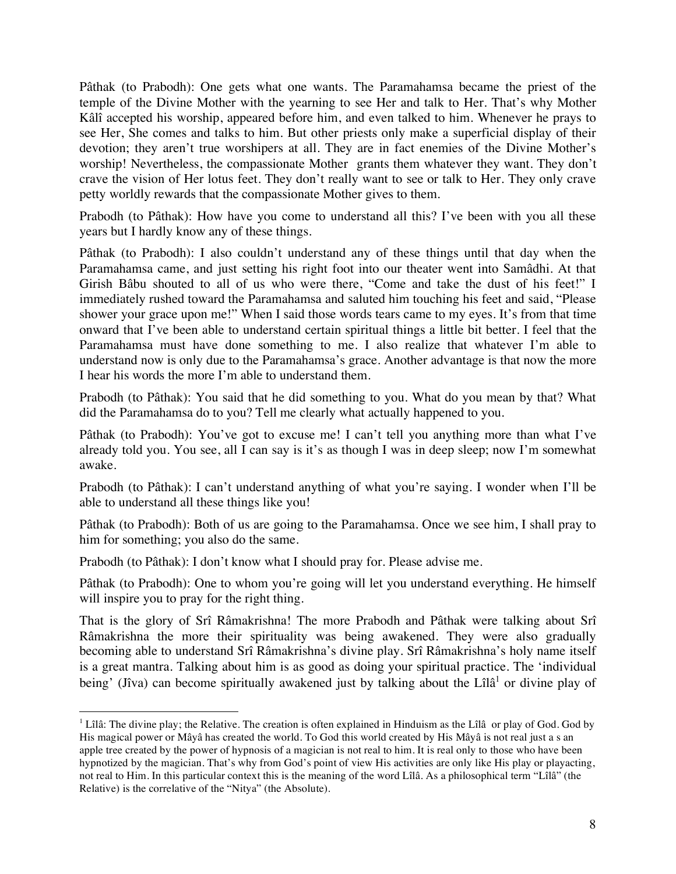Pâthak (to Prabodh): One gets what one wants. The Paramahamsa became the priest of the temple of the Divine Mother with the yearning to see Her and talk to Her. That's why Mother Kâlî accepted his worship, appeared before him, and even talked to him. Whenever he prays to see Her, She comes and talks to him. But other priests only make a superficial display of their devotion; they aren't true worshipers at all. They are in fact enemies of the Divine Mother's worship! Nevertheless, the compassionate Mother grants them whatever they want. They don't crave the vision of Her lotus feet. They don't really want to see or talk to Her. They only crave petty worldly rewards that the compassionate Mother gives to them.

Prabodh (to Pâthak): How have you come to understand all this? I've been with you all these years but I hardly know any of these things.

Pâthak (to Prabodh): I also couldn't understand any of these things until that day when the Paramahamsa came, and just setting his right foot into our theater went into Samâdhi. At that Girish Bâbu shouted to all of us who were there, "Come and take the dust of his feet!" I immediately rushed toward the Paramahamsa and saluted him touching his feet and said, "Please shower your grace upon me!" When I said those words tears came to my eyes. It's from that time onward that I've been able to understand certain spiritual things a little bit better. I feel that the Paramahamsa must have done something to me. I also realize that whatever I'm able to understand now is only due to the Paramahamsa's grace. Another advantage is that now the more I hear his words the more I'm able to understand them.

Prabodh (to Pâthak): You said that he did something to you. What do you mean by that? What did the Paramahamsa do to you? Tell me clearly what actually happened to you.

Pâthak (to Prabodh): You've got to excuse me! I can't tell you anything more than what I've already told you. You see, all I can say is it's as though I was in deep sleep; now I'm somewhat awake.

Prabodh (to Pâthak): I can't understand anything of what you're saying. I wonder when I'll be able to understand all these things like you!

Pâthak (to Prabodh): Both of us are going to the Paramahamsa. Once we see him, I shall pray to him for something; you also do the same.

Prabodh (to Pâthak): I don't know what I should pray for. Please advise me.

Pâthak (to Prabodh): One to whom you're going will let you understand everything. He himself will inspire you to pray for the right thing.

That is the glory of Srî Râmakrishna! The more Prabodh and Pâthak were talking about Srî Râmakrishna the more their spirituality was being awakened. They were also gradually becoming able to understand Srî Râmakrishna's divine play. Srî Râmakrishna's holy name itself is a great mantra. Talking about him is as good as doing your spiritual practice. The 'individual being' (Jîva) can become spiritually awakened just by talking about the Lîlâ<sup>1</sup> or divine play of

<sup>|&</sup>lt;br>|<br>1  $^1$  Lîlâ: The divine play; the Relative. The creation is often explained in Hinduism as the Lîlâ or play of God. God by His magical power or Mâyâ has created the world. To God this world created by His Mâyâ is not real just a s an apple tree created by the power of hypnosis of a magician is not real to him. It is real only to those who have been hypnotized by the magician. That's why from God's point of view His activities are only like His play or playacting, not real to Him. In this particular context this is the meaning of the word Lîlâ. As a philosophical term "Lîlâ" (the Relative) is the correlative of the "Nitya" (the Absolute).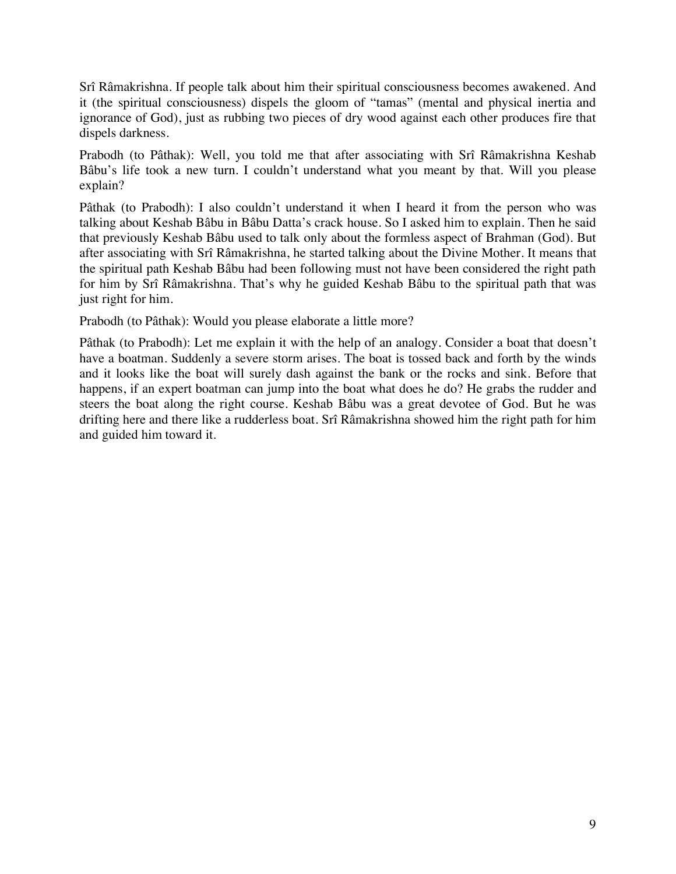Srî Râmakrishna. If people talk about him their spiritual consciousness becomes awakened. And it (the spiritual consciousness) dispels the gloom of "tamas" (mental and physical inertia and ignorance of God), just as rubbing two pieces of dry wood against each other produces fire that dispels darkness.

Prabodh (to Pâthak): Well, you told me that after associating with Srî Râmakrishna Keshab Bâbu's life took a new turn. I couldn't understand what you meant by that. Will you please explain?

Pâthak (to Prabodh): I also couldn't understand it when I heard it from the person who was talking about Keshab Bâbu in Bâbu Datta's crack house. So I asked him to explain. Then he said that previously Keshab Bâbu used to talk only about the formless aspect of Brahman (God). But after associating with Srî Râmakrishna, he started talking about the Divine Mother. It means that the spiritual path Keshab Bâbu had been following must not have been considered the right path for him by Srî Râmakrishna. That's why he guided Keshab Bâbu to the spiritual path that was just right for him.

Prabodh (to Pâthak): Would you please elaborate a little more?

Pâthak (to Prabodh): Let me explain it with the help of an analogy. Consider a boat that doesn't have a boatman. Suddenly a severe storm arises. The boat is tossed back and forth by the winds and it looks like the boat will surely dash against the bank or the rocks and sink. Before that happens, if an expert boatman can jump into the boat what does he do? He grabs the rudder and steers the boat along the right course. Keshab Bâbu was a great devotee of God. But he was drifting here and there like a rudderless boat. Srî Râmakrishna showed him the right path for him and guided him toward it.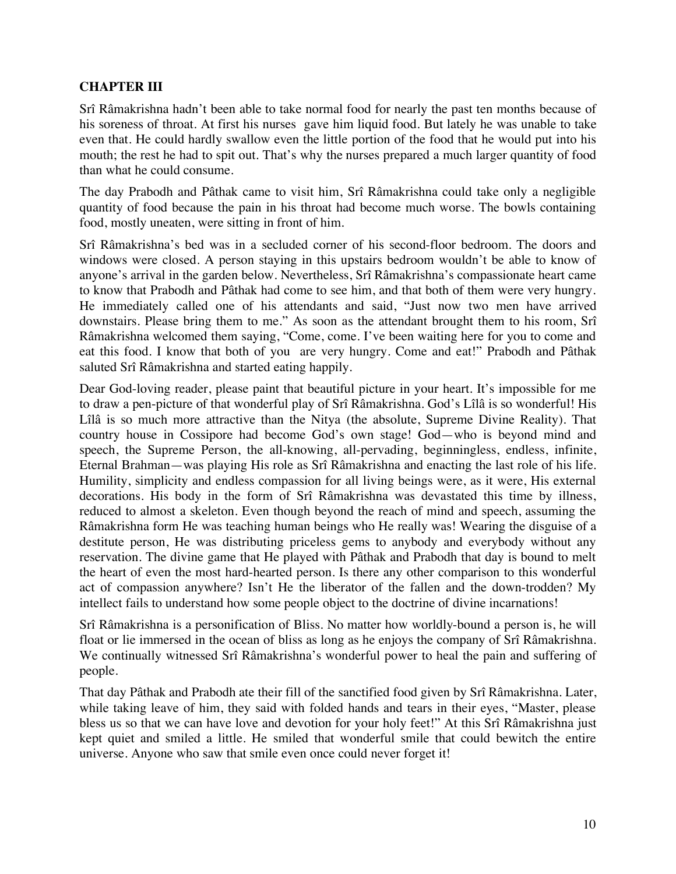### **CHAPTER III**

Srî Râmakrishna hadn't been able to take normal food for nearly the past ten months because of his soreness of throat. At first his nurses gave him liquid food. But lately he was unable to take even that. He could hardly swallow even the little portion of the food that he would put into his mouth; the rest he had to spit out. That's why the nurses prepared a much larger quantity of food than what he could consume.

The day Prabodh and Pâthak came to visit him, Srî Râmakrishna could take only a negligible quantity of food because the pain in his throat had become much worse. The bowls containing food, mostly uneaten, were sitting in front of him.

Srî Râmakrishna's bed was in a secluded corner of his second-floor bedroom. The doors and windows were closed. A person staying in this upstairs bedroom wouldn't be able to know of anyone's arrival in the garden below. Nevertheless, Srî Râmakrishna's compassionate heart came to know that Prabodh and Pâthak had come to see him, and that both of them were very hungry. He immediately called one of his attendants and said, "Just now two men have arrived downstairs. Please bring them to me." As soon as the attendant brought them to his room, Srî Râmakrishna welcomed them saying, "Come, come. I've been waiting here for you to come and eat this food. I know that both of you are very hungry. Come and eat!" Prabodh and Pâthak saluted Srî Râmakrishna and started eating happily.

Dear God-loving reader, please paint that beautiful picture in your heart. It's impossible for me to draw a pen-picture of that wonderful play of Srî Râmakrishna. God's Lîlâ is so wonderful! His Lîlâ is so much more attractive than the Nitya (the absolute, Supreme Divine Reality). That country house in Cossipore had become God's own stage! God—who is beyond mind and speech, the Supreme Person, the all-knowing, all-pervading, beginningless, endless, infinite, Eternal Brahman—was playing His role as Srî Râmakrishna and enacting the last role of his life. Humility, simplicity and endless compassion for all living beings were, as it were, His external decorations. His body in the form of Srî Râmakrishna was devastated this time by illness, reduced to almost a skeleton. Even though beyond the reach of mind and speech, assuming the Râmakrishna form He was teaching human beings who He really was! Wearing the disguise of a destitute person, He was distributing priceless gems to anybody and everybody without any reservation. The divine game that He played with Pâthak and Prabodh that day is bound to melt the heart of even the most hard-hearted person. Is there any other comparison to this wonderful act of compassion anywhere? Isn't He the liberator of the fallen and the down-trodden? My intellect fails to understand how some people object to the doctrine of divine incarnations!

Srî Râmakrishna is a personification of Bliss. No matter how worldly-bound a person is, he will float or lie immersed in the ocean of bliss as long as he enjoys the company of Srî Râmakrishna. We continually witnessed Srî Râmakrishna's wonderful power to heal the pain and suffering of people.

That day Pâthak and Prabodh ate their fill of the sanctified food given by Srî Râmakrishna. Later, while taking leave of him, they said with folded hands and tears in their eyes, "Master, please bless us so that we can have love and devotion for your holy feet!" At this Srî Râmakrishna just kept quiet and smiled a little. He smiled that wonderful smile that could bewitch the entire universe. Anyone who saw that smile even once could never forget it!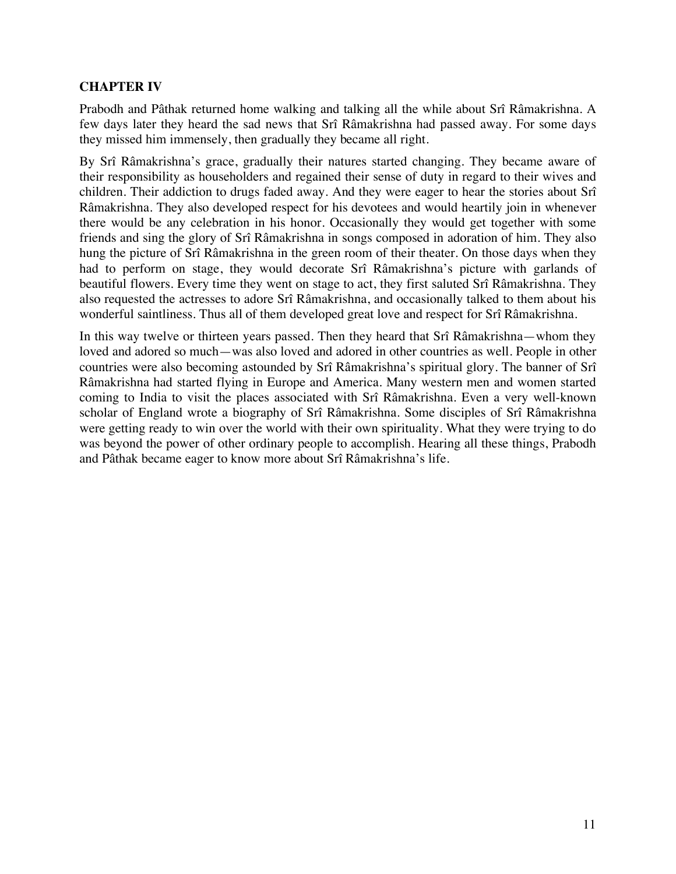## **CHAPTER IV**

Prabodh and Pâthak returned home walking and talking all the while about Srî Râmakrishna. A few days later they heard the sad news that Srî Râmakrishna had passed away. For some days they missed him immensely, then gradually they became all right.

By Srî Râmakrishna's grace, gradually their natures started changing. They became aware of their responsibility as householders and regained their sense of duty in regard to their wives and children. Their addiction to drugs faded away. And they were eager to hear the stories about Srî Râmakrishna. They also developed respect for his devotees and would heartily join in whenever there would be any celebration in his honor. Occasionally they would get together with some friends and sing the glory of Srî Râmakrishna in songs composed in adoration of him. They also hung the picture of Srî Râmakrishna in the green room of their theater. On those days when they had to perform on stage, they would decorate Srî Râmakrishna's picture with garlands of beautiful flowers. Every time they went on stage to act, they first saluted Srî Râmakrishna. They also requested the actresses to adore Srî Râmakrishna, and occasionally talked to them about his wonderful saintliness. Thus all of them developed great love and respect for Srî Râmakrishna.

In this way twelve or thirteen years passed. Then they heard that Srî Râmakrishna—whom they loved and adored so much—was also loved and adored in other countries as well. People in other countries were also becoming astounded by Srî Râmakrishna's spiritual glory. The banner of Srî Râmakrishna had started flying in Europe and America. Many western men and women started coming to India to visit the places associated with Srî Râmakrishna. Even a very well-known scholar of England wrote a biography of Srî Râmakrishna. Some disciples of Srî Râmakrishna were getting ready to win over the world with their own spirituality. What they were trying to do was beyond the power of other ordinary people to accomplish. Hearing all these things, Prabodh and Pâthak became eager to know more about Srî Râmakrishna's life.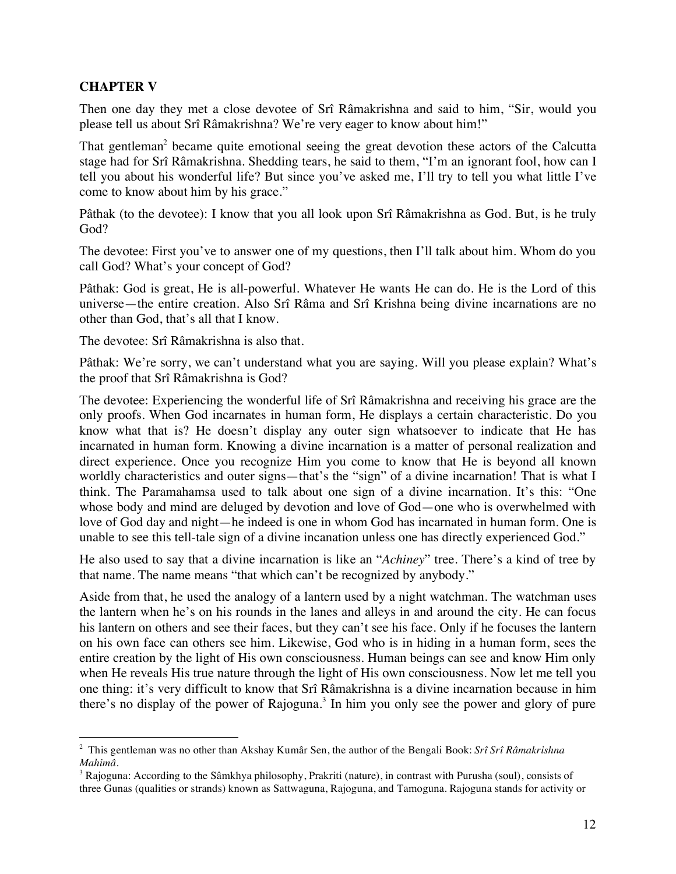### **CHAPTER V**

Then one day they met a close devotee of Srî Râmakrishna and said to him, "Sir, would you please tell us about Srî Râmakrishna? We're very eager to know about him!"

That gentleman<sup>2</sup> became quite emotional seeing the great devotion these actors of the Calcutta stage had for Srî Râmakrishna. Shedding tears, he said to them, "I'm an ignorant fool, how can I tell you about his wonderful life? But since you've asked me, I'll try to tell you what little I've come to know about him by his grace."

Pâthak (to the devotee): I know that you all look upon Srî Râmakrishna as God. But, is he truly God?

The devotee: First you've to answer one of my questions, then I'll talk about him. Whom do you call God? What's your concept of God?

Pâthak: God is great, He is all-powerful. Whatever He wants He can do. He is the Lord of this universe—the entire creation. Also Srî Râma and Srî Krishna being divine incarnations are no other than God, that's all that I know.

The devotee: Srî Râmakrishna is also that.

Pâthak: We're sorry, we can't understand what you are saying. Will you please explain? What's the proof that Srî Râmakrishna is God?

The devotee: Experiencing the wonderful life of Srî Râmakrishna and receiving his grace are the only proofs. When God incarnates in human form, He displays a certain characteristic. Do you know what that is? He doesn't display any outer sign whatsoever to indicate that He has incarnated in human form. Knowing a divine incarnation is a matter of personal realization and direct experience. Once you recognize Him you come to know that He is beyond all known worldly characteristics and outer signs—that's the "sign" of a divine incarnation! That is what I think. The Paramahamsa used to talk about one sign of a divine incarnation. It's this: "One whose body and mind are deluged by devotion and love of God—one who is overwhelmed with love of God day and night—he indeed is one in whom God has incarnated in human form. One is unable to see this tell-tale sign of a divine incanation unless one has directly experienced God."

He also used to say that a divine incarnation is like an "*Achiney*" tree. There's a kind of tree by that name. The name means "that which can't be recognized by anybody."

Aside from that, he used the analogy of a lantern used by a night watchman. The watchman uses the lantern when he's on his rounds in the lanes and alleys in and around the city. He can focus his lantern on others and see their faces, but they can't see his face. Only if he focuses the lantern on his own face can others see him. Likewise, God who is in hiding in a human form, sees the entire creation by the light of His own consciousness. Human beings can see and know Him only when He reveals His true nature through the light of His own consciousness. Now let me tell you one thing: it's very difficult to know that Srî Râmakrishna is a divine incarnation because in him there's no display of the power of Rajoguna.<sup>3</sup> In him you only see the power and glory of pure

 $\frac{1}{2}$  This gentleman was no other than Akshay Kumâr Sen, the author of the Bengali Book: *Srî Srî Râmakrishna Mahimâ.* 

<sup>&</sup>lt;sup>3</sup> Rajoguna: According to the Sâmkhya philosophy, Prakriti (nature), in contrast with Purusha (soul), consists of three Gunas (qualities or strands) known as Sattwaguna, Rajoguna, and Tamoguna. Rajoguna stands for activity or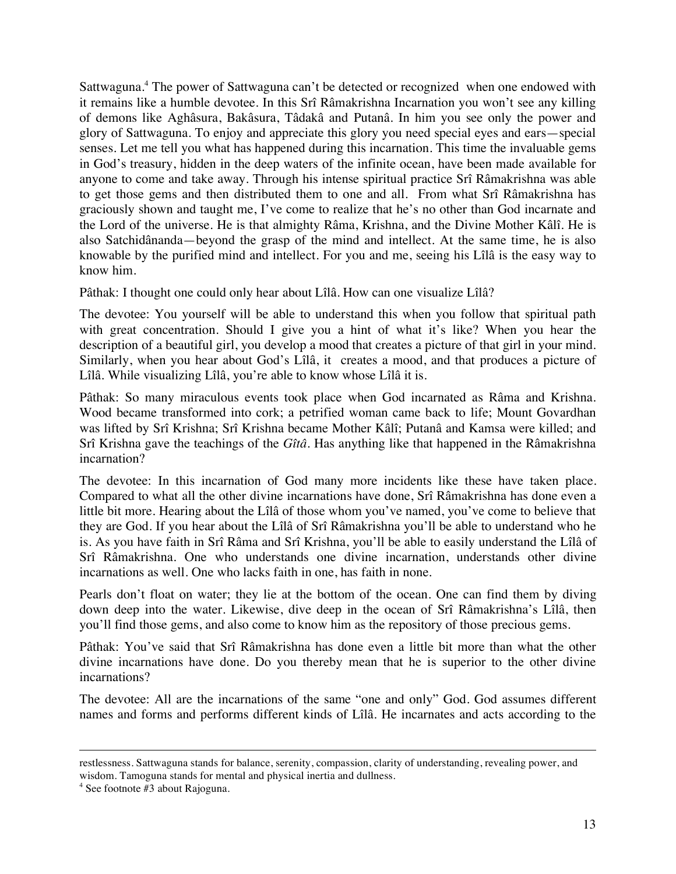Sattwaguna.<sup>4</sup> The power of Sattwaguna can't be detected or recognized when one endowed with it remains like a humble devotee. In this Srî Râmakrishna Incarnation you won't see any killing of demons like Aghâsura, Bakâsura, Tâdakâ and Putanâ. In him you see only the power and glory of Sattwaguna. To enjoy and appreciate this glory you need special eyes and ears—special senses. Let me tell you what has happened during this incarnation. This time the invaluable gems in God's treasury, hidden in the deep waters of the infinite ocean, have been made available for anyone to come and take away. Through his intense spiritual practice Srî Râmakrishna was able to get those gems and then distributed them to one and all. From what Srî Râmakrishna has graciously shown and taught me, I've come to realize that he's no other than God incarnate and the Lord of the universe. He is that almighty Râma, Krishna, and the Divine Mother Kâlî. He is also Satchidânanda—beyond the grasp of the mind and intellect. At the same time, he is also knowable by the purified mind and intellect. For you and me, seeing his Lîlâ is the easy way to know him.

Pâthak: I thought one could only hear about Lîlâ. How can one visualize Lîlâ?

The devotee: You yourself will be able to understand this when you follow that spiritual path with great concentration. Should I give you a hint of what it's like? When you hear the description of a beautiful girl, you develop a mood that creates a picture of that girl in your mind. Similarly, when you hear about God's Lîlâ, it creates a mood, and that produces a picture of Lîlâ. While visualizing Lîlâ, you're able to know whose Lîlâ it is.

Pâthak: So many miraculous events took place when God incarnated as Râma and Krishna. Wood became transformed into cork; a petrified woman came back to life; Mount Govardhan was lifted by Srî Krishna; Srî Krishna became Mother Kâlî; Putanâ and Kamsa were killed; and Srî Krishna gave the teachings of the *Gîtâ*. Has anything like that happened in the Râmakrishna incarnation?

The devotee: In this incarnation of God many more incidents like these have taken place. Compared to what all the other divine incarnations have done, Srî Râmakrishna has done even a little bit more. Hearing about the Lîlâ of those whom you've named, you've come to believe that they are God. If you hear about the Lîlâ of Srî Râmakrishna you'll be able to understand who he is. As you have faith in Srî Râma and Srî Krishna, you'll be able to easily understand the Lîlâ of Srî Râmakrishna. One who understands one divine incarnation, understands other divine incarnations as well. One who lacks faith in one, has faith in none.

Pearls don't float on water; they lie at the bottom of the ocean. One can find them by diving down deep into the water. Likewise, dive deep in the ocean of Srî Râmakrishna's Lîlâ, then you'll find those gems, and also come to know him as the repository of those precious gems.

Pâthak: You've said that Srî Râmakrishna has done even a little bit more than what the other divine incarnations have done. Do you thereby mean that he is superior to the other divine incarnations?

The devotee: All are the incarnations of the same "one and only" God. God assumes different names and forms and performs different kinds of Lîlâ. He incarnates and acts according to the

 $\overline{a}$ 

restlessness. Sattwaguna stands for balance, serenity, compassion, clarity of understanding, revealing power, and wisdom. Tamoguna stands for mental and physical inertia and dullness.

<sup>4</sup> See footnote #3 about Rajoguna.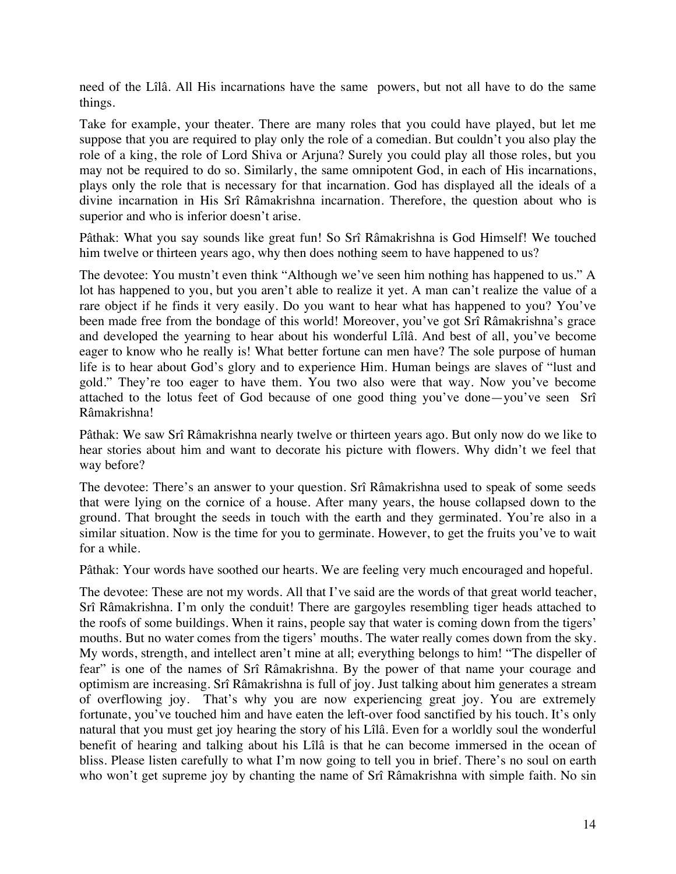need of the Lîlâ. All His incarnations have the same powers, but not all have to do the same things.

Take for example, your theater. There are many roles that you could have played, but let me suppose that you are required to play only the role of a comedian. But couldn't you also play the role of a king, the role of Lord Shiva or Arjuna? Surely you could play all those roles, but you may not be required to do so. Similarly, the same omnipotent God, in each of His incarnations, plays only the role that is necessary for that incarnation. God has displayed all the ideals of a divine incarnation in His Srî Râmakrishna incarnation. Therefore, the question about who is superior and who is inferior doesn't arise.

Pâthak: What you say sounds like great fun! So Srî Râmakrishna is God Himself! We touched him twelve or thirteen years ago, why then does nothing seem to have happened to us?

The devotee: You mustn't even think "Although we've seen him nothing has happened to us." A lot has happened to you, but you aren't able to realize it yet. A man can't realize the value of a rare object if he finds it very easily. Do you want to hear what has happened to you? You've been made free from the bondage of this world! Moreover, you've got Srî Râmakrishna's grace and developed the yearning to hear about his wonderful Lîlâ. And best of all, you've become eager to know who he really is! What better fortune can men have? The sole purpose of human life is to hear about God's glory and to experience Him. Human beings are slaves of "lust and gold." They're too eager to have them. You two also were that way. Now you've become attached to the lotus feet of God because of one good thing you've done—you've seen Srî Râmakrishna!

Pâthak: We saw Srî Râmakrishna nearly twelve or thirteen years ago. But only now do we like to hear stories about him and want to decorate his picture with flowers. Why didn't we feel that way before?

The devotee: There's an answer to your question. Srî Râmakrishna used to speak of some seeds that were lying on the cornice of a house. After many years, the house collapsed down to the ground. That brought the seeds in touch with the earth and they germinated. You're also in a similar situation. Now is the time for you to germinate. However, to get the fruits you've to wait for a while.

Pâthak: Your words have soothed our hearts. We are feeling very much encouraged and hopeful.

The devotee: These are not my words. All that I've said are the words of that great world teacher, Srî Râmakrishna. I'm only the conduit! There are gargoyles resembling tiger heads attached to the roofs of some buildings. When it rains, people say that water is coming down from the tigers' mouths. But no water comes from the tigers' mouths. The water really comes down from the sky. My words, strength, and intellect aren't mine at all; everything belongs to him! "The dispeller of fear" is one of the names of Srî Râmakrishna. By the power of that name your courage and optimism are increasing. Srî Râmakrishna is full of joy. Just talking about him generates a stream of overflowing joy. That's why you are now experiencing great joy. You are extremely fortunate, you've touched him and have eaten the left-over food sanctified by his touch. It's only natural that you must get joy hearing the story of his Lîlâ. Even for a worldly soul the wonderful benefit of hearing and talking about his Lîlâ is that he can become immersed in the ocean of bliss. Please listen carefully to what I'm now going to tell you in brief. There's no soul on earth who won't get supreme joy by chanting the name of Srî Râmakrishna with simple faith. No sin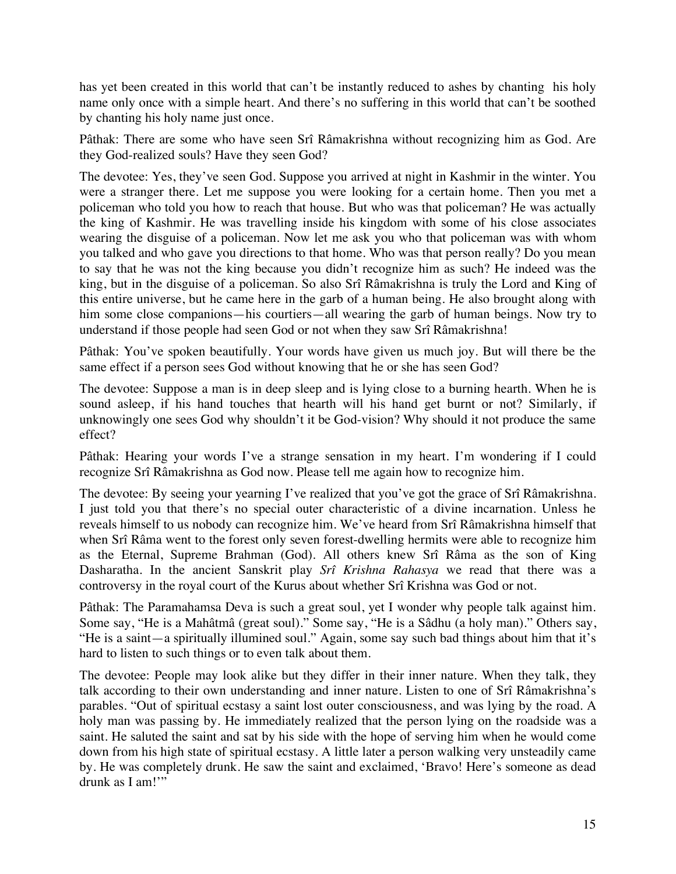has yet been created in this world that can't be instantly reduced to ashes by chanting his holy name only once with a simple heart. And there's no suffering in this world that can't be soothed by chanting his holy name just once.

Pâthak: There are some who have seen Srî Râmakrishna without recognizing him as God. Are they God-realized souls? Have they seen God?

The devotee: Yes, they've seen God. Suppose you arrived at night in Kashmir in the winter. You were a stranger there. Let me suppose you were looking for a certain home. Then you met a policeman who told you how to reach that house. But who was that policeman? He was actually the king of Kashmir. He was travelling inside his kingdom with some of his close associates wearing the disguise of a policeman. Now let me ask you who that policeman was with whom you talked and who gave you directions to that home. Who was that person really? Do you mean to say that he was not the king because you didn't recognize him as such? He indeed was the king, but in the disguise of a policeman. So also Srî Râmakrishna is truly the Lord and King of this entire universe, but he came here in the garb of a human being. He also brought along with him some close companions—his courtiers—all wearing the garb of human beings. Now try to understand if those people had seen God or not when they saw Srî Râmakrishna!

Pâthak: You've spoken beautifully. Your words have given us much joy. But will there be the same effect if a person sees God without knowing that he or she has seen God?

The devotee: Suppose a man is in deep sleep and is lying close to a burning hearth. When he is sound asleep, if his hand touches that hearth will his hand get burnt or not? Similarly, if unknowingly one sees God why shouldn't it be God-vision? Why should it not produce the same effect?

Pâthak: Hearing your words I've a strange sensation in my heart. I'm wondering if I could recognize Srî Râmakrishna as God now. Please tell me again how to recognize him.

The devotee: By seeing your yearning I've realized that you've got the grace of Srî Râmakrishna. I just told you that there's no special outer characteristic of a divine incarnation. Unless he reveals himself to us nobody can recognize him. We've heard from Srî Râmakrishna himself that when Srî Râma went to the forest only seven forest-dwelling hermits were able to recognize him as the Eternal, Supreme Brahman (God). All others knew Srî Râma as the son of King Dasharatha. In the ancient Sanskrit play *Srî Krishna Rahasya* we read that there was a controversy in the royal court of the Kurus about whether Srî Krishna was God or not.

Pâthak: The Paramahamsa Deva is such a great soul, yet I wonder why people talk against him. Some say, "He is a Mahâtmâ (great soul)." Some say, "He is a Sâdhu (a holy man)." Others say, "He is a saint—a spiritually illumined soul." Again, some say such bad things about him that it's hard to listen to such things or to even talk about them.

The devotee: People may look alike but they differ in their inner nature. When they talk, they talk according to their own understanding and inner nature. Listen to one of Srî Râmakrishna's parables. "Out of spiritual ecstasy a saint lost outer consciousness, and was lying by the road. A holy man was passing by. He immediately realized that the person lying on the roadside was a saint. He saluted the saint and sat by his side with the hope of serving him when he would come down from his high state of spiritual ecstasy. A little later a person walking very unsteadily came by. He was completely drunk. He saw the saint and exclaimed, 'Bravo! Here's someone as dead drunk as I am!'"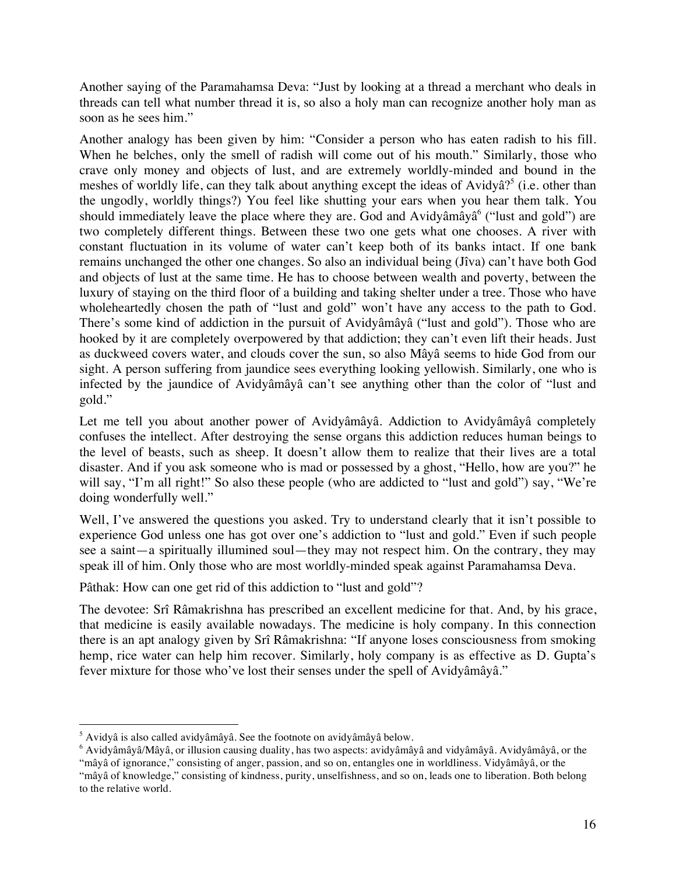Another saying of the Paramahamsa Deva: "Just by looking at a thread a merchant who deals in threads can tell what number thread it is, so also a holy man can recognize another holy man as soon as he sees him."

Another analogy has been given by him: "Consider a person who has eaten radish to his fill. When he belches, only the smell of radish will come out of his mouth." Similarly, those who crave only money and objects of lust, and are extremely worldly-minded and bound in the meshes of worldly life, can they talk about anything except the ideas of Avidyâ?<sup>5</sup> (i.e. other than the ungodly, worldly things?) You feel like shutting your ears when you hear them talk. You should immediately leave the place where they are. God and Avidyâmâyâ<sup>6</sup> ("lust and gold") are two completely different things. Between these two one gets what one chooses. A river with constant fluctuation in its volume of water can't keep both of its banks intact. If one bank remains unchanged the other one changes. So also an individual being (Jîva) can't have both God and objects of lust at the same time. He has to choose between wealth and poverty, between the luxury of staying on the third floor of a building and taking shelter under a tree. Those who have wholeheartedly chosen the path of "lust and gold" won't have any access to the path to God. There's some kind of addiction in the pursuit of Avidyâmâyâ ("lust and gold"). Those who are hooked by it are completely overpowered by that addiction; they can't even lift their heads. Just as duckweed covers water, and clouds cover the sun, so also Mâyâ seems to hide God from our sight. A person suffering from jaundice sees everything looking yellowish. Similarly, one who is infected by the jaundice of Avidyâmâyâ can't see anything other than the color of "lust and gold."

Let me tell you about another power of Avidyâmâyâ. Addiction to Avidyâmâyâ completely confuses the intellect. After destroying the sense organs this addiction reduces human beings to the level of beasts, such as sheep. It doesn't allow them to realize that their lives are a total disaster. And if you ask someone who is mad or possessed by a ghost, "Hello, how are you?" he will say, "I'm all right!" So also these people (who are addicted to "lust and gold") say, "We're doing wonderfully well."

Well, I've answered the questions you asked. Try to understand clearly that it isn't possible to experience God unless one has got over one's addiction to "lust and gold." Even if such people see a saint—a spiritually illumined soul—they may not respect him. On the contrary, they may speak ill of him. Only those who are most worldly-minded speak against Paramahamsa Deva.

Pâthak: How can one get rid of this addiction to "lust and gold"?

The devotee: Srî Râmakrishna has prescribed an excellent medicine for that. And, by his grace, that medicine is easily available nowadays. The medicine is holy company. In this connection there is an apt analogy given by Srî Râmakrishna: "If anyone loses consciousness from smoking hemp, rice water can help him recover. Similarly, holy company is as effective as D. Gupta's fever mixture for those who've lost their senses under the spell of Avidyâmâyâ."

 <sup>5</sup>  $3$  Avidyâ is also called avidyâmâyâ. See the footnote on avidyâmâyâ below.

<sup>6</sup> Avidyâmâyâ/Mâyâ, or illusion causing duality, has two aspects: avidyâmâyâ and vidyâmâyâ. Avidyâmâyâ, or the "mâyâ of ignorance," consisting of anger, passion, and so on, entangles one in worldliness. Vidyâmâyâ, or the

<sup>&</sup>quot;mâyâ of knowledge," consisting of kindness, purity, unselfishness, and so on, leads one to liberation. Both belong to the relative world.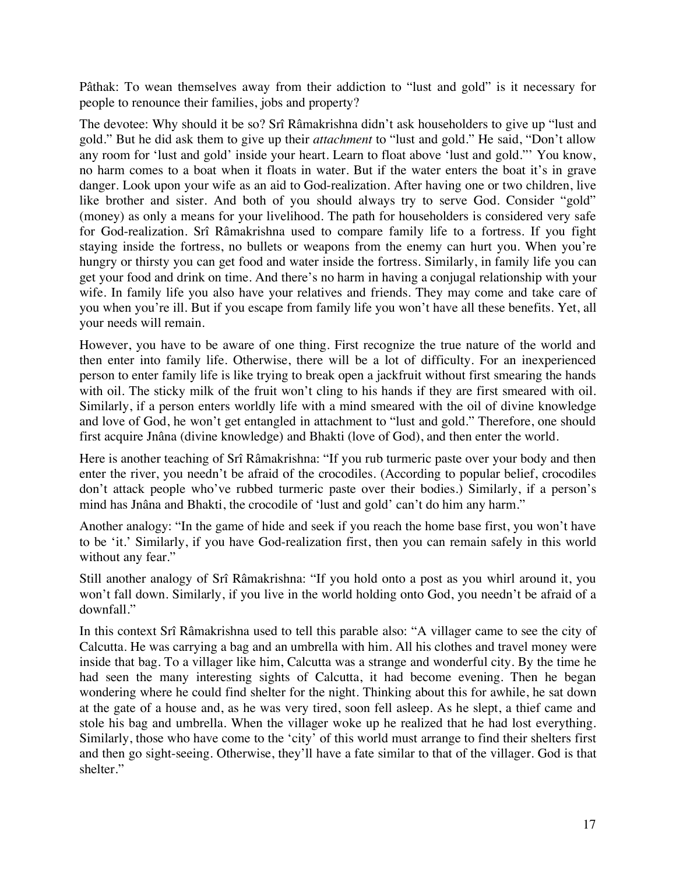Pâthak: To wean themselves away from their addiction to "lust and gold" is it necessary for people to renounce their families, jobs and property?

The devotee: Why should it be so? Srî Râmakrishna didn't ask householders to give up "lust and gold." But he did ask them to give up their *attachment* to "lust and gold." He said, "Don't allow any room for 'lust and gold' inside your heart. Learn to float above 'lust and gold."' You know, no harm comes to a boat when it floats in water. But if the water enters the boat it's in grave danger. Look upon your wife as an aid to God-realization. After having one or two children, live like brother and sister. And both of you should always try to serve God. Consider "gold" (money) as only a means for your livelihood. The path for householders is considered very safe for God-realization. Srî Râmakrishna used to compare family life to a fortress. If you fight staying inside the fortress, no bullets or weapons from the enemy can hurt you. When you're hungry or thirsty you can get food and water inside the fortress. Similarly, in family life you can get your food and drink on time. And there's no harm in having a conjugal relationship with your wife. In family life you also have your relatives and friends. They may come and take care of you when you're ill. But if you escape from family life you won't have all these benefits. Yet, all your needs will remain.

However, you have to be aware of one thing. First recognize the true nature of the world and then enter into family life. Otherwise, there will be a lot of difficulty. For an inexperienced person to enter family life is like trying to break open a jackfruit without first smearing the hands with oil. The sticky milk of the fruit won't cling to his hands if they are first smeared with oil. Similarly, if a person enters worldly life with a mind smeared with the oil of divine knowledge and love of God, he won't get entangled in attachment to "lust and gold." Therefore, one should first acquire Jnâna (divine knowledge) and Bhakti (love of God), and then enter the world.

Here is another teaching of Srî Râmakrishna: "If you rub turmeric paste over your body and then enter the river, you needn't be afraid of the crocodiles. (According to popular belief, crocodiles don't attack people who've rubbed turmeric paste over their bodies.) Similarly, if a person's mind has Jnâna and Bhakti, the crocodile of 'lust and gold' can't do him any harm."

Another analogy: "In the game of hide and seek if you reach the home base first, you won't have to be 'it.' Similarly, if you have God-realization first, then you can remain safely in this world without any fear."

Still another analogy of Srî Râmakrishna: "If you hold onto a post as you whirl around it, you won't fall down. Similarly, if you live in the world holding onto God, you needn't be afraid of a downfall."

In this context Srî Râmakrishna used to tell this parable also: "A villager came to see the city of Calcutta. He was carrying a bag and an umbrella with him. All his clothes and travel money were inside that bag. To a villager like him, Calcutta was a strange and wonderful city. By the time he had seen the many interesting sights of Calcutta, it had become evening. Then he began wondering where he could find shelter for the night. Thinking about this for awhile, he sat down at the gate of a house and, as he was very tired, soon fell asleep. As he slept, a thief came and stole his bag and umbrella. When the villager woke up he realized that he had lost everything. Similarly, those who have come to the 'city' of this world must arrange to find their shelters first and then go sight-seeing. Otherwise, they'll have a fate similar to that of the villager. God is that shelter."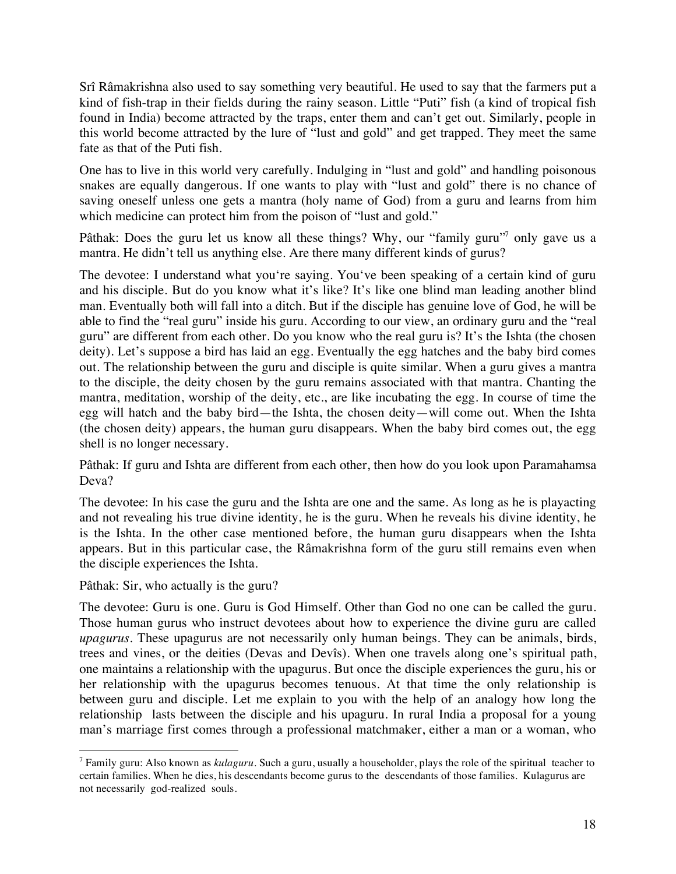Srî Râmakrishna also used to say something very beautiful. He used to say that the farmers put a kind of fish-trap in their fields during the rainy season. Little "Puti" fish (a kind of tropical fish found in India) become attracted by the traps, enter them and can't get out. Similarly, people in this world become attracted by the lure of "lust and gold" and get trapped. They meet the same fate as that of the Puti fish.

One has to live in this world very carefully. Indulging in "lust and gold" and handling poisonous snakes are equally dangerous. If one wants to play with "lust and gold" there is no chance of saving oneself unless one gets a mantra (holy name of God) from a guru and learns from him which medicine can protect him from the poison of "lust and gold."

Pâthak: Does the guru let us know all these things? Why, our "family guru"<sup>7</sup> only gave us a mantra. He didn't tell us anything else. Are there many different kinds of gurus?

The devotee: I understand what you're saying. You've been speaking of a certain kind of guru and his disciple. But do you know what it's like? It's like one blind man leading another blind man. Eventually both will fall into a ditch. But if the disciple has genuine love of God, he will be able to find the "real guru" inside his guru. According to our view, an ordinary guru and the "real guru" are different from each other. Do you know who the real guru is? It's the Ishta (the chosen deity). Let's suppose a bird has laid an egg. Eventually the egg hatches and the baby bird comes out. The relationship between the guru and disciple is quite similar. When a guru gives a mantra to the disciple, the deity chosen by the guru remains associated with that mantra. Chanting the mantra, meditation, worship of the deity, etc., are like incubating the egg. In course of time the egg will hatch and the baby bird—the Ishta, the chosen deity—will come out. When the Ishta (the chosen deity) appears, the human guru disappears. When the baby bird comes out, the egg shell is no longer necessary.

Pâthak: If guru and Ishta are different from each other, then how do you look upon Paramahamsa Deva?

The devotee: In his case the guru and the Ishta are one and the same. As long as he is playacting and not revealing his true divine identity, he is the guru. When he reveals his divine identity, he is the Ishta. In the other case mentioned before, the human guru disappears when the Ishta appears. But in this particular case, the Râmakrishna form of the guru still remains even when the disciple experiences the Ishta.

Pâthak: Sir, who actually is the guru?

The devotee: Guru is one. Guru is God Himself. Other than God no one can be called the guru. Those human gurus who instruct devotees about how to experience the divine guru are called *upagurus*. These upagurus are not necessarily only human beings. They can be animals, birds, trees and vines, or the deities (Devas and Devîs). When one travels along one's spiritual path, one maintains a relationship with the upagurus. But once the disciple experiences the guru, his or her relationship with the upagurus becomes tenuous. At that time the only relationship is between guru and disciple. Let me explain to you with the help of an analogy how long the relationship lasts between the disciple and his upaguru. In rural India a proposal for a young man's marriage first comes through a professional matchmaker, either a man or a woman, who

 <sup>7</sup> Family guru: Also known as *kulaguru*. Such a guru, usually a householder, plays the role of the spiritual teacher to certain families. When he dies, his descendants become gurus to the descendants of those families. Kulagurus are not necessarily god-realized souls.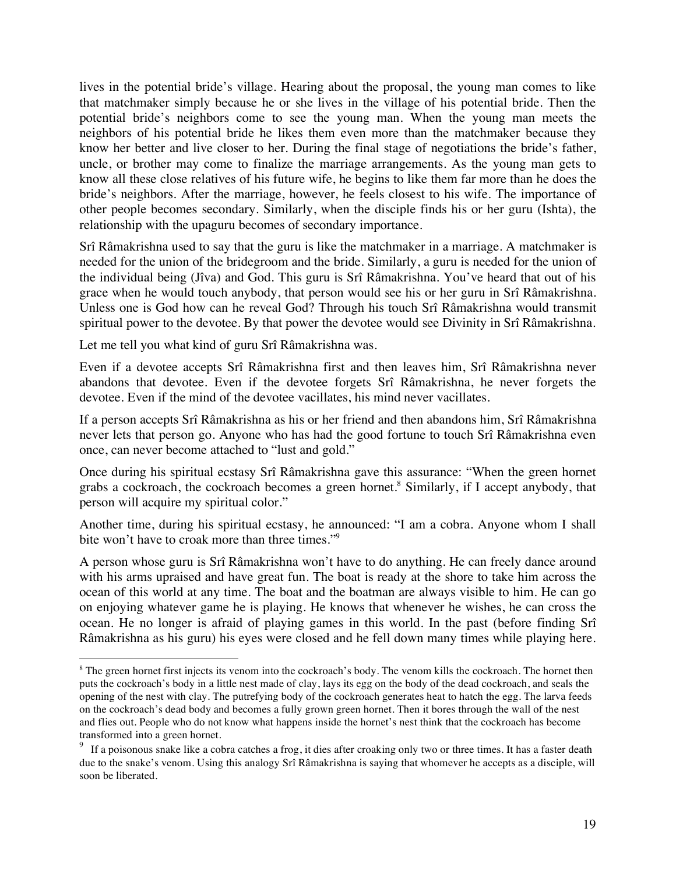lives in the potential bride's village. Hearing about the proposal, the young man comes to like that matchmaker simply because he or she lives in the village of his potential bride. Then the potential bride's neighbors come to see the young man. When the young man meets the neighbors of his potential bride he likes them even more than the matchmaker because they know her better and live closer to her. During the final stage of negotiations the bride's father, uncle, or brother may come to finalize the marriage arrangements. As the young man gets to know all these close relatives of his future wife, he begins to like them far more than he does the bride's neighbors. After the marriage, however, he feels closest to his wife. The importance of other people becomes secondary. Similarly, when the disciple finds his or her guru (Ishta), the relationship with the upaguru becomes of secondary importance.

Srî Râmakrishna used to say that the guru is like the matchmaker in a marriage. A matchmaker is needed for the union of the bridegroom and the bride. Similarly, a guru is needed for the union of the individual being (Jîva) and God. This guru is Srî Râmakrishna. You've heard that out of his grace when he would touch anybody, that person would see his or her guru in Srî Râmakrishna. Unless one is God how can he reveal God? Through his touch Srî Râmakrishna would transmit spiritual power to the devotee. By that power the devotee would see Divinity in Srî Râmakrishna.

Let me tell you what kind of guru Srî Râmakrishna was.

Even if a devotee accepts Srî Râmakrishna first and then leaves him, Srî Râmakrishna never abandons that devotee. Even if the devotee forgets Srî Râmakrishna, he never forgets the devotee. Even if the mind of the devotee vacillates, his mind never vacillates.

If a person accepts Srî Râmakrishna as his or her friend and then abandons him, Srî Râmakrishna never lets that person go. Anyone who has had the good fortune to touch Srî Râmakrishna even once, can never become attached to "lust and gold."

Once during his spiritual ecstasy Srî Râmakrishna gave this assurance: "When the green hornet grabs a cockroach, the cockroach becomes a green hornet.<sup>8</sup> Similarly, if I accept anybody, that person will acquire my spiritual color."

Another time, during his spiritual ecstasy, he announced: "I am a cobra. Anyone whom I shall bite won't have to croak more than three times."<sup>9</sup>

A person whose guru is Srî Râmakrishna won't have to do anything. He can freely dance around with his arms upraised and have great fun. The boat is ready at the shore to take him across the ocean of this world at any time. The boat and the boatman are always visible to him. He can go on enjoying whatever game he is playing. He knows that whenever he wishes, he can cross the ocean. He no longer is afraid of playing games in this world. In the past (before finding Srî Râmakrishna as his guru) his eyes were closed and he fell down many times while playing here.

 <sup>8</sup> <sup>8</sup> The green hornet first injects its venom into the cockroach's body. The venom kills the cockroach. The hornet then puts the cockroach's body in a little nest made of clay, lays its egg on the body of the dead cockroach, and seals the opening of the nest with clay. The putrefying body of the cockroach generates heat to hatch the egg. The larva feeds on the cockroach's dead body and becomes a fully grown green hornet. Then it bores through the wall of the nest and flies out. People who do not know what happens inside the hornet's nest think that the cockroach has become transformed into a green hornet.

<sup>&</sup>lt;sup>9</sup> If a poisonous snake like a cobra catches a frog, it dies after croaking only two or three times. It has a faster death due to the snake's venom. Using this analogy Srî Râmakrishna is saying that whomever he accepts as a disciple, will soon be liberated.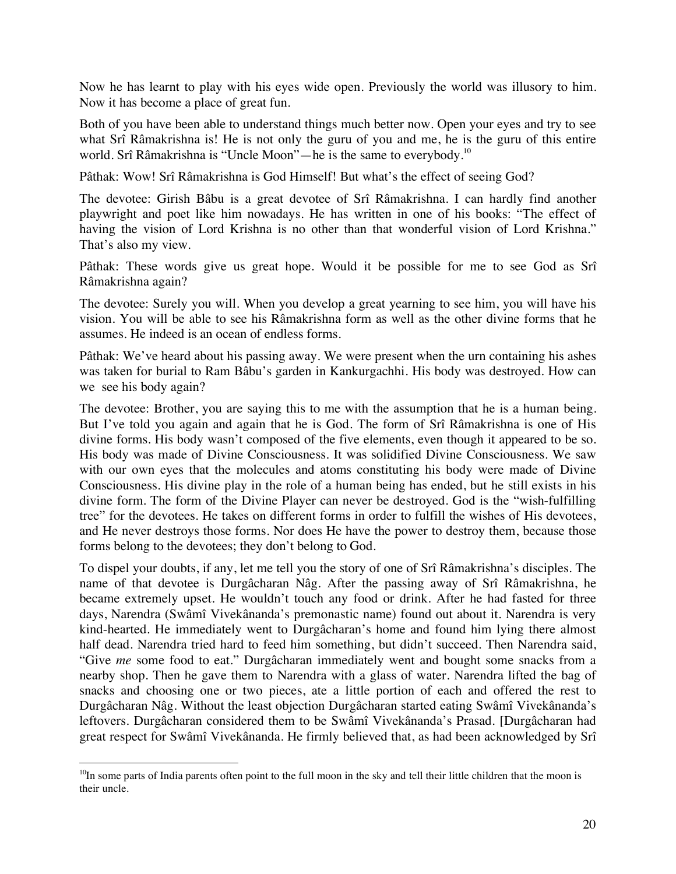Now he has learnt to play with his eyes wide open. Previously the world was illusory to him. Now it has become a place of great fun.

Both of you have been able to understand things much better now. Open your eyes and try to see what Srî Râmakrishna is! He is not only the guru of you and me, he is the guru of this entire world. Srî Râmakrishna is "Uncle Moon"—he is the same to everybody.<sup>10</sup>

Pâthak: Wow! Srî Râmakrishna is God Himself! But what's the effect of seeing God?

The devotee: Girish Bâbu is a great devotee of Srî Râmakrishna. I can hardly find another playwright and poet like him nowadays. He has written in one of his books: "The effect of having the vision of Lord Krishna is no other than that wonderful vision of Lord Krishna." That's also my view.

Pâthak: These words give us great hope. Would it be possible for me to see God as Srî Râmakrishna again?

The devotee: Surely you will. When you develop a great yearning to see him, you will have his vision. You will be able to see his Râmakrishna form as well as the other divine forms that he assumes. He indeed is an ocean of endless forms.

Pâthak: We've heard about his passing away. We were present when the urn containing his ashes was taken for burial to Ram Bâbu's garden in Kankurgachhi. His body was destroyed. How can we see his body again?

The devotee: Brother, you are saying this to me with the assumption that he is a human being. But I've told you again and again that he is God. The form of Srî Râmakrishna is one of His divine forms. His body wasn't composed of the five elements, even though it appeared to be so. His body was made of Divine Consciousness. It was solidified Divine Consciousness. We saw with our own eyes that the molecules and atoms constituting his body were made of Divine Consciousness. His divine play in the role of a human being has ended, but he still exists in his divine form. The form of the Divine Player can never be destroyed. God is the "wish-fulfilling tree" for the devotees. He takes on different forms in order to fulfill the wishes of His devotees, and He never destroys those forms. Nor does He have the power to destroy them, because those forms belong to the devotees; they don't belong to God.

To dispel your doubts, if any, let me tell you the story of one of Srî Râmakrishna's disciples. The name of that devotee is Durgâcharan Nâg. After the passing away of Srî Râmakrishna, he became extremely upset. He wouldn't touch any food or drink. After he had fasted for three days, Narendra (Swâmî Vivekânanda's premonastic name) found out about it. Narendra is very kind-hearted. He immediately went to Durgâcharan's home and found him lying there almost half dead. Narendra tried hard to feed him something, but didn't succeed. Then Narendra said, "Give *me* some food to eat." Durgâcharan immediately went and bought some snacks from a nearby shop. Then he gave them to Narendra with a glass of water. Narendra lifted the bag of snacks and choosing one or two pieces, ate a little portion of each and offered the rest to Durgâcharan Nâg. Without the least objection Durgâcharan started eating Swâmî Vivekânanda's leftovers. Durgâcharan considered them to be Swâmî Vivekânanda's Prasad. [Durgâcharan had great respect for Swâmî Vivekânanda. He firmly believed that, as had been acknowledged by Srî

 $10$ In some parts of India parents often point to the full moon in the sky and tell their little children that the moon is their uncle.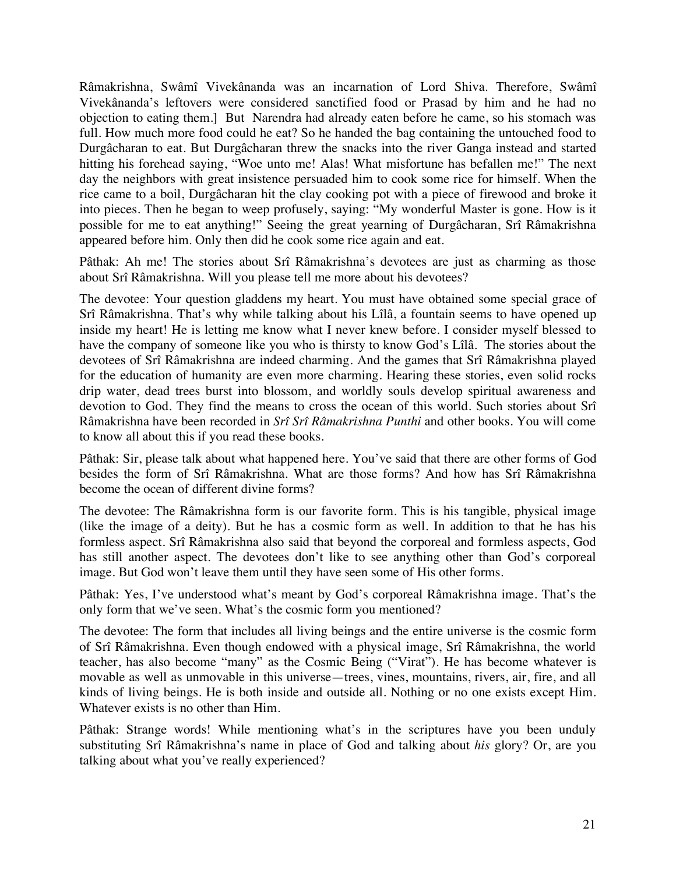Râmakrishna, Swâmî Vivekânanda was an incarnation of Lord Shiva. Therefore, Swâmî Vivekânanda's leftovers were considered sanctified food or Prasad by him and he had no objection to eating them.] But Narendra had already eaten before he came, so his stomach was full. How much more food could he eat? So he handed the bag containing the untouched food to Durgâcharan to eat. But Durgâcharan threw the snacks into the river Ganga instead and started hitting his forehead saying, "Woe unto me! Alas! What misfortune has befallen me!" The next day the neighbors with great insistence persuaded him to cook some rice for himself. When the rice came to a boil, Durgâcharan hit the clay cooking pot with a piece of firewood and broke it into pieces. Then he began to weep profusely, saying: "My wonderful Master is gone. How is it possible for me to eat anything!" Seeing the great yearning of Durgâcharan, Srî Râmakrishna appeared before him. Only then did he cook some rice again and eat.

Pâthak: Ah me! The stories about Srî Râmakrishna's devotees are just as charming as those about Srî Râmakrishna. Will you please tell me more about his devotees?

The devotee: Your question gladdens my heart. You must have obtained some special grace of Srî Râmakrishna. That's why while talking about his Lîlâ, a fountain seems to have opened up inside my heart! He is letting me know what I never knew before. I consider myself blessed to have the company of someone like you who is thirsty to know God's Lîlâ. The stories about the devotees of Srî Râmakrishna are indeed charming. And the games that Srî Râmakrishna played for the education of humanity are even more charming. Hearing these stories, even solid rocks drip water, dead trees burst into blossom, and worldly souls develop spiritual awareness and devotion to God. They find the means to cross the ocean of this world. Such stories about Srî Râmakrishna have been recorded in *Srî Srî Râmakrishna Punthi* and other books. You will come to know all about this if you read these books.

Pâthak: Sir, please talk about what happened here. You've said that there are other forms of God besides the form of Srî Râmakrishna. What are those forms? And how has Srî Râmakrishna become the ocean of different divine forms?

The devotee: The Râmakrishna form is our favorite form. This is his tangible, physical image (like the image of a deity). But he has a cosmic form as well. In addition to that he has his formless aspect. Srî Râmakrishna also said that beyond the corporeal and formless aspects, God has still another aspect. The devotees don't like to see anything other than God's corporeal image. But God won't leave them until they have seen some of His other forms.

Pâthak: Yes, I've understood what's meant by God's corporeal Râmakrishna image. That's the only form that we've seen. What's the cosmic form you mentioned?

The devotee: The form that includes all living beings and the entire universe is the cosmic form of Srî Râmakrishna. Even though endowed with a physical image, Srî Râmakrishna, the world teacher, has also become "many" as the Cosmic Being ("Virat"). He has become whatever is movable as well as unmovable in this universe—trees, vines, mountains, rivers, air, fire, and all kinds of living beings. He is both inside and outside all. Nothing or no one exists except Him. Whatever exists is no other than Him.

Pâthak: Strange words! While mentioning what's in the scriptures have you been unduly substituting Srî Râmakrishna's name in place of God and talking about *his* glory? Or, are you talking about what you've really experienced?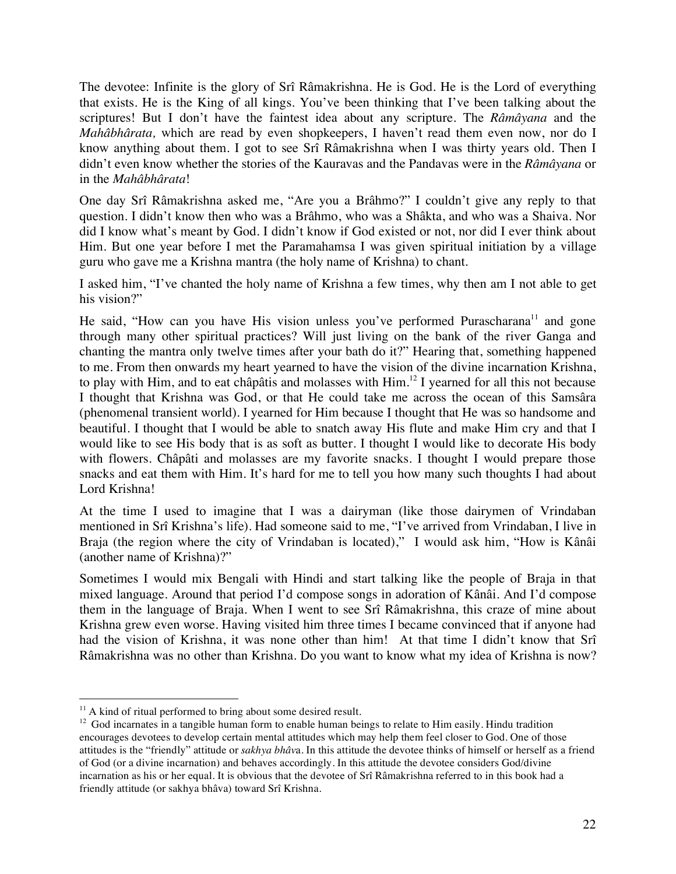The devotee: Infinite is the glory of Srî Râmakrishna. He is God. He is the Lord of everything that exists. He is the King of all kings. You've been thinking that I've been talking about the scriptures! But I don't have the faintest idea about any scripture. The *Râmâyana* and the *Mahâbhârata,* which are read by even shopkeepers, I haven't read them even now, nor do I know anything about them. I got to see Srî Râmakrishna when I was thirty years old. Then I didn't even know whether the stories of the Kauravas and the Pandavas were in the *Râmâyana* or in the *Mahâbhârata*!

One day Srî Râmakrishna asked me, "Are you a Brâhmo?" I couldn't give any reply to that question. I didn't know then who was a Brâhmo, who was a Shâkta, and who was a Shaiva. Nor did I know what's meant by God. I didn't know if God existed or not, nor did I ever think about Him. But one year before I met the Paramahamsa I was given spiritual initiation by a village guru who gave me a Krishna mantra (the holy name of Krishna) to chant.

I asked him, "I've chanted the holy name of Krishna a few times, why then am I not able to get his vision?"

He said, "How can you have His vision unless you've performed Purascharana<sup>11</sup> and gone through many other spiritual practices? Will just living on the bank of the river Ganga and chanting the mantra only twelve times after your bath do it?" Hearing that, something happened to me. From then onwards my heart yearned to have the vision of the divine incarnation Krishna, to play with Him, and to eat châpâtis and molasses with Him.<sup>12</sup> I yearned for all this not because I thought that Krishna was God, or that He could take me across the ocean of this Samsâra (phenomenal transient world). I yearned for Him because I thought that He was so handsome and beautiful. I thought that I would be able to snatch away His flute and make Him cry and that I would like to see His body that is as soft as butter. I thought I would like to decorate His body with flowers. Châpâti and molasses are my favorite snacks. I thought I would prepare those snacks and eat them with Him. It's hard for me to tell you how many such thoughts I had about Lord Krishna!

At the time I used to imagine that I was a dairyman (like those dairymen of Vrindaban mentioned in Srî Krishna's life). Had someone said to me, "I've arrived from Vrindaban, I live in Braja (the region where the city of Vrindaban is located)," I would ask him, "How is Kânâi (another name of Krishna)?"

Sometimes I would mix Bengali with Hindi and start talking like the people of Braja in that mixed language. Around that period I'd compose songs in adoration of Kânâi. And I'd compose them in the language of Braja. When I went to see Srî Râmakrishna, this craze of mine about Krishna grew even worse. Having visited him three times I became convinced that if anyone had had the vision of Krishna, it was none other than him! At that time I didn't know that Srî Râmakrishna was no other than Krishna. Do you want to know what my idea of Krishna is now?

 $11$  A kind of ritual performed to bring about some desired result.

 $12$  God incarnates in a tangible human form to enable human beings to relate to Him easily. Hindu tradition encourages devotees to develop certain mental attitudes which may help them feel closer to God. One of those attitudes is the "friendly" attitude or *sakhya bhâv*a. In this attitude the devotee thinks of himself or herself as a friend of God (or a divine incarnation) and behaves accordingly. In this attitude the devotee considers God/divine incarnation as his or her equal. It is obvious that the devotee of Srî Râmakrishna referred to in this book had a friendly attitude (or sakhya bhâva) toward Srî Krishna.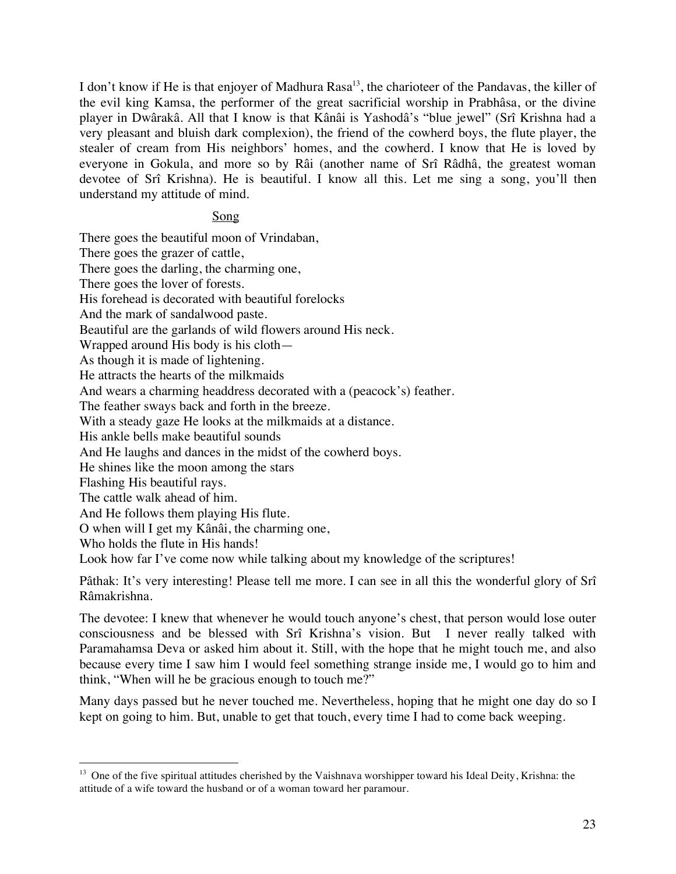I don't know if He is that enjoyer of Madhura Rasa<sup>13</sup>, the charioteer of the Pandavas, the killer of the evil king Kamsa, the performer of the great sacrificial worship in Prabhâsa, or the divine player in Dwârakâ. All that I know is that Kânâi is Yashodâ's "blue jewel" (Srî Krishna had a very pleasant and bluish dark complexion), the friend of the cowherd boys, the flute player, the stealer of cream from His neighbors' homes, and the cowherd. I know that He is loved by everyone in Gokula, and more so by Râi (another name of Srî Râdhâ, the greatest woman devotee of Srî Krishna). He is beautiful. I know all this. Let me sing a song, you'll then understand my attitude of mind.

#### Song

There goes the beautiful moon of Vrindaban, There goes the grazer of cattle, There goes the darling, the charming one, There goes the lover of forests. His forehead is decorated with beautiful forelocks And the mark of sandalwood paste. Beautiful are the garlands of wild flowers around His neck. Wrapped around His body is his cloth— As though it is made of lightening. He attracts the hearts of the milkmaids And wears a charming headdress decorated with a (peacock's) feather. The feather sways back and forth in the breeze. With a steady gaze He looks at the milkmaids at a distance. His ankle bells make beautiful sounds And He laughs and dances in the midst of the cowherd boys. He shines like the moon among the stars Flashing His beautiful rays. The cattle walk ahead of him. And He follows them playing His flute. O when will I get my Kânâi, the charming one, Who holds the flute in His hands!

Look how far I've come now while talking about my knowledge of the scriptures!

Pâthak: It's very interesting! Please tell me more. I can see in all this the wonderful glory of Srî Râmakrishna.

The devotee: I knew that whenever he would touch anyone's chest, that person would lose outer consciousness and be blessed with Srî Krishna's vision. But I never really talked with Paramahamsa Deva or asked him about it. Still, with the hope that he might touch me, and also because every time I saw him I would feel something strange inside me, I would go to him and think, "When will he be gracious enough to touch me?"

Many days passed but he never touched me. Nevertheless, hoping that he might one day do so I kept on going to him. But, unable to get that touch, every time I had to come back weeping.

<sup>&</sup>lt;sup>13</sup> One of the five spiritual attitudes cherished by the Vaishnava worshipper toward his Ideal Deity, Krishna: the attitude of a wife toward the husband or of a woman toward her paramour.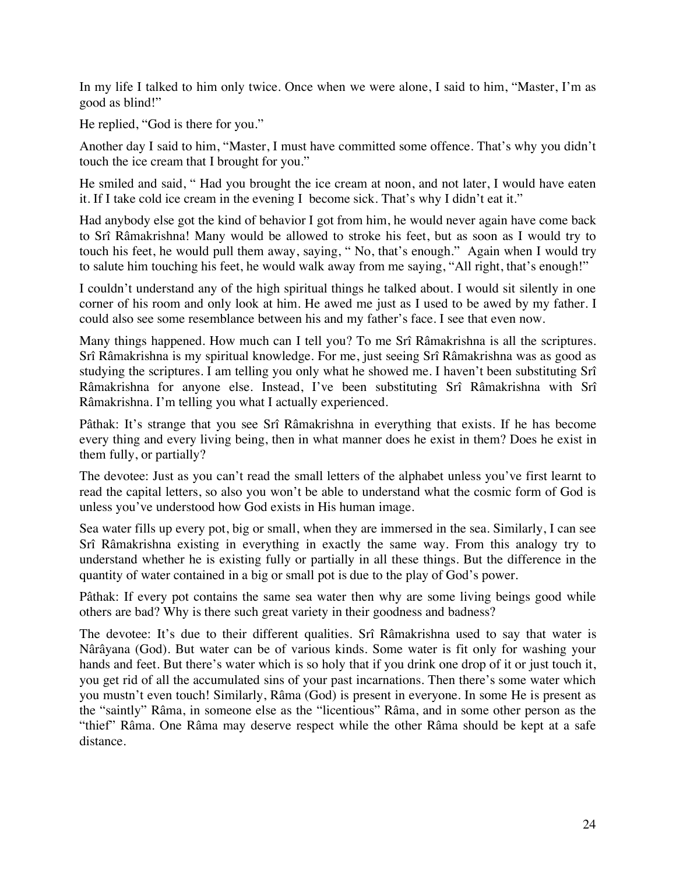In my life I talked to him only twice. Once when we were alone, I said to him, "Master, I'm as good as blind!"

He replied, "God is there for you."

Another day I said to him, "Master, I must have committed some offence. That's why you didn't touch the ice cream that I brought for you."

He smiled and said, " Had you brought the ice cream at noon, and not later, I would have eaten it. If I take cold ice cream in the evening I become sick. That's why I didn't eat it."

Had anybody else got the kind of behavior I got from him, he would never again have come back to Srî Râmakrishna! Many would be allowed to stroke his feet, but as soon as I would try to touch his feet, he would pull them away, saying, " No, that's enough." Again when I would try to salute him touching his feet, he would walk away from me saying, "All right, that's enough!"

I couldn't understand any of the high spiritual things he talked about. I would sit silently in one corner of his room and only look at him. He awed me just as I used to be awed by my father. I could also see some resemblance between his and my father's face. I see that even now.

Many things happened. How much can I tell you? To me Srî Râmakrishna is all the scriptures. Srî Râmakrishna is my spiritual knowledge. For me, just seeing Srî Râmakrishna was as good as studying the scriptures. I am telling you only what he showed me. I haven't been substituting Srî Râmakrishna for anyone else. Instead, I've been substituting Srî Râmakrishna with Srî Râmakrishna. I'm telling you what I actually experienced.

Pâthak: It's strange that you see Srî Râmakrishna in everything that exists. If he has become every thing and every living being, then in what manner does he exist in them? Does he exist in them fully, or partially?

The devotee: Just as you can't read the small letters of the alphabet unless you've first learnt to read the capital letters, so also you won't be able to understand what the cosmic form of God is unless you've understood how God exists in His human image.

Sea water fills up every pot, big or small, when they are immersed in the sea. Similarly, I can see Srî Râmakrishna existing in everything in exactly the same way. From this analogy try to understand whether he is existing fully or partially in all these things. But the difference in the quantity of water contained in a big or small pot is due to the play of God's power.

Pâthak: If every pot contains the same sea water then why are some living beings good while others are bad? Why is there such great variety in their goodness and badness?

The devotee: It's due to their different qualities. Srî Râmakrishna used to say that water is Nârâyana (God). But water can be of various kinds. Some water is fit only for washing your hands and feet. But there's water which is so holy that if you drink one drop of it or just touch it, you get rid of all the accumulated sins of your past incarnations. Then there's some water which you mustn't even touch! Similarly, Râma (God) is present in everyone. In some He is present as the "saintly" Râma, in someone else as the "licentious" Râma, and in some other person as the "thief" Râma. One Râma may deserve respect while the other Râma should be kept at a safe distance.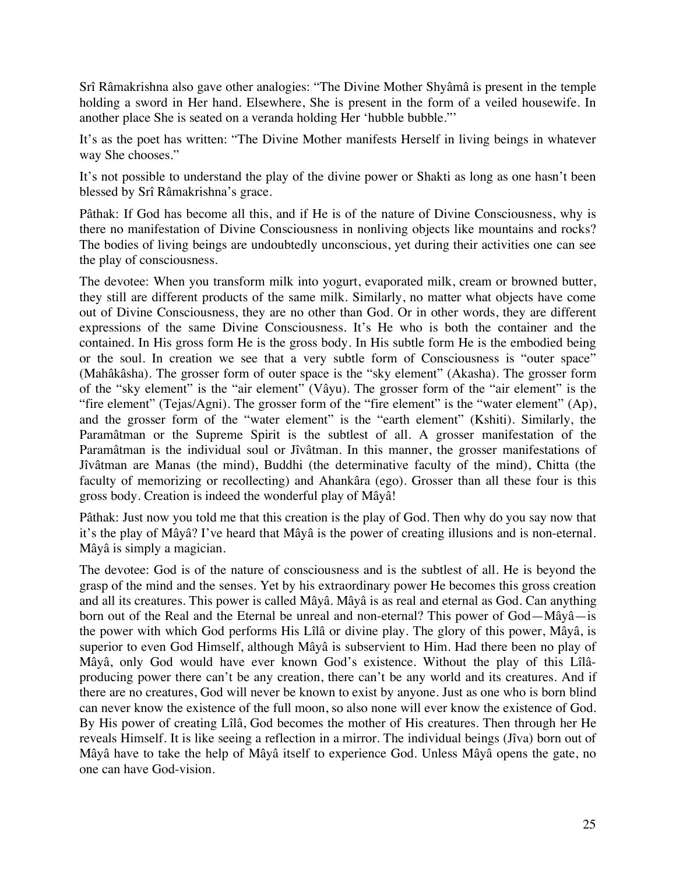Srî Râmakrishna also gave other analogies: "The Divine Mother Shyâmâ is present in the temple holding a sword in Her hand. Elsewhere, She is present in the form of a veiled housewife. In another place She is seated on a veranda holding Her 'hubble bubble."'

It's as the poet has written: "The Divine Mother manifests Herself in living beings in whatever way She chooses."

It's not possible to understand the play of the divine power or Shakti as long as one hasn't been blessed by Srî Râmakrishna's grace.

Pâthak: If God has become all this, and if He is of the nature of Divine Consciousness, why is there no manifestation of Divine Consciousness in nonliving objects like mountains and rocks? The bodies of living beings are undoubtedly unconscious, yet during their activities one can see the play of consciousness.

The devotee: When you transform milk into yogurt, evaporated milk, cream or browned butter, they still are different products of the same milk. Similarly, no matter what objects have come out of Divine Consciousness, they are no other than God. Or in other words, they are different expressions of the same Divine Consciousness. It's He who is both the container and the contained. In His gross form He is the gross body. In His subtle form He is the embodied being or the soul. In creation we see that a very subtle form of Consciousness is "outer space" (Mahâkâsha). The grosser form of outer space is the "sky element" (Akasha). The grosser form of the "sky element" is the "air element" (Vâyu). The grosser form of the "air element" is the "fire element" (Tejas/Agni). The grosser form of the "fire element" is the "water element" (Ap), and the grosser form of the "water element" is the "earth element" (Kshiti). Similarly, the Paramâtman or the Supreme Spirit is the subtlest of all. A grosser manifestation of the Paramâtman is the individual soul or Jîvâtman. In this manner, the grosser manifestations of Jîvâtman are Manas (the mind), Buddhi (the determinative faculty of the mind), Chitta (the faculty of memorizing or recollecting) and Ahankâra (ego). Grosser than all these four is this gross body. Creation is indeed the wonderful play of Mâyâ!

Pâthak: Just now you told me that this creation is the play of God. Then why do you say now that it's the play of Mâyâ? I've heard that Mâyâ is the power of creating illusions and is non-eternal. Mâyâ is simply a magician.

The devotee: God is of the nature of consciousness and is the subtlest of all. He is beyond the grasp of the mind and the senses. Yet by his extraordinary power He becomes this gross creation and all its creatures. This power is called Mâyâ. Mâyâ is as real and eternal as God. Can anything born out of the Real and the Eternal be unreal and non-eternal? This power of God—Mâyâ—is the power with which God performs His Lîlâ or divine play. The glory of this power, Mâyâ, is superior to even God Himself, although Mâyâ is subservient to Him. Had there been no play of Mâyâ, only God would have ever known God's existence. Without the play of this Lîlâproducing power there can't be any creation, there can't be any world and its creatures. And if there are no creatures, God will never be known to exist by anyone. Just as one who is born blind can never know the existence of the full moon, so also none will ever know the existence of God. By His power of creating Lîlâ, God becomes the mother of His creatures. Then through her He reveals Himself. It is like seeing a reflection in a mirror. The individual beings (Jîva) born out of Mâyâ have to take the help of Mâyâ itself to experience God. Unless Mâyâ opens the gate, no one can have God-vision.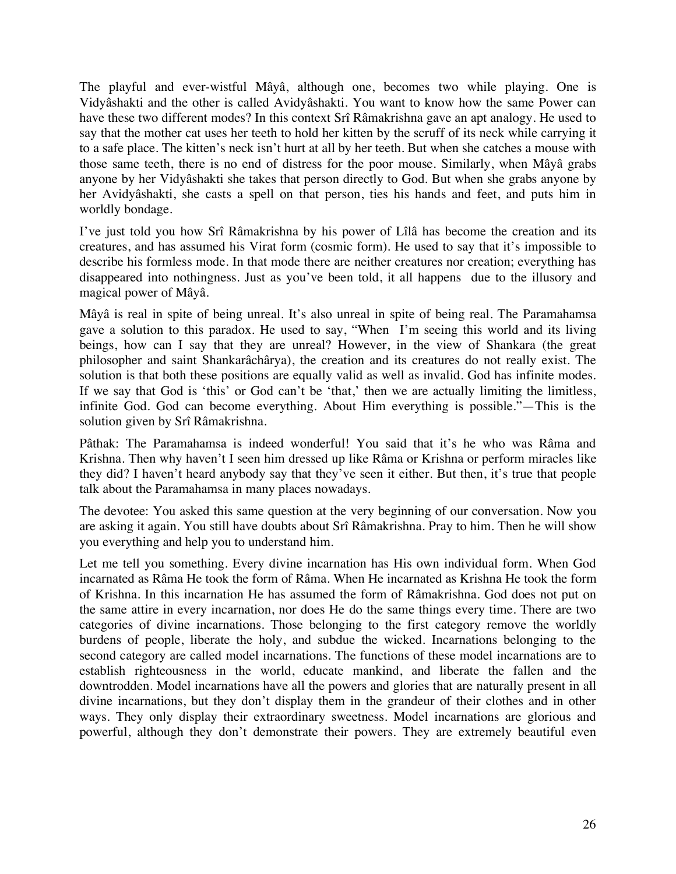The playful and ever-wistful Mâyâ, although one, becomes two while playing. One is Vidyâshakti and the other is called Avidyâshakti. You want to know how the same Power can have these two different modes? In this context Srî Râmakrishna gave an apt analogy. He used to say that the mother cat uses her teeth to hold her kitten by the scruff of its neck while carrying it to a safe place. The kitten's neck isn't hurt at all by her teeth. But when she catches a mouse with those same teeth, there is no end of distress for the poor mouse. Similarly, when Mâyâ grabs anyone by her Vidyâshakti she takes that person directly to God. But when she grabs anyone by her Avidyâshakti, she casts a spell on that person, ties his hands and feet, and puts him in worldly bondage.

I've just told you how Srî Râmakrishna by his power of Lîlâ has become the creation and its creatures, and has assumed his Virat form (cosmic form). He used to say that it's impossible to describe his formless mode. In that mode there are neither creatures nor creation; everything has disappeared into nothingness. Just as you've been told, it all happens due to the illusory and magical power of Mâyâ.

Mâyâ is real in spite of being unreal. It's also unreal in spite of being real. The Paramahamsa gave a solution to this paradox. He used to say, "When I'm seeing this world and its living beings, how can I say that they are unreal? However, in the view of Shankara (the great philosopher and saint Shankarâchârya), the creation and its creatures do not really exist. The solution is that both these positions are equally valid as well as invalid. God has infinite modes. If we say that God is 'this' or God can't be 'that,' then we are actually limiting the limitless, infinite God. God can become everything. About Him everything is possible."—This is the solution given by Srî Râmakrishna.

Pâthak: The Paramahamsa is indeed wonderful! You said that it's he who was Râma and Krishna. Then why haven't I seen him dressed up like Râma or Krishna or perform miracles like they did? I haven't heard anybody say that they've seen it either. But then, it's true that people talk about the Paramahamsa in many places nowadays.

The devotee: You asked this same question at the very beginning of our conversation. Now you are asking it again. You still have doubts about Srî Râmakrishna. Pray to him. Then he will show you everything and help you to understand him.

Let me tell you something. Every divine incarnation has His own individual form. When God incarnated as Râma He took the form of Râma. When He incarnated as Krishna He took the form of Krishna. In this incarnation He has assumed the form of Râmakrishna. God does not put on the same attire in every incarnation, nor does He do the same things every time. There are two categories of divine incarnations. Those belonging to the first category remove the worldly burdens of people, liberate the holy, and subdue the wicked. Incarnations belonging to the second category are called model incarnations. The functions of these model incarnations are to establish righteousness in the world, educate mankind, and liberate the fallen and the downtrodden. Model incarnations have all the powers and glories that are naturally present in all divine incarnations, but they don't display them in the grandeur of their clothes and in other ways. They only display their extraordinary sweetness. Model incarnations are glorious and powerful, although they don't demonstrate their powers. They are extremely beautiful even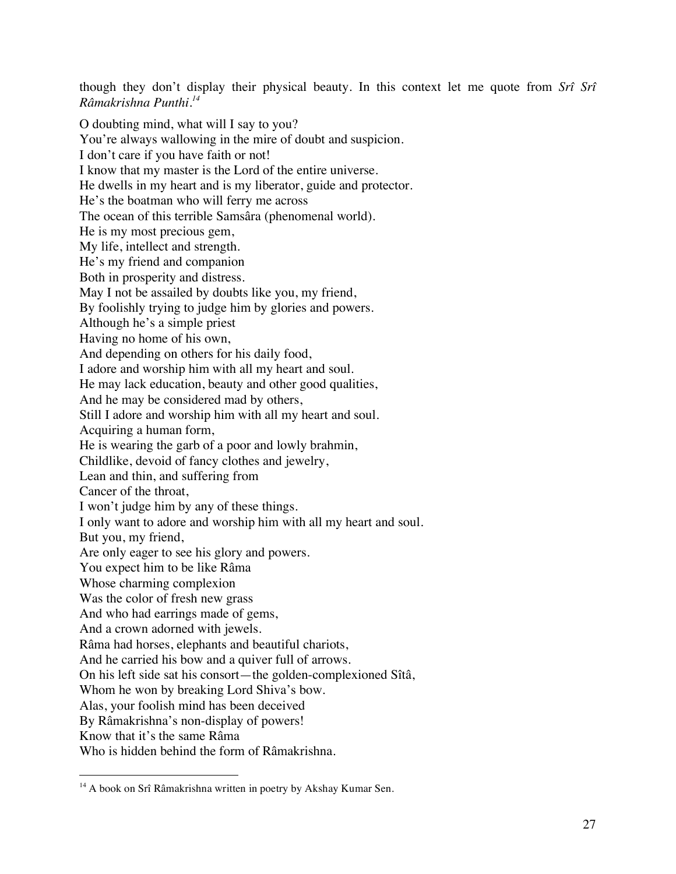though they don't display their physical beauty. In this context let me quote from *Srî Srî Râmakrishna Punthi*. *14*

O doubting mind, what will I say to you? You're always wallowing in the mire of doubt and suspicion. I don't care if you have faith or not! I know that my master is the Lord of the entire universe. He dwells in my heart and is my liberator, guide and protector. He's the boatman who will ferry me across The ocean of this terrible Samsâra (phenomenal world). He is my most precious gem, My life, intellect and strength. He's my friend and companion Both in prosperity and distress. May I not be assailed by doubts like you, my friend, By foolishly trying to judge him by glories and powers. Although he's a simple priest Having no home of his own, And depending on others for his daily food, I adore and worship him with all my heart and soul. He may lack education, beauty and other good qualities, And he may be considered mad by others, Still I adore and worship him with all my heart and soul. Acquiring a human form, He is wearing the garb of a poor and lowly brahmin, Childlike, devoid of fancy clothes and jewelry, Lean and thin, and suffering from Cancer of the throat, I won't judge him by any of these things. I only want to adore and worship him with all my heart and soul. But you, my friend, Are only eager to see his glory and powers. You expect him to be like Râma Whose charming complexion Was the color of fresh new grass And who had earrings made of gems, And a crown adorned with jewels. Râma had horses, elephants and beautiful chariots, And he carried his bow and a quiver full of arrows. On his left side sat his consort—the golden-complexioned Sîtâ, Whom he won by breaking Lord Shiva's bow. Alas, your foolish mind has been deceived By Râmakrishna's non-display of powers! Know that it's the same Râma Who is hidden behind the form of Râmakrishna.

<sup>&</sup>lt;sup>14</sup> A book on Srî Râmakrishna written in poetry by Akshay Kumar Sen.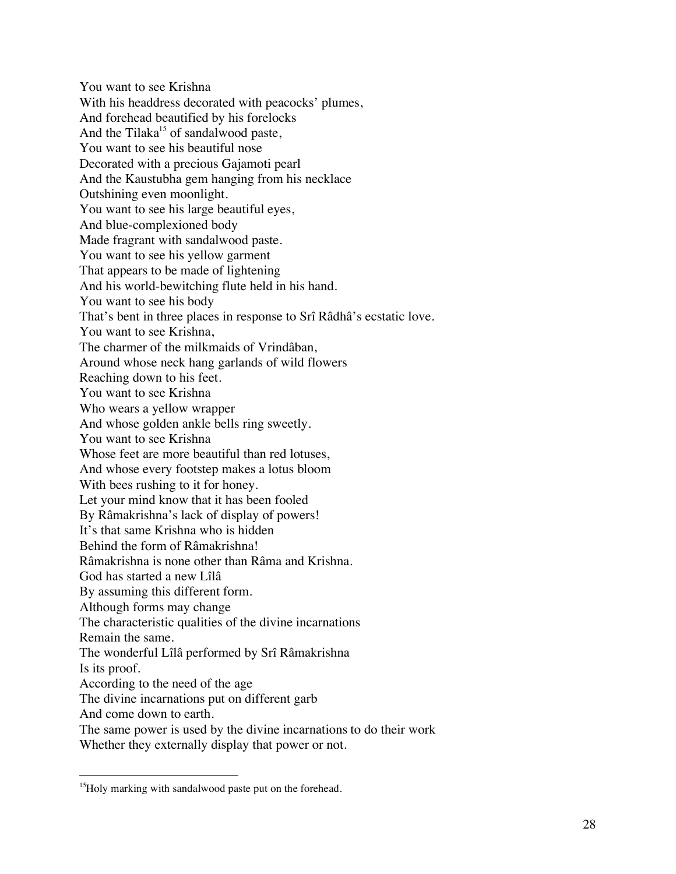You want to see Krishna With his headdress decorated with peacocks' plumes, And forehead beautified by his forelocks And the Tilaka<sup>15</sup> of sandalwood paste, You want to see his beautiful nose Decorated with a precious Gajamoti pearl And the Kaustubha gem hanging from his necklace Outshining even moonlight. You want to see his large beautiful eyes, And blue-complexioned body Made fragrant with sandalwood paste. You want to see his yellow garment That appears to be made of lightening And his world-bewitching flute held in his hand. You want to see his body That's bent in three places in response to Srî Râdhâ's ecstatic love. You want to see Krishna, The charmer of the milkmaids of Vrindâban, Around whose neck hang garlands of wild flowers Reaching down to his feet. You want to see Krishna Who wears a yellow wrapper And whose golden ankle bells ring sweetly. You want to see Krishna Whose feet are more beautiful than red lotuses, And whose every footstep makes a lotus bloom With bees rushing to it for honey. Let your mind know that it has been fooled By Râmakrishna's lack of display of powers! It's that same Krishna who is hidden Behind the form of Râmakrishna! Râmakrishna is none other than Râma and Krishna. God has started a new Lîlâ By assuming this different form. Although forms may change The characteristic qualities of the divine incarnations Remain the same. The wonderful Lîlâ performed by Srî Râmakrishna Is its proof. According to the need of the age The divine incarnations put on different garb And come down to earth. The same power is used by the divine incarnations to do their work Whether they externally display that power or not.

<sup>&</sup>lt;sup>15</sup>Holy marking with sandalwood paste put on the forehead.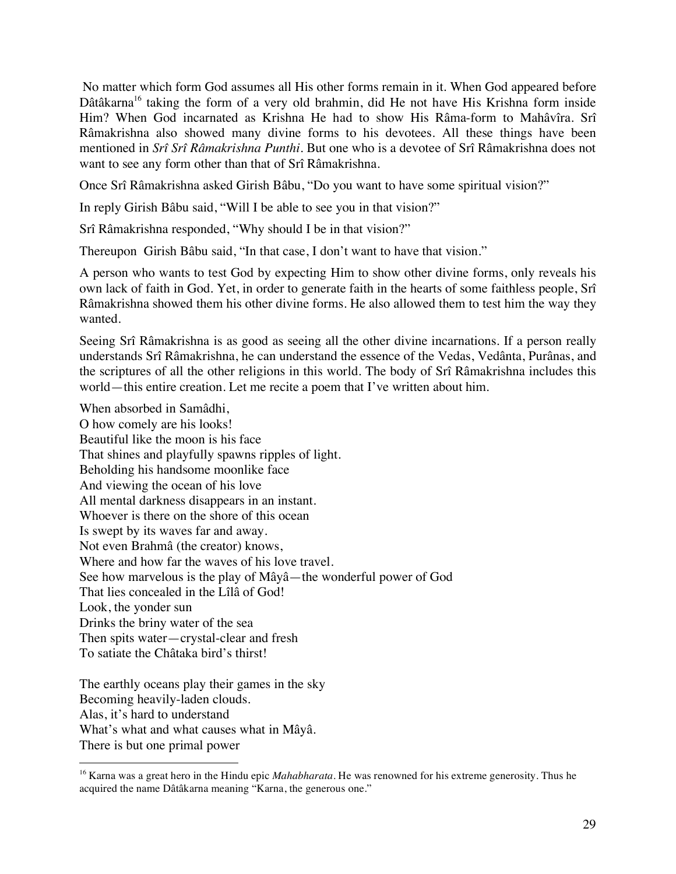No matter which form God assumes all His other forms remain in it. When God appeared before Dâtâkarna<sup>16</sup> taking the form of a very old brahmin, did He not have His Krishna form inside Him? When God incarnated as Krishna He had to show His Râma-form to Mahâvîra. Srî Râmakrishna also showed many divine forms to his devotees. All these things have been mentioned in *Srî Srî Râmakrishna Punthi*. But one who is a devotee of Srî Râmakrishna does not want to see any form other than that of Srî Râmakrishna.

Once Srî Râmakrishna asked Girish Bâbu, "Do you want to have some spiritual vision?"

In reply Girish Bâbu said, "Will I be able to see you in that vision?"

Srî Râmakrishna responded, "Why should I be in that vision?"

Thereupon Girish Bâbu said, "In that case, I don't want to have that vision."

A person who wants to test God by expecting Him to show other divine forms, only reveals his own lack of faith in God. Yet, in order to generate faith in the hearts of some faithless people, Srî Râmakrishna showed them his other divine forms. He also allowed them to test him the way they wanted.

Seeing Srî Râmakrishna is as good as seeing all the other divine incarnations. If a person really understands Srî Râmakrishna, he can understand the essence of the Vedas, Vedânta, Purânas, and the scriptures of all the other religions in this world. The body of Srî Râmakrishna includes this world—this entire creation. Let me recite a poem that I've written about him.

When absorbed in Samâdhi, O how comely are his looks! Beautiful like the moon is his face That shines and playfully spawns ripples of light. Beholding his handsome moonlike face And viewing the ocean of his love All mental darkness disappears in an instant. Whoever is there on the shore of this ocean Is swept by its waves far and away. Not even Brahmâ (the creator) knows, Where and how far the waves of his love travel. See how marvelous is the play of Mâyâ—the wonderful power of God That lies concealed in the Lîlâ of God! Look, the yonder sun Drinks the briny water of the sea Then spits water—crystal-clear and fresh To satiate the Châtaka bird's thirst!

The earthly oceans play their games in the sky Becoming heavily-laden clouds. Alas, it's hard to understand What's what and what causes what in Mâyâ. There is but one primal power

 <sup>16</sup> Karna was a great hero in the Hindu epic *Mahabharata*. He was renowned for his extreme generosity. Thus he acquired the name Dâtâkarna meaning "Karna, the generous one."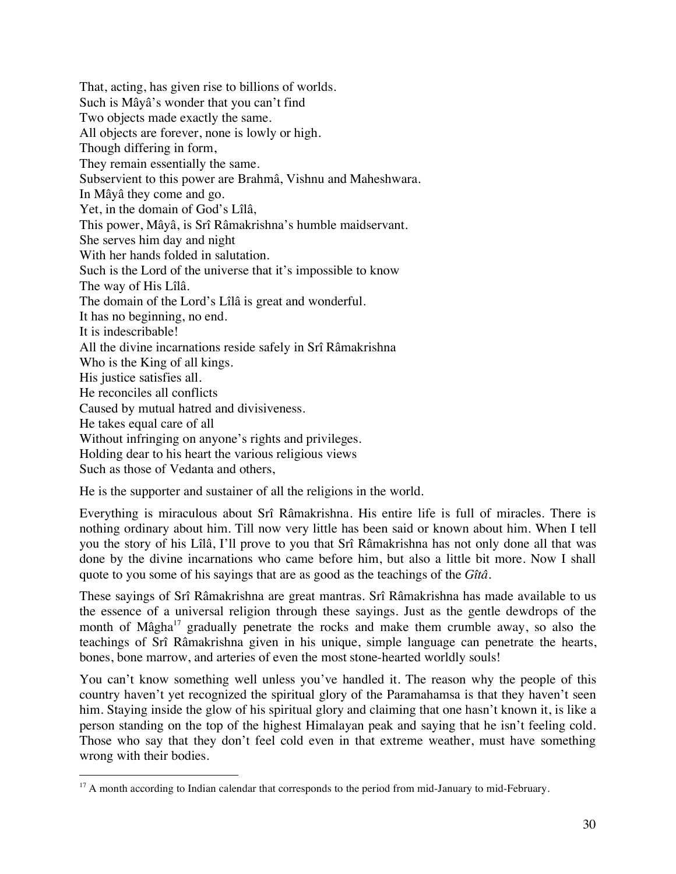That, acting, has given rise to billions of worlds. Such is Mâyâ's wonder that you can't find Two objects made exactly the same. All objects are forever, none is lowly or high. Though differing in form, They remain essentially the same. Subservient to this power are Brahmâ, Vishnu and Maheshwara. In Mâyâ they come and go. Yet, in the domain of God's Lîlâ, This power, Mâyâ, is Srî Râmakrishna's humble maidservant. She serves him day and night With her hands folded in salutation. Such is the Lord of the universe that it's impossible to know The way of His Lîlâ. The domain of the Lord's Lîlâ is great and wonderful. It has no beginning, no end. It is indescribable! All the divine incarnations reside safely in Srî Râmakrishna Who is the King of all kings. His justice satisfies all. He reconciles all conflicts Caused by mutual hatred and divisiveness. He takes equal care of all Without infringing on anyone's rights and privileges. Holding dear to his heart the various religious views Such as those of Vedanta and others,

He is the supporter and sustainer of all the religions in the world.

Everything is miraculous about Srî Râmakrishna. His entire life is full of miracles. There is nothing ordinary about him. Till now very little has been said or known about him. When I tell you the story of his Lîlâ, I'll prove to you that Srî Râmakrishna has not only done all that was done by the divine incarnations who came before him, but also a little bit more. Now I shall quote to you some of his sayings that are as good as the teachings of the *Gîtâ.*

These sayings of Srî Râmakrishna are great mantras. Srî Râmakrishna has made available to us the essence of a universal religion through these sayings. Just as the gentle dewdrops of the month of Mâgha $17$  gradually penetrate the rocks and make them crumble away, so also the teachings of Srî Râmakrishna given in his unique, simple language can penetrate the hearts, bones, bone marrow, and arteries of even the most stone-hearted worldly souls!

You can't know something well unless you've handled it. The reason why the people of this country haven't yet recognized the spiritual glory of the Paramahamsa is that they haven't seen him. Staying inside the glow of his spiritual glory and claiming that one hasn't known it, is like a person standing on the top of the highest Himalayan peak and saying that he isn't feeling cold. Those who say that they don't feel cold even in that extreme weather, must have something wrong with their bodies.

<sup>&</sup>lt;sup>17</sup> A month according to Indian calendar that corresponds to the period from mid-January to mid-February.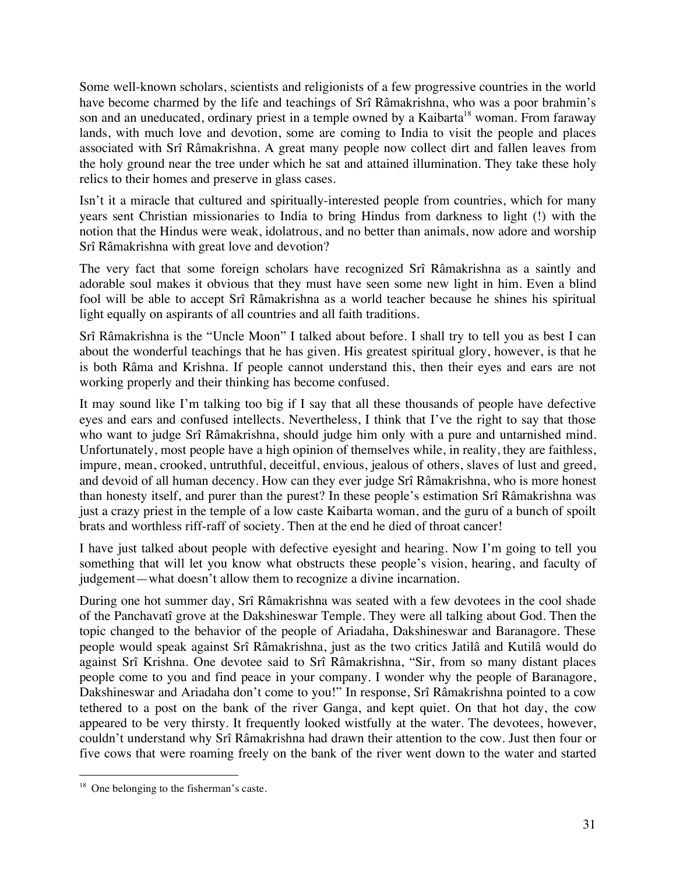Some well-known scholars, scientists and religionists of a few progressive countries in the world have become charmed by the life and teachings of Srî Râmakrishna, who was a poor brahmin's son and an uneducated, ordinary priest in a temple owned by a Kaibarta<sup>18</sup> woman. From faraway lands, with much love and devotion, some are coming to India to visit the people and places associated with Srî Râmakrishna. A great many people now collect dirt and fallen leaves from the holy ground near the tree under which he sat and attained illumination. They take these holy relics to their homes and preserve in glass cases.

Isn't it a miracle that cultured and spiritually-interested people from countries, which for many years sent Christian missionaries to India to bring Hindus from darkness to light (!) with the notion that the Hindus were weak, idolatrous, and no better than animals, now adore and worship Srî Râmakrishna with great love and devotion?

The very fact that some foreign scholars have recognized Srî Râmakrishna as a saintly and adorable soul makes it obvious that they must have seen some new light in him. Even a blind fool will be able to accept Srî Râmakrishna as a world teacher because he shines his spiritual light equally on aspirants of all countries and all faith traditions.

Srî Râmakrishna is the "Uncle Moon" I talked about before. I shall try to tell you as best I can about the wonderful teachings that he has given. His greatest spiritual glory, however, is that he is both Râma and Krishna. If people cannot understand this, then their eyes and ears are not working properly and their thinking has become confused.

It may sound like I'm talking too big if I say that all these thousands of people have defective eyes and ears and confused intellects. Nevertheless, I think that I've the right to say that those who want to judge Srî Râmakrishna, should judge him only with a pure and untarnished mind. Unfortunately, most people have a high opinion of themselves while, in reality, they are faithless, impure, mean, crooked, untruthful, deceitful, envious, jealous of others, slaves of lust and greed, and devoid of all human decency. How can they ever judge Srî Râmakrishna, who is more honest than honesty itself, and purer than the purest? In these people's estimation Srî Râmakrishna was just a crazy priest in the temple of a low caste Kaibarta woman, and the guru of a bunch of spoilt brats and worthless riff-raff of society. Then at the end he died of throat cancer!

I have just talked about people with defective eyesight and hearing. Now I'm going to tell you something that will let you know what obstructs these people's vision, hearing, and faculty of judgement—what doesn't allow them to recognize a divine incarnation.

During one hot summer day, Srî Râmakrishna was seated with a few devotees in the cool shade of the Panchavatî grove at the Dakshineswar Temple. They were all talking about God. Then the topic changed to the behavior of the people of Ariadaha, Dakshineswar and Baranagore. These people would speak against Srî Râmakrishna, just as the two critics Jatilâ and Kutilâ would do against Srî Krishna. One devotee said to Srî Râmakrishna, "Sir, from so many distant places people come to you and find peace in your company. I wonder why the people of Baranagore, Dakshineswar and Ariadaha don't come to you!" In response, Srî Râmakrishna pointed to a cow tethered to a post on the bank of the river Ganga, and kept quiet. On that hot day, the cow appeared to be very thirsty. It frequently looked wistfully at the water. The devotees, however, couldn't understand why Srî Râmakrishna had drawn their attention to the cow. Just then four or five cows that were roaming freely on the bank of the river went down to the water and started

 $18$  One belonging to the fisherman's caste.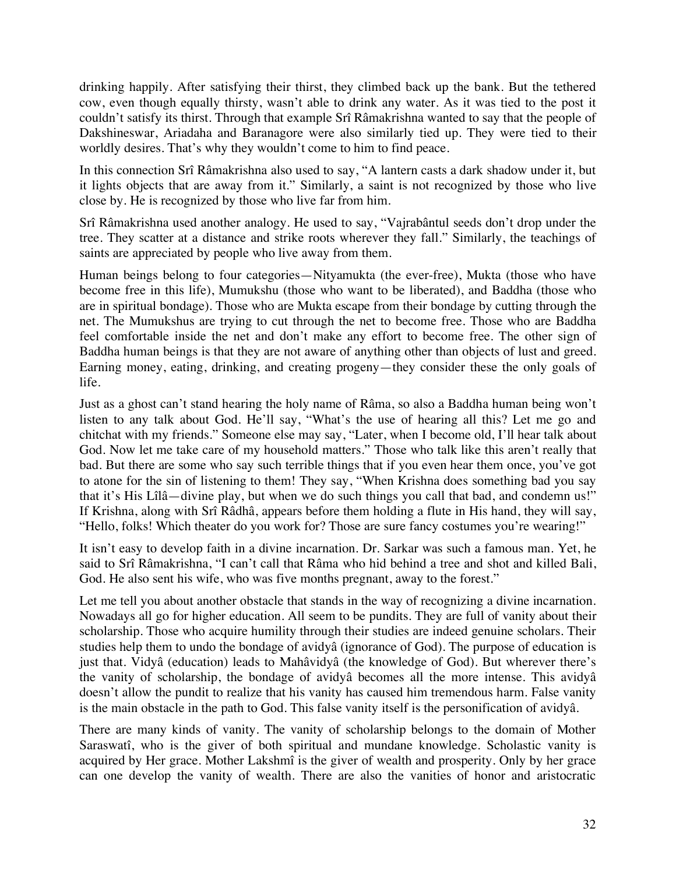drinking happily. After satisfying their thirst, they climbed back up the bank. But the tethered cow, even though equally thirsty, wasn't able to drink any water. As it was tied to the post it couldn't satisfy its thirst. Through that example Srî Râmakrishna wanted to say that the people of Dakshineswar, Ariadaha and Baranagore were also similarly tied up. They were tied to their worldly desires. That's why they wouldn't come to him to find peace.

In this connection Srî Râmakrishna also used to say, "A lantern casts a dark shadow under it, but it lights objects that are away from it." Similarly, a saint is not recognized by those who live close by. He is recognized by those who live far from him.

Srî Râmakrishna used another analogy. He used to say, "Vajrabântul seeds don't drop under the tree. They scatter at a distance and strike roots wherever they fall." Similarly, the teachings of saints are appreciated by people who live away from them.

Human beings belong to four categories—Nityamukta (the ever-free), Mukta (those who have become free in this life), Mumukshu (those who want to be liberated), and Baddha (those who are in spiritual bondage). Those who are Mukta escape from their bondage by cutting through the net. The Mumukshus are trying to cut through the net to become free. Those who are Baddha feel comfortable inside the net and don't make any effort to become free. The other sign of Baddha human beings is that they are not aware of anything other than objects of lust and greed. Earning money, eating, drinking, and creating progeny—they consider these the only goals of life.

Just as a ghost can't stand hearing the holy name of Râma, so also a Baddha human being won't listen to any talk about God. He'll say, "What's the use of hearing all this? Let me go and chitchat with my friends." Someone else may say, "Later, when I become old, I'll hear talk about God. Now let me take care of my household matters." Those who talk like this aren't really that bad. But there are some who say such terrible things that if you even hear them once, you've got to atone for the sin of listening to them! They say, "When Krishna does something bad you say that it's His Lîlâ—divine play, but when we do such things you call that bad, and condemn us!" If Krishna, along with Srî Râdhâ, appears before them holding a flute in His hand, they will say, "Hello, folks! Which theater do you work for? Those are sure fancy costumes you're wearing!"

It isn't easy to develop faith in a divine incarnation. Dr. Sarkar was such a famous man. Yet, he said to Srî Râmakrishna, "I can't call that Râma who hid behind a tree and shot and killed Bali, God. He also sent his wife, who was five months pregnant, away to the forest."

Let me tell you about another obstacle that stands in the way of recognizing a divine incarnation. Nowadays all go for higher education. All seem to be pundits. They are full of vanity about their scholarship. Those who acquire humility through their studies are indeed genuine scholars. Their studies help them to undo the bondage of avidyâ (ignorance of God). The purpose of education is just that. Vidyâ (education) leads to Mahâvidyâ (the knowledge of God). But wherever there's the vanity of scholarship, the bondage of avidyâ becomes all the more intense. This avidyâ doesn't allow the pundit to realize that his vanity has caused him tremendous harm. False vanity is the main obstacle in the path to God. This false vanity itself is the personification of avidyâ.

There are many kinds of vanity. The vanity of scholarship belongs to the domain of Mother Saraswatî, who is the giver of both spiritual and mundane knowledge. Scholastic vanity is acquired by Her grace. Mother Lakshmî is the giver of wealth and prosperity. Only by her grace can one develop the vanity of wealth. There are also the vanities of honor and aristocratic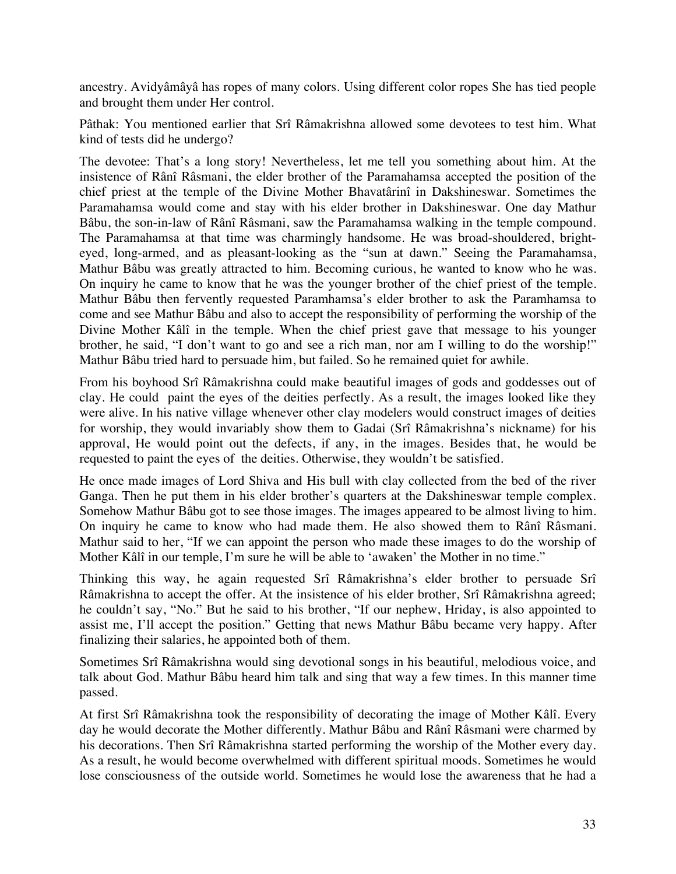ancestry. Avidyâmâyâ has ropes of many colors. Using different color ropes She has tied people and brought them under Her control.

Pâthak: You mentioned earlier that Srî Râmakrishna allowed some devotees to test him. What kind of tests did he undergo?

The devotee: That's a long story! Nevertheless, let me tell you something about him. At the insistence of Rânî Râsmani, the elder brother of the Paramahamsa accepted the position of the chief priest at the temple of the Divine Mother Bhavatârinî in Dakshineswar. Sometimes the Paramahamsa would come and stay with his elder brother in Dakshineswar. One day Mathur Bâbu, the son-in-law of Rânî Râsmani, saw the Paramahamsa walking in the temple compound. The Paramahamsa at that time was charmingly handsome. He was broad-shouldered, brighteyed, long-armed, and as pleasant-looking as the "sun at dawn." Seeing the Paramahamsa, Mathur Bâbu was greatly attracted to him. Becoming curious, he wanted to know who he was. On inquiry he came to know that he was the younger brother of the chief priest of the temple. Mathur Bâbu then fervently requested Paramhamsa's elder brother to ask the Paramhamsa to come and see Mathur Bâbu and also to accept the responsibility of performing the worship of the Divine Mother Kâlî in the temple. When the chief priest gave that message to his younger brother, he said, "I don't want to go and see a rich man, nor am I willing to do the worship!" Mathur Bâbu tried hard to persuade him, but failed. So he remained quiet for awhile.

From his boyhood Srî Râmakrishna could make beautiful images of gods and goddesses out of clay. He could paint the eyes of the deities perfectly. As a result, the images looked like they were alive. In his native village whenever other clay modelers would construct images of deities for worship, they would invariably show them to Gadai (Srî Râmakrishna's nickname) for his approval, He would point out the defects, if any, in the images. Besides that, he would be requested to paint the eyes of the deities. Otherwise, they wouldn't be satisfied.

He once made images of Lord Shiva and His bull with clay collected from the bed of the river Ganga. Then he put them in his elder brother's quarters at the Dakshineswar temple complex. Somehow Mathur Bâbu got to see those images. The images appeared to be almost living to him. On inquiry he came to know who had made them. He also showed them to Rânî Râsmani. Mathur said to her, "If we can appoint the person who made these images to do the worship of Mother Kâlî in our temple, I'm sure he will be able to 'awaken' the Mother in no time."

Thinking this way, he again requested Srî Râmakrishna's elder brother to persuade Srî Râmakrishna to accept the offer. At the insistence of his elder brother, Srî Râmakrishna agreed; he couldn't say, "No." But he said to his brother, "If our nephew, Hriday, is also appointed to assist me, I'll accept the position." Getting that news Mathur Bâbu became very happy. After finalizing their salaries, he appointed both of them.

Sometimes Srî Râmakrishna would sing devotional songs in his beautiful, melodious voice, and talk about God. Mathur Bâbu heard him talk and sing that way a few times. In this manner time passed.

At first Srî Râmakrishna took the responsibility of decorating the image of Mother Kâlî. Every day he would decorate the Mother differently. Mathur Bâbu and Rânî Râsmani were charmed by his decorations. Then Srî Râmakrishna started performing the worship of the Mother every day. As a result, he would become overwhelmed with different spiritual moods. Sometimes he would lose consciousness of the outside world. Sometimes he would lose the awareness that he had a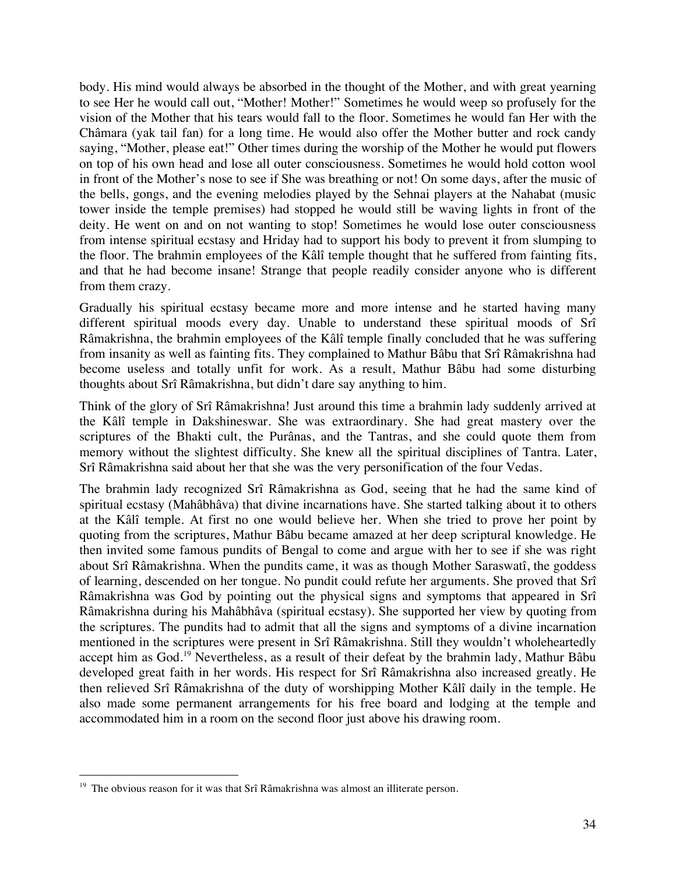body. His mind would always be absorbed in the thought of the Mother, and with great yearning to see Her he would call out, "Mother! Mother!" Sometimes he would weep so profusely for the vision of the Mother that his tears would fall to the floor. Sometimes he would fan Her with the Châmara (yak tail fan) for a long time. He would also offer the Mother butter and rock candy saying, "Mother, please eat!" Other times during the worship of the Mother he would put flowers on top of his own head and lose all outer consciousness. Sometimes he would hold cotton wool in front of the Mother's nose to see if She was breathing or not! On some days, after the music of the bells, gongs, and the evening melodies played by the Sehnai players at the Nahabat (music tower inside the temple premises) had stopped he would still be waving lights in front of the deity. He went on and on not wanting to stop! Sometimes he would lose outer consciousness from intense spiritual ecstasy and Hriday had to support his body to prevent it from slumping to the floor. The brahmin employees of the Kâlî temple thought that he suffered from fainting fits, and that he had become insane! Strange that people readily consider anyone who is different from them crazy.

Gradually his spiritual ecstasy became more and more intense and he started having many different spiritual moods every day. Unable to understand these spiritual moods of Srî Râmakrishna, the brahmin employees of the Kâlî temple finally concluded that he was suffering from insanity as well as fainting fits. They complained to Mathur Bâbu that Srî Râmakrishna had become useless and totally unfit for work. As a result, Mathur Bâbu had some disturbing thoughts about Srî Râmakrishna, but didn't dare say anything to him.

Think of the glory of Srî Râmakrishna! Just around this time a brahmin lady suddenly arrived at the Kâlî temple in Dakshineswar. She was extraordinary. She had great mastery over the scriptures of the Bhakti cult, the Purânas, and the Tantras, and she could quote them from memory without the slightest difficulty. She knew all the spiritual disciplines of Tantra. Later, Srî Râmakrishna said about her that she was the very personification of the four Vedas.

The brahmin lady recognized Srî Râmakrishna as God, seeing that he had the same kind of spiritual ecstasy (Mahâbhâva) that divine incarnations have. She started talking about it to others at the Kâlî temple. At first no one would believe her. When she tried to prove her point by quoting from the scriptures, Mathur Bâbu became amazed at her deep scriptural knowledge. He then invited some famous pundits of Bengal to come and argue with her to see if she was right about Srî Râmakrishna. When the pundits came, it was as though Mother Saraswatî, the goddess of learning, descended on her tongue. No pundit could refute her arguments. She proved that Srî Râmakrishna was God by pointing out the physical signs and symptoms that appeared in Srî Râmakrishna during his Mahâbhâva (spiritual ecstasy). She supported her view by quoting from the scriptures. The pundits had to admit that all the signs and symptoms of a divine incarnation mentioned in the scriptures were present in Srî Râmakrishna. Still they wouldn't wholeheartedly accept him as God.<sup>19</sup> Nevertheless, as a result of their defeat by the brahmin lady, Mathur Bâbu developed great faith in her words. His respect for Srî Râmakrishna also increased greatly. He then relieved Srî Râmakrishna of the duty of worshipping Mother Kâlî daily in the temple. He also made some permanent arrangements for his free board and lodging at the temple and accommodated him in a room on the second floor just above his drawing room.

 $19$  The obvious reason for it was that Srî Râmakrishna was almost an illiterate person.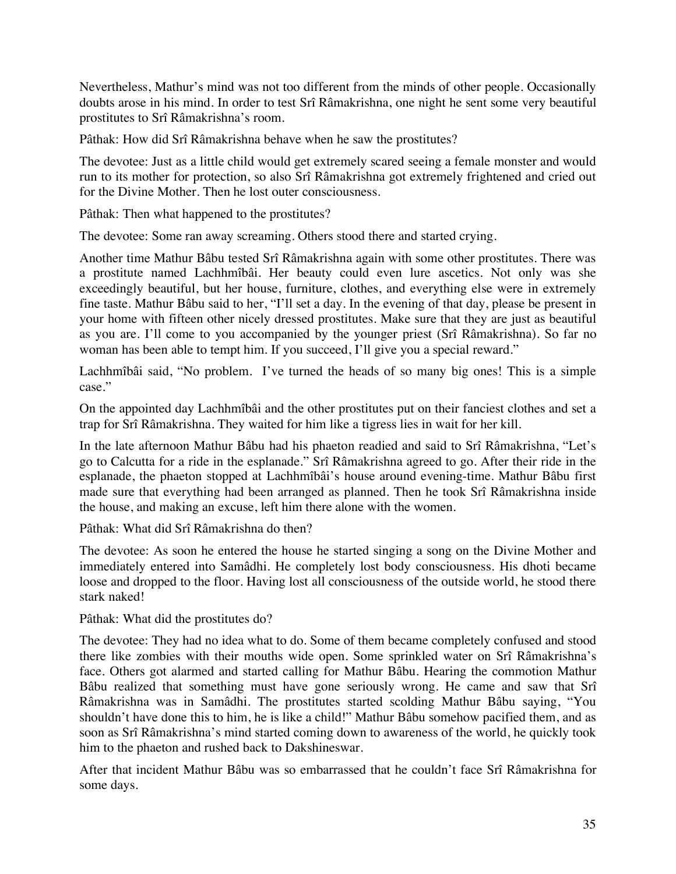Nevertheless, Mathur's mind was not too different from the minds of other people. Occasionally doubts arose in his mind. In order to test Srî Râmakrishna, one night he sent some very beautiful prostitutes to Srî Râmakrishna's room.

Pâthak: How did Srî Râmakrishna behave when he saw the prostitutes?

The devotee: Just as a little child would get extremely scared seeing a female monster and would run to its mother for protection, so also Srî Râmakrishna got extremely frightened and cried out for the Divine Mother. Then he lost outer consciousness.

Pâthak: Then what happened to the prostitutes?

The devotee: Some ran away screaming. Others stood there and started crying.

Another time Mathur Bâbu tested Srî Râmakrishna again with some other prostitutes. There was a prostitute named Lachhmîbâi. Her beauty could even lure ascetics. Not only was she exceedingly beautiful, but her house, furniture, clothes, and everything else were in extremely fine taste. Mathur Bâbu said to her, "I'll set a day. In the evening of that day, please be present in your home with fifteen other nicely dressed prostitutes. Make sure that they are just as beautiful as you are. I'll come to you accompanied by the younger priest (Srî Râmakrishna). So far no woman has been able to tempt him. If you succeed, I'll give you a special reward."

Lachhmîbâi said, "No problem. I've turned the heads of so many big ones! This is a simple case."

On the appointed day Lachhmîbâi and the other prostitutes put on their fanciest clothes and set a trap for Srî Râmakrishna. They waited for him like a tigress lies in wait for her kill.

In the late afternoon Mathur Bâbu had his phaeton readied and said to Srî Râmakrishna, "Let's go to Calcutta for a ride in the esplanade." Srî Râmakrishna agreed to go. After their ride in the esplanade, the phaeton stopped at Lachhmîbâi's house around evening-time. Mathur Bâbu first made sure that everything had been arranged as planned. Then he took Srî Râmakrishna inside the house, and making an excuse, left him there alone with the women.

Pâthak: What did Srî Râmakrishna do then?

The devotee: As soon he entered the house he started singing a song on the Divine Mother and immediately entered into Samâdhi. He completely lost body consciousness. His dhoti became loose and dropped to the floor. Having lost all consciousness of the outside world, he stood there stark naked!

Pâthak: What did the prostitutes do?

The devotee: They had no idea what to do. Some of them became completely confused and stood there like zombies with their mouths wide open. Some sprinkled water on Srî Râmakrishna's face. Others got alarmed and started calling for Mathur Bâbu. Hearing the commotion Mathur Bâbu realized that something must have gone seriously wrong. He came and saw that Srî Râmakrishna was in Samâdhi. The prostitutes started scolding Mathur Bâbu saying, "You shouldn't have done this to him, he is like a child!" Mathur Bâbu somehow pacified them, and as soon as Srî Râmakrishna's mind started coming down to awareness of the world, he quickly took him to the phaeton and rushed back to Dakshineswar.

After that incident Mathur Bâbu was so embarrassed that he couldn't face Srî Râmakrishna for some days.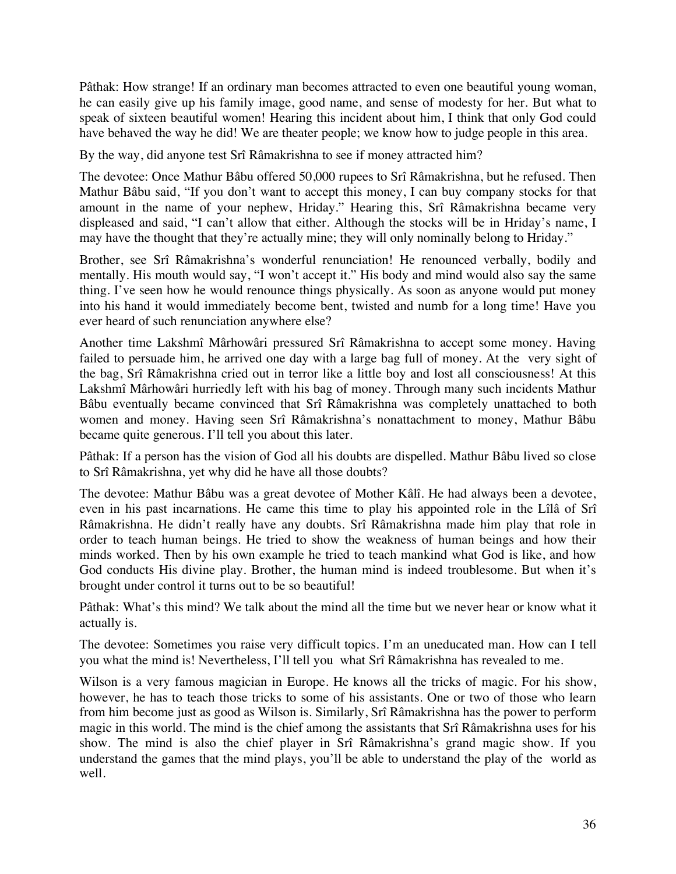Pâthak: How strange! If an ordinary man becomes attracted to even one beautiful young woman, he can easily give up his family image, good name, and sense of modesty for her. But what to speak of sixteen beautiful women! Hearing this incident about him, I think that only God could have behaved the way he did! We are theater people; we know how to judge people in this area.

By the way, did anyone test Srî Râmakrishna to see if money attracted him?

The devotee: Once Mathur Bâbu offered 50,000 rupees to Srî Râmakrishna, but he refused. Then Mathur Bâbu said, "If you don't want to accept this money, I can buy company stocks for that amount in the name of your nephew, Hriday." Hearing this, Srî Râmakrishna became very displeased and said, "I can't allow that either. Although the stocks will be in Hriday's name, I may have the thought that they're actually mine; they will only nominally belong to Hriday."

Brother, see Srî Râmakrishna's wonderful renunciation! He renounced verbally, bodily and mentally. His mouth would say, "I won't accept it." His body and mind would also say the same thing. I've seen how he would renounce things physically. As soon as anyone would put money into his hand it would immediately become bent, twisted and numb for a long time! Have you ever heard of such renunciation anywhere else?

Another time Lakshmî Mârhowâri pressured Srî Râmakrishna to accept some money. Having failed to persuade him, he arrived one day with a large bag full of money. At the very sight of the bag, Srî Râmakrishna cried out in terror like a little boy and lost all consciousness! At this Lakshmî Mârhowâri hurriedly left with his bag of money. Through many such incidents Mathur Bâbu eventually became convinced that Srî Râmakrishna was completely unattached to both women and money. Having seen Srî Râmakrishna's nonattachment to money, Mathur Bâbu became quite generous. I'll tell you about this later.

Pâthak: If a person has the vision of God all his doubts are dispelled. Mathur Bâbu lived so close to Srî Râmakrishna, yet why did he have all those doubts?

The devotee: Mathur Bâbu was a great devotee of Mother Kâlî. He had always been a devotee, even in his past incarnations. He came this time to play his appointed role in the Lîlâ of Srî Râmakrishna. He didn't really have any doubts. Srî Râmakrishna made him play that role in order to teach human beings. He tried to show the weakness of human beings and how their minds worked. Then by his own example he tried to teach mankind what God is like, and how God conducts His divine play. Brother, the human mind is indeed troublesome. But when it's brought under control it turns out to be so beautiful!

Pâthak: What's this mind? We talk about the mind all the time but we never hear or know what it actually is.

The devotee: Sometimes you raise very difficult topics. I'm an uneducated man. How can I tell you what the mind is! Nevertheless, I'll tell you what Srî Râmakrishna has revealed to me.

Wilson is a very famous magician in Europe. He knows all the tricks of magic. For his show, however, he has to teach those tricks to some of his assistants. One or two of those who learn from him become just as good as Wilson is. Similarly, Srî Râmakrishna has the power to perform magic in this world. The mind is the chief among the assistants that Srî Râmakrishna uses for his show. The mind is also the chief player in Srî Râmakrishna's grand magic show. If you understand the games that the mind plays, you'll be able to understand the play of the world as well.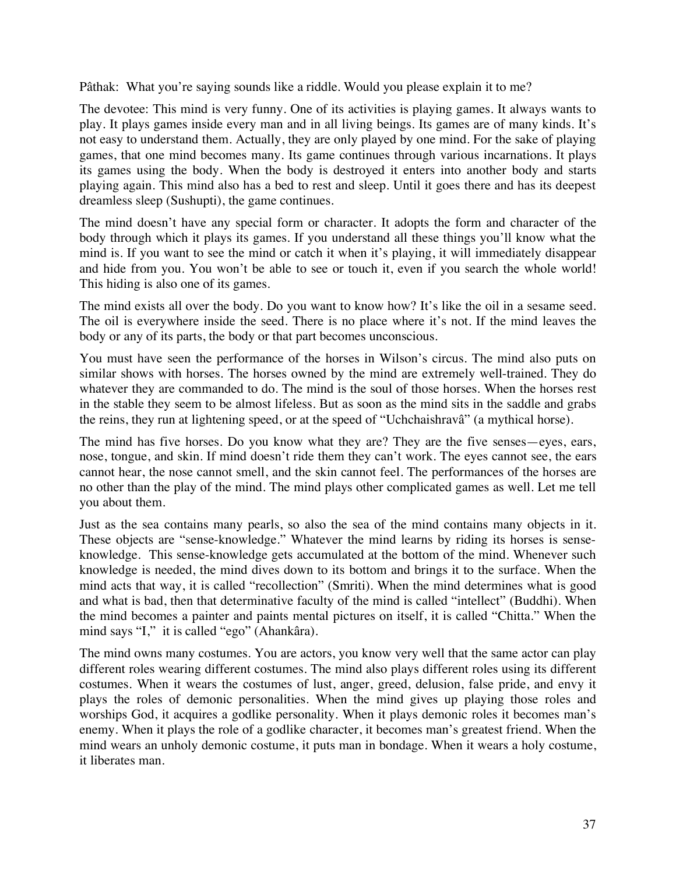Pâthak: What you're saying sounds like a riddle. Would you please explain it to me?

The devotee: This mind is very funny. One of its activities is playing games. It always wants to play. It plays games inside every man and in all living beings. Its games are of many kinds. It's not easy to understand them. Actually, they are only played by one mind. For the sake of playing games, that one mind becomes many. Its game continues through various incarnations. It plays its games using the body. When the body is destroyed it enters into another body and starts playing again. This mind also has a bed to rest and sleep. Until it goes there and has its deepest dreamless sleep (Sushupti), the game continues.

The mind doesn't have any special form or character. It adopts the form and character of the body through which it plays its games. If you understand all these things you'll know what the mind is. If you want to see the mind or catch it when it's playing, it will immediately disappear and hide from you. You won't be able to see or touch it, even if you search the whole world! This hiding is also one of its games.

The mind exists all over the body. Do you want to know how? It's like the oil in a sesame seed. The oil is everywhere inside the seed. There is no place where it's not. If the mind leaves the body or any of its parts, the body or that part becomes unconscious.

You must have seen the performance of the horses in Wilson's circus. The mind also puts on similar shows with horses. The horses owned by the mind are extremely well-trained. They do whatever they are commanded to do. The mind is the soul of those horses. When the horses rest in the stable they seem to be almost lifeless. But as soon as the mind sits in the saddle and grabs the reins, they run at lightening speed, or at the speed of "Uchchaishravâ" (a mythical horse).

The mind has five horses. Do you know what they are? They are the five senses—eyes, ears, nose, tongue, and skin. If mind doesn't ride them they can't work. The eyes cannot see, the ears cannot hear, the nose cannot smell, and the skin cannot feel. The performances of the horses are no other than the play of the mind. The mind plays other complicated games as well. Let me tell you about them.

Just as the sea contains many pearls, so also the sea of the mind contains many objects in it. These objects are "sense-knowledge." Whatever the mind learns by riding its horses is senseknowledge. This sense-knowledge gets accumulated at the bottom of the mind. Whenever such knowledge is needed, the mind dives down to its bottom and brings it to the surface. When the mind acts that way, it is called "recollection" (Smriti). When the mind determines what is good and what is bad, then that determinative faculty of the mind is called "intellect" (Buddhi). When the mind becomes a painter and paints mental pictures on itself, it is called "Chitta." When the mind says "I," it is called "ego" (Ahankâra).

The mind owns many costumes. You are actors, you know very well that the same actor can play different roles wearing different costumes. The mind also plays different roles using its different costumes. When it wears the costumes of lust, anger, greed, delusion, false pride, and envy it plays the roles of demonic personalities. When the mind gives up playing those roles and worships God, it acquires a godlike personality. When it plays demonic roles it becomes man's enemy. When it plays the role of a godlike character, it becomes man's greatest friend. When the mind wears an unholy demonic costume, it puts man in bondage. When it wears a holy costume, it liberates man.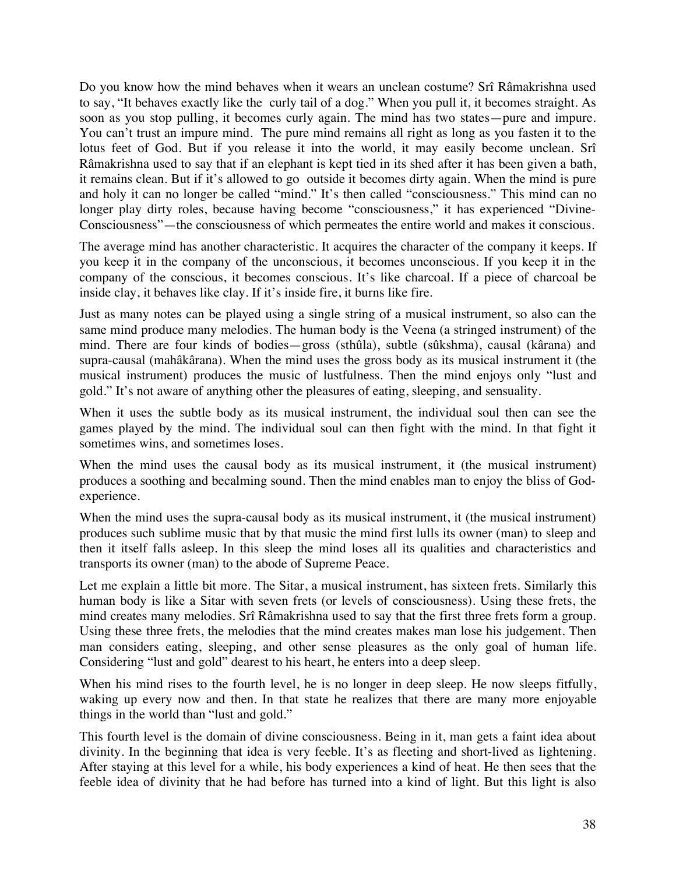Do you know how the mind behaves when it wears an unclean costume? Srî Râmakrishna used to say, "It behaves exactly like the curly tail of a dog." When you pull it, it becomes straight. As soon as you stop pulling, it becomes curly again. The mind has two states—pure and impure. You can't trust an impure mind. The pure mind remains all right as long as you fasten it to the lotus feet of God. But if you release it into the world, it may easily become unclean. Srî Râmakrishna used to say that if an elephant is kept tied in its shed after it has been given a bath, it remains clean. But if it's allowed to go outside it becomes dirty again. When the mind is pure and holy it can no longer be called "mind." It's then called "consciousness." This mind can no longer play dirty roles, because having become "consciousness," it has experienced "Divine-Consciousness"—the consciousness of which permeates the entire world and makes it conscious.

The average mind has another characteristic. It acquires the character of the company it keeps. If you keep it in the company of the unconscious, it becomes unconscious. If you keep it in the company of the conscious, it becomes conscious. It's like charcoal. If a piece of charcoal be inside clay, it behaves like clay. If it's inside fire, it burns like fire.

Just as many notes can be played using a single string of a musical instrument, so also can the same mind produce many melodies. The human body is the Veena (a stringed instrument) of the mind. There are four kinds of bodies—gross (sthûla), subtle (sûkshma), causal (kârana) and supra-causal (mahâkârana). When the mind uses the gross body as its musical instrument it (the musical instrument) produces the music of lustfulness. Then the mind enjoys only "lust and gold." It's not aware of anything other the pleasures of eating, sleeping, and sensuality.

When it uses the subtle body as its musical instrument, the individual soul then can see the games played by the mind. The individual soul can then fight with the mind. In that fight it sometimes wins, and sometimes loses.

When the mind uses the causal body as its musical instrument, it (the musical instrument) produces a soothing and becalming sound. Then the mind enables man to enjoy the bliss of Godexperience.

When the mind uses the supra-causal body as its musical instrument, it (the musical instrument) produces such sublime music that by that music the mind first lulls its owner (man) to sleep and then it itself falls asleep. In this sleep the mind loses all its qualities and characteristics and transports its owner (man) to the abode of Supreme Peace.

Let me explain a little bit more. The Sitar, a musical instrument, has sixteen frets. Similarly this human body is like a Sitar with seven frets (or levels of consciousness). Using these frets, the mind creates many melodies. Srî Râmakrishna used to say that the first three frets form a group. Using these three frets, the melodies that the mind creates makes man lose his judgement. Then man considers eating, sleeping, and other sense pleasures as the only goal of human life. Considering "lust and gold" dearest to his heart, he enters into a deep sleep.

When his mind rises to the fourth level, he is no longer in deep sleep. He now sleeps fitfully, waking up every now and then. In that state he realizes that there are many more enjoyable things in the world than "lust and gold."

This fourth level is the domain of divine consciousness. Being in it, man gets a faint idea about divinity. In the beginning that idea is very feeble. It's as fleeting and short-lived as lightening. After staying at this level for a while, his body experiences a kind of heat. He then sees that the feeble idea of divinity that he had before has turned into a kind of light. But this light is also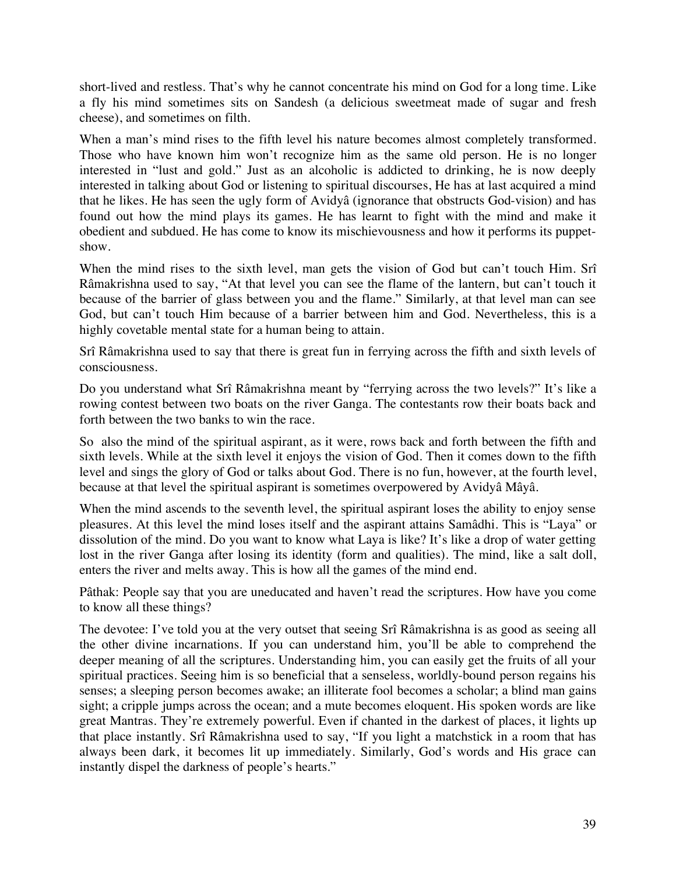short-lived and restless. That's why he cannot concentrate his mind on God for a long time. Like a fly his mind sometimes sits on Sandesh (a delicious sweetmeat made of sugar and fresh cheese), and sometimes on filth.

When a man's mind rises to the fifth level his nature becomes almost completely transformed. Those who have known him won't recognize him as the same old person. He is no longer interested in "lust and gold." Just as an alcoholic is addicted to drinking, he is now deeply interested in talking about God or listening to spiritual discourses, He has at last acquired a mind that he likes. He has seen the ugly form of Avidyâ (ignorance that obstructs God-vision) and has found out how the mind plays its games. He has learnt to fight with the mind and make it obedient and subdued. He has come to know its mischievousness and how it performs its puppetshow.

When the mind rises to the sixth level, man gets the vision of God but can't touch Him. Srî Râmakrishna used to say, "At that level you can see the flame of the lantern, but can't touch it because of the barrier of glass between you and the flame." Similarly, at that level man can see God, but can't touch Him because of a barrier between him and God. Nevertheless, this is a highly covetable mental state for a human being to attain.

Srî Râmakrishna used to say that there is great fun in ferrying across the fifth and sixth levels of consciousness.

Do you understand what Srî Râmakrishna meant by "ferrying across the two levels?" It's like a rowing contest between two boats on the river Ganga. The contestants row their boats back and forth between the two banks to win the race.

So also the mind of the spiritual aspirant, as it were, rows back and forth between the fifth and sixth levels. While at the sixth level it enjoys the vision of God. Then it comes down to the fifth level and sings the glory of God or talks about God. There is no fun, however, at the fourth level, because at that level the spiritual aspirant is sometimes overpowered by Avidyâ Mâyâ.

When the mind ascends to the seventh level, the spiritual aspirant loses the ability to enjoy sense pleasures. At this level the mind loses itself and the aspirant attains Samâdhi. This is "Laya" or dissolution of the mind. Do you want to know what Laya is like? It's like a drop of water getting lost in the river Ganga after losing its identity (form and qualities). The mind, like a salt doll, enters the river and melts away. This is how all the games of the mind end.

Pâthak: People say that you are uneducated and haven't read the scriptures. How have you come to know all these things?

The devotee: I've told you at the very outset that seeing Srî Râmakrishna is as good as seeing all the other divine incarnations. If you can understand him, you'll be able to comprehend the deeper meaning of all the scriptures. Understanding him, you can easily get the fruits of all your spiritual practices. Seeing him is so beneficial that a senseless, worldly-bound person regains his senses; a sleeping person becomes awake; an illiterate fool becomes a scholar; a blind man gains sight; a cripple jumps across the ocean; and a mute becomes eloquent. His spoken words are like great Mantras. They're extremely powerful. Even if chanted in the darkest of places, it lights up that place instantly. Srî Râmakrishna used to say, "If you light a matchstick in a room that has always been dark, it becomes lit up immediately. Similarly, God's words and His grace can instantly dispel the darkness of people's hearts."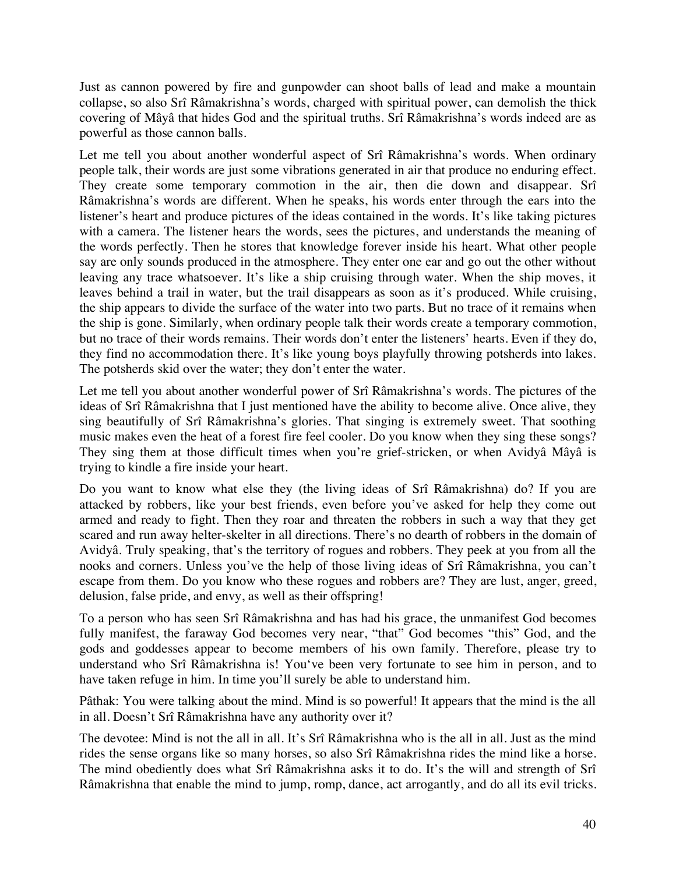Just as cannon powered by fire and gunpowder can shoot balls of lead and make a mountain collapse, so also Srî Râmakrishna's words, charged with spiritual power, can demolish the thick covering of Mâyâ that hides God and the spiritual truths. Srî Râmakrishna's words indeed are as powerful as those cannon balls.

Let me tell you about another wonderful aspect of Srî Râmakrishna's words. When ordinary people talk, their words are just some vibrations generated in air that produce no enduring effect. They create some temporary commotion in the air, then die down and disappear. Srî Râmakrishna's words are different. When he speaks, his words enter through the ears into the listener's heart and produce pictures of the ideas contained in the words. It's like taking pictures with a camera. The listener hears the words, sees the pictures, and understands the meaning of the words perfectly. Then he stores that knowledge forever inside his heart. What other people say are only sounds produced in the atmosphere. They enter one ear and go out the other without leaving any trace whatsoever. It's like a ship cruising through water. When the ship moves, it leaves behind a trail in water, but the trail disappears as soon as it's produced. While cruising, the ship appears to divide the surface of the water into two parts. But no trace of it remains when the ship is gone. Similarly, when ordinary people talk their words create a temporary commotion, but no trace of their words remains. Their words don't enter the listeners' hearts. Even if they do, they find no accommodation there. It's like young boys playfully throwing potsherds into lakes. The potsherds skid over the water; they don't enter the water.

Let me tell you about another wonderful power of Srî Râmakrishna's words. The pictures of the ideas of Srî Râmakrishna that I just mentioned have the ability to become alive. Once alive, they sing beautifully of Srî Râmakrishna's glories. That singing is extremely sweet. That soothing music makes even the heat of a forest fire feel cooler. Do you know when they sing these songs? They sing them at those difficult times when you're grief-stricken, or when Avidyâ Mâyâ is trying to kindle a fire inside your heart.

Do you want to know what else they (the living ideas of Srî Râmakrishna) do? If you are attacked by robbers, like your best friends, even before you've asked for help they come out armed and ready to fight. Then they roar and threaten the robbers in such a way that they get scared and run away helter-skelter in all directions. There's no dearth of robbers in the domain of Avidyâ. Truly speaking, that's the territory of rogues and robbers. They peek at you from all the nooks and corners. Unless you've the help of those living ideas of Srî Râmakrishna, you can't escape from them. Do you know who these rogues and robbers are? They are lust, anger, greed, delusion, false pride, and envy, as well as their offspring!

To a person who has seen Srî Râmakrishna and has had his grace, the unmanifest God becomes fully manifest, the faraway God becomes very near, "that" God becomes "this" God, and the gods and goddesses appear to become members of his own family. Therefore, please try to understand who Srî Râmakrishna is! You've been very fortunate to see him in person, and to have taken refuge in him. In time you'll surely be able to understand him.

Pâthak: You were talking about the mind. Mind is so powerful! It appears that the mind is the all in all. Doesn't Srî Râmakrishna have any authority over it?

The devotee: Mind is not the all in all. It's Srî Râmakrishna who is the all in all. Just as the mind rides the sense organs like so many horses, so also Srî Râmakrishna rides the mind like a horse. The mind obediently does what Srî Râmakrishna asks it to do. It's the will and strength of Srî Râmakrishna that enable the mind to jump, romp, dance, act arrogantly, and do all its evil tricks.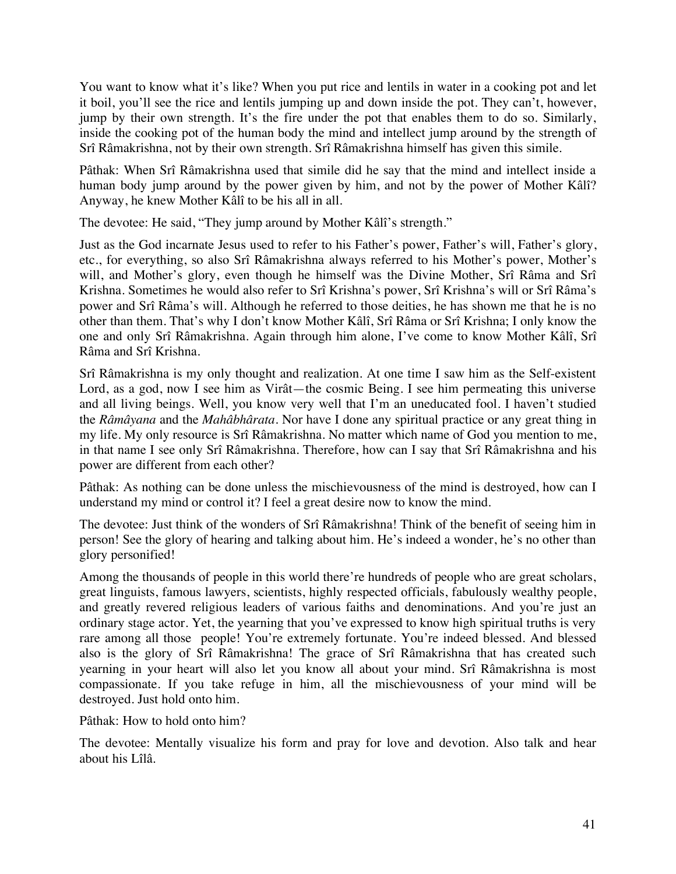You want to know what it's like? When you put rice and lentils in water in a cooking pot and let it boil, you'll see the rice and lentils jumping up and down inside the pot. They can't, however, jump by their own strength. It's the fire under the pot that enables them to do so. Similarly, inside the cooking pot of the human body the mind and intellect jump around by the strength of Srî Râmakrishna, not by their own strength. Srî Râmakrishna himself has given this simile.

Pâthak: When Srî Râmakrishna used that simile did he say that the mind and intellect inside a human body jump around by the power given by him, and not by the power of Mother Kâlî? Anyway, he knew Mother Kâlî to be his all in all.

The devotee: He said, "They jump around by Mother Kâlî's strength."

Just as the God incarnate Jesus used to refer to his Father's power, Father's will, Father's glory, etc., for everything, so also Srî Râmakrishna always referred to his Mother's power, Mother's will, and Mother's glory, even though he himself was the Divine Mother, Srî Râma and Srî Krishna. Sometimes he would also refer to Srî Krishna's power, Srî Krishna's will or Srî Râma's power and Srî Râma's will. Although he referred to those deities, he has shown me that he is no other than them. That's why I don't know Mother Kâlî, Srî Râma or Srî Krishna; I only know the one and only Srî Râmakrishna. Again through him alone, I've come to know Mother Kâlî, Srî Râma and Srî Krishna.

Srî Râmakrishna is my only thought and realization. At one time I saw him as the Self-existent Lord, as a god, now I see him as Virât—the cosmic Being. I see him permeating this universe and all living beings. Well, you know very well that I'm an uneducated fool. I haven't studied the *Râmâyana* and the *Mahâbhârata*. Nor have I done any spiritual practice or any great thing in my life. My only resource is Srî Râmakrishna. No matter which name of God you mention to me, in that name I see only Srî Râmakrishna. Therefore, how can I say that Srî Râmakrishna and his power are different from each other?

Pâthak: As nothing can be done unless the mischievousness of the mind is destroyed, how can I understand my mind or control it? I feel a great desire now to know the mind.

The devotee: Just think of the wonders of Srî Râmakrishna! Think of the benefit of seeing him in person! See the glory of hearing and talking about him. He's indeed a wonder, he's no other than glory personified!

Among the thousands of people in this world there're hundreds of people who are great scholars, great linguists, famous lawyers, scientists, highly respected officials, fabulously wealthy people, and greatly revered religious leaders of various faiths and denominations. And you're just an ordinary stage actor. Yet, the yearning that you've expressed to know high spiritual truths is very rare among all those people! You're extremely fortunate. You're indeed blessed. And blessed also is the glory of Srî Râmakrishna! The grace of Srî Râmakrishna that has created such yearning in your heart will also let you know all about your mind. Srî Râmakrishna is most compassionate. If you take refuge in him, all the mischievousness of your mind will be destroyed. Just hold onto him.

Pâthak: How to hold onto him?

The devotee: Mentally visualize his form and pray for love and devotion. Also talk and hear about his Lîlâ.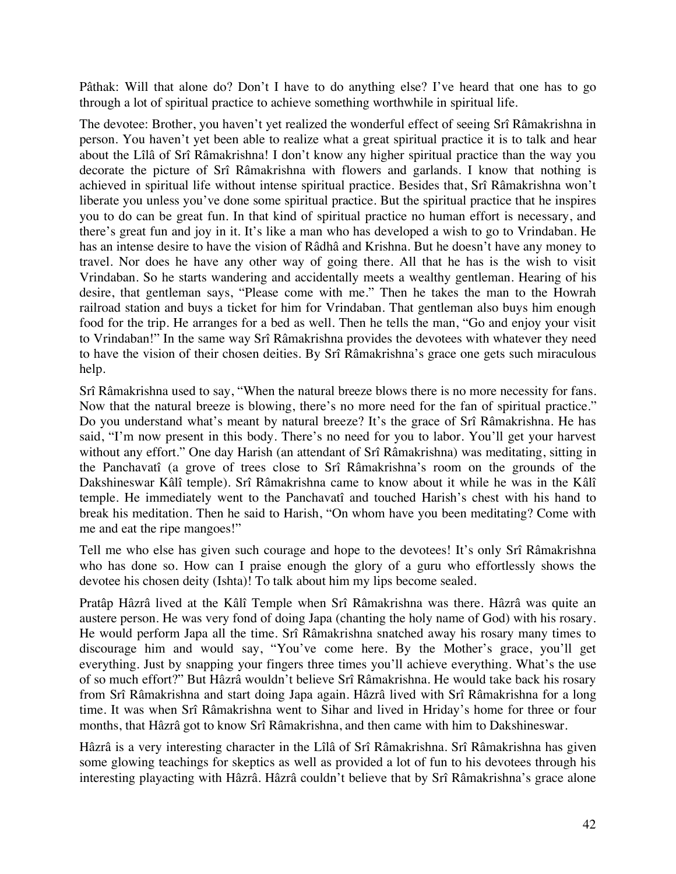Pâthak: Will that alone do? Don't I have to do anything else? I've heard that one has to go through a lot of spiritual practice to achieve something worthwhile in spiritual life.

The devotee: Brother, you haven't yet realized the wonderful effect of seeing Srî Râmakrishna in person. You haven't yet been able to realize what a great spiritual practice it is to talk and hear about the Lîlâ of Srî Râmakrishna! I don't know any higher spiritual practice than the way you decorate the picture of Srî Râmakrishna with flowers and garlands. I know that nothing is achieved in spiritual life without intense spiritual practice. Besides that, Srî Râmakrishna won't liberate you unless you've done some spiritual practice. But the spiritual practice that he inspires you to do can be great fun. In that kind of spiritual practice no human effort is necessary, and there's great fun and joy in it. It's like a man who has developed a wish to go to Vrindaban. He has an intense desire to have the vision of Râdhâ and Krishna. But he doesn't have any money to travel. Nor does he have any other way of going there. All that he has is the wish to visit Vrindaban. So he starts wandering and accidentally meets a wealthy gentleman. Hearing of his desire, that gentleman says, "Please come with me." Then he takes the man to the Howrah railroad station and buys a ticket for him for Vrindaban. That gentleman also buys him enough food for the trip. He arranges for a bed as well. Then he tells the man, "Go and enjoy your visit to Vrindaban!" In the same way Srî Râmakrishna provides the devotees with whatever they need to have the vision of their chosen deities. By Srî Râmakrishna's grace one gets such miraculous help.

Srî Râmakrishna used to say, "When the natural breeze blows there is no more necessity for fans. Now that the natural breeze is blowing, there's no more need for the fan of spiritual practice." Do you understand what's meant by natural breeze? It's the grace of Srî Râmakrishna. He has said, "I'm now present in this body. There's no need for you to labor. You'll get your harvest without any effort." One day Harish (an attendant of Srî Râmakrishna) was meditating, sitting in the Panchavatî (a grove of trees close to Srî Râmakrishna's room on the grounds of the Dakshineswar Kâlî temple). Srî Râmakrishna came to know about it while he was in the Kâlî temple. He immediately went to the Panchavatî and touched Harish's chest with his hand to break his meditation. Then he said to Harish, "On whom have you been meditating? Come with me and eat the ripe mangoes!"

Tell me who else has given such courage and hope to the devotees! It's only Srî Râmakrishna who has done so. How can I praise enough the glory of a guru who effortlessly shows the devotee his chosen deity (Ishta)! To talk about him my lips become sealed.

Pratâp Hâzrâ lived at the Kâlî Temple when Srî Râmakrishna was there. Hâzrâ was quite an austere person. He was very fond of doing Japa (chanting the holy name of God) with his rosary. He would perform Japa all the time. Srî Râmakrishna snatched away his rosary many times to discourage him and would say, "You've come here. By the Mother's grace, you'll get everything. Just by snapping your fingers three times you'll achieve everything. What's the use of so much effort?" But Hâzrâ wouldn't believe Srî Râmakrishna. He would take back his rosary from Srî Râmakrishna and start doing Japa again. Hâzrâ lived with Srî Râmakrishna for a long time. It was when Srî Râmakrishna went to Sihar and lived in Hriday's home for three or four months, that Hâzrâ got to know Srî Râmakrishna, and then came with him to Dakshineswar.

Hâzrâ is a very interesting character in the Lîlâ of Srî Râmakrishna. Srî Râmakrishna has given some glowing teachings for skeptics as well as provided a lot of fun to his devotees through his interesting playacting with Hâzrâ. Hâzrâ couldn't believe that by Srî Râmakrishna's grace alone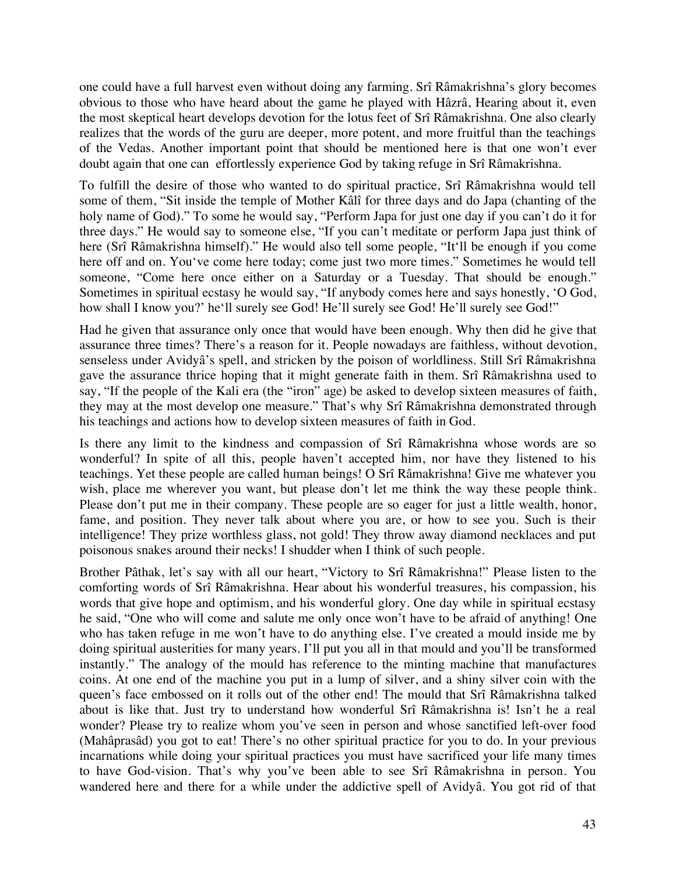one could have a full harvest even without doing any farming. Srî Râmakrishna's glory becomes obvious to those who have heard about the game he played with Hâzrâ, Hearing about it, even the most skeptical heart develops devotion for the lotus feet of Srî Râmakrishna. One also clearly realizes that the words of the guru are deeper, more potent, and more fruitful than the teachings of the Vedas. Another important point that should be mentioned here is that one won't ever doubt again that one can effortlessly experience God by taking refuge in Srî Râmakrishna.

To fulfill the desire of those who wanted to do spiritual practice, Srî Râmakrishna would tell some of them, "Sit inside the temple of Mother Kâlî for three days and do Japa (chanting of the holy name of God)." To some he would say, "Perform Japa for just one day if you can't do it for three days." He would say to someone else, "If you can't meditate or perform Japa just think of here (Srî Râmakrishna himself)." He would also tell some people, "It'll be enough if you come here off and on. You've come here today; come just two more times." Sometimes he would tell someone, "Come here once either on a Saturday or a Tuesday. That should be enough." Sometimes in spiritual ecstasy he would say, "If anybody comes here and says honestly, 'O God, how shall I know you?' he'll surely see God! He'll surely see God! He'll surely see God!"

Had he given that assurance only once that would have been enough. Why then did he give that assurance three times? There's a reason for it. People nowadays are faithless, without devotion, senseless under Avidyâ's spell, and stricken by the poison of worldliness. Still Srî Râmakrishna gave the assurance thrice hoping that it might generate faith in them. Srî Râmakrishna used to say, "If the people of the Kali era (the "iron" age) be asked to develop sixteen measures of faith, they may at the most develop one measure." That's why Srî Râmakrishna demonstrated through his teachings and actions how to develop sixteen measures of faith in God.

Is there any limit to the kindness and compassion of Srî Râmakrishna whose words are so wonderful? In spite of all this, people haven't accepted him, nor have they listened to his teachings. Yet these people are called human beings! O Srî Râmakrishna! Give me whatever you wish, place me wherever you want, but please don't let me think the way these people think. Please don't put me in their company. These people are so eager for just a little wealth, honor, fame, and position. They never talk about where you are, or how to see you. Such is their intelligence! They prize worthless glass, not gold! They throw away diamond necklaces and put poisonous snakes around their necks! I shudder when I think of such people.

Brother Pâthak, let's say with all our heart, "Victory to Srî Râmakrishna!" Please listen to the comforting words of Srî Râmakrishna. Hear about his wonderful treasures, his compassion, his words that give hope and optimism, and his wonderful glory. One day while in spiritual ecstasy he said, "One who will come and salute me only once won't have to be afraid of anything! One who has taken refuge in me won't have to do anything else. I've created a mould inside me by doing spiritual austerities for many years. I'll put you all in that mould and you'll be transformed instantly." The analogy of the mould has reference to the minting machine that manufactures coins. At one end of the machine you put in a lump of silver, and a shiny silver coin with the queen's face embossed on it rolls out of the other end! The mould that Srî Râmakrishna talked about is like that. Just try to understand how wonderful Srî Râmakrishna is! Isn't he a real wonder? Please try to realize whom you've seen in person and whose sanctified left-over food (Mahâprasâd) you got to eat! There's no other spiritual practice for you to do. In your previous incarnations while doing your spiritual practices you must have sacrificed your life many times to have God-vision. That's why you've been able to see Srî Râmakrishna in person. You wandered here and there for a while under the addictive spell of Avidyâ. You got rid of that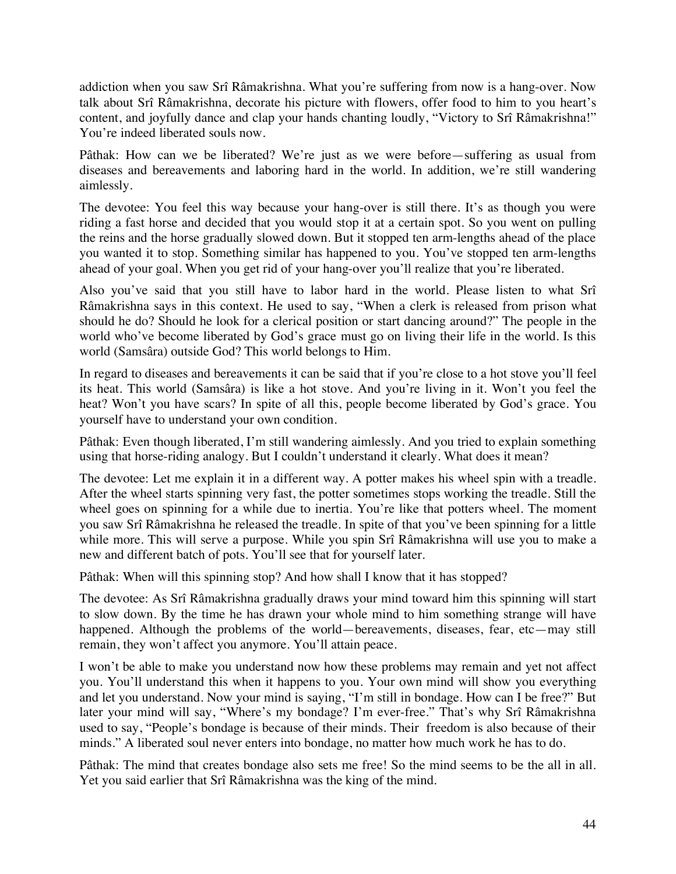addiction when you saw Srî Râmakrishna. What you're suffering from now is a hang-over. Now talk about Srî Râmakrishna, decorate his picture with flowers, offer food to him to you heart's content, and joyfully dance and clap your hands chanting loudly, "Victory to Srî Râmakrishna!" You're indeed liberated souls now.

Pâthak: How can we be liberated? We're just as we were before—suffering as usual from diseases and bereavements and laboring hard in the world. In addition, we're still wandering aimlessly.

The devotee: You feel this way because your hang-over is still there. It's as though you were riding a fast horse and decided that you would stop it at a certain spot. So you went on pulling the reins and the horse gradually slowed down. But it stopped ten arm-lengths ahead of the place you wanted it to stop. Something similar has happened to you. You've stopped ten arm-lengths ahead of your goal. When you get rid of your hang-over you'll realize that you're liberated.

Also you've said that you still have to labor hard in the world. Please listen to what Srî Râmakrishna says in this context. He used to say, "When a clerk is released from prison what should he do? Should he look for a clerical position or start dancing around?" The people in the world who've become liberated by God's grace must go on living their life in the world. Is this world (Samsâra) outside God? This world belongs to Him.

In regard to diseases and bereavements it can be said that if you're close to a hot stove you'll feel its heat. This world (Samsâra) is like a hot stove. And you're living in it. Won't you feel the heat? Won't you have scars? In spite of all this, people become liberated by God's grace. You yourself have to understand your own condition.

Pâthak: Even though liberated, I'm still wandering aimlessly. And you tried to explain something using that horse-riding analogy. But I couldn't understand it clearly. What does it mean?

The devotee: Let me explain it in a different way. A potter makes his wheel spin with a treadle. After the wheel starts spinning very fast, the potter sometimes stops working the treadle. Still the wheel goes on spinning for a while due to inertia. You're like that potters wheel. The moment you saw Srî Râmakrishna he released the treadle. In spite of that you've been spinning for a little while more. This will serve a purpose. While you spin Srî Râmakrishna will use you to make a new and different batch of pots. You'll see that for yourself later.

Pâthak: When will this spinning stop? And how shall I know that it has stopped?

The devotee: As Srî Râmakrishna gradually draws your mind toward him this spinning will start to slow down. By the time he has drawn your whole mind to him something strange will have happened. Although the problems of the world—bereavements, diseases, fear, etc—may still remain, they won't affect you anymore. You'll attain peace.

I won't be able to make you understand now how these problems may remain and yet not affect you. You'll understand this when it happens to you. Your own mind will show you everything and let you understand. Now your mind is saying, "I'm still in bondage. How can I be free?" But later your mind will say, "Where's my bondage? I'm ever-free." That's why Srî Râmakrishna used to say, "People's bondage is because of their minds. Their freedom is also because of their minds." A liberated soul never enters into bondage, no matter how much work he has to do.

Pâthak: The mind that creates bondage also sets me free! So the mind seems to be the all in all. Yet you said earlier that Srî Râmakrishna was the king of the mind.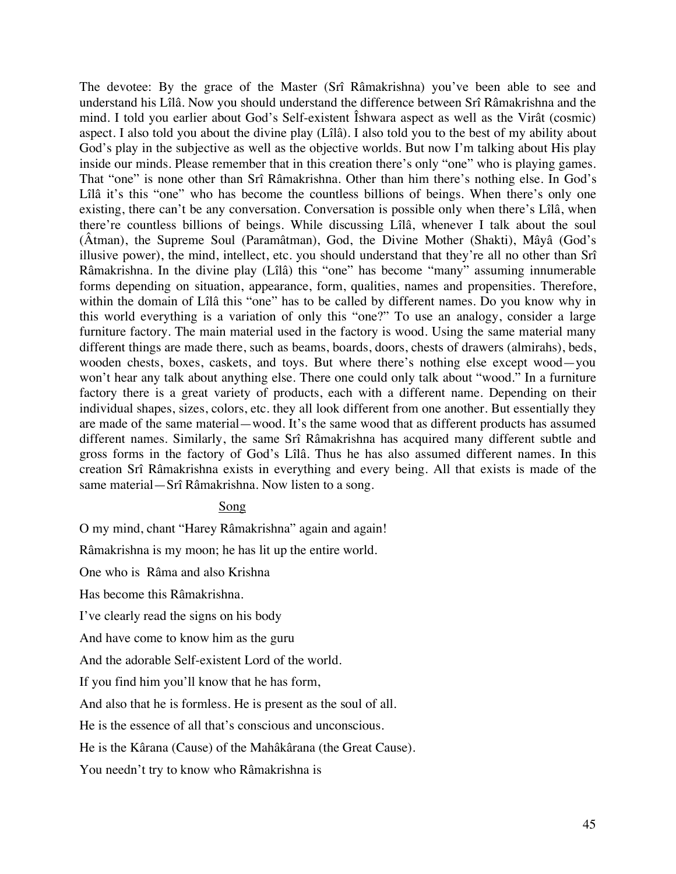The devotee: By the grace of the Master (Srî Râmakrishna) you've been able to see and understand his Lîlâ. Now you should understand the difference between Srî Râmakrishna and the mind. I told you earlier about God's Self-existent Îshwara aspect as well as the Virât (cosmic) aspect. I also told you about the divine play (Lîlâ). I also told you to the best of my ability about God's play in the subjective as well as the objective worlds. But now I'm talking about His play inside our minds. Please remember that in this creation there's only "one" who is playing games. That "one" is none other than Srî Râmakrishna. Other than him there's nothing else. In God's Lîlâ it's this "one" who has become the countless billions of beings. When there's only one existing, there can't be any conversation. Conversation is possible only when there's Lîlâ, when there're countless billions of beings. While discussing Lîlâ, whenever I talk about the soul (Âtman), the Supreme Soul (Paramâtman), God, the Divine Mother (Shakti), Mâyâ (God's illusive power), the mind, intellect, etc. you should understand that they're all no other than Srî Râmakrishna. In the divine play (Lîlâ) this "one" has become "many" assuming innumerable forms depending on situation, appearance, form, qualities, names and propensities. Therefore, within the domain of Lîlâ this "one" has to be called by different names. Do you know why in this world everything is a variation of only this "one?" To use an analogy, consider a large furniture factory. The main material used in the factory is wood. Using the same material many different things are made there, such as beams, boards, doors, chests of drawers (almirahs), beds, wooden chests, boxes, caskets, and toys. But where there's nothing else except wood—you won't hear any talk about anything else. There one could only talk about "wood." In a furniture factory there is a great variety of products, each with a different name. Depending on their individual shapes, sizes, colors, etc. they all look different from one another. But essentially they are made of the same material—wood. It's the same wood that as different products has assumed different names. Similarly, the same Srî Râmakrishna has acquired many different subtle and gross forms in the factory of God's Lîlâ. Thus he has also assumed different names. In this creation Srî Râmakrishna exists in everything and every being. All that exists is made of the same material—Srî Râmakrishna. Now listen to a song.

## Song

O my mind, chant "Harey Râmakrishna" again and again!

Râmakrishna is my moon; he has lit up the entire world.

One who is Râma and also Krishna

Has become this Râmakrishna.

I've clearly read the signs on his body

And have come to know him as the guru

And the adorable Self-existent Lord of the world.

If you find him you'll know that he has form,

And also that he is formless. He is present as the soul of all.

He is the essence of all that's conscious and unconscious.

He is the Kârana (Cause) of the Mahâkârana (the Great Cause).

You needn't try to know who Râmakrishna is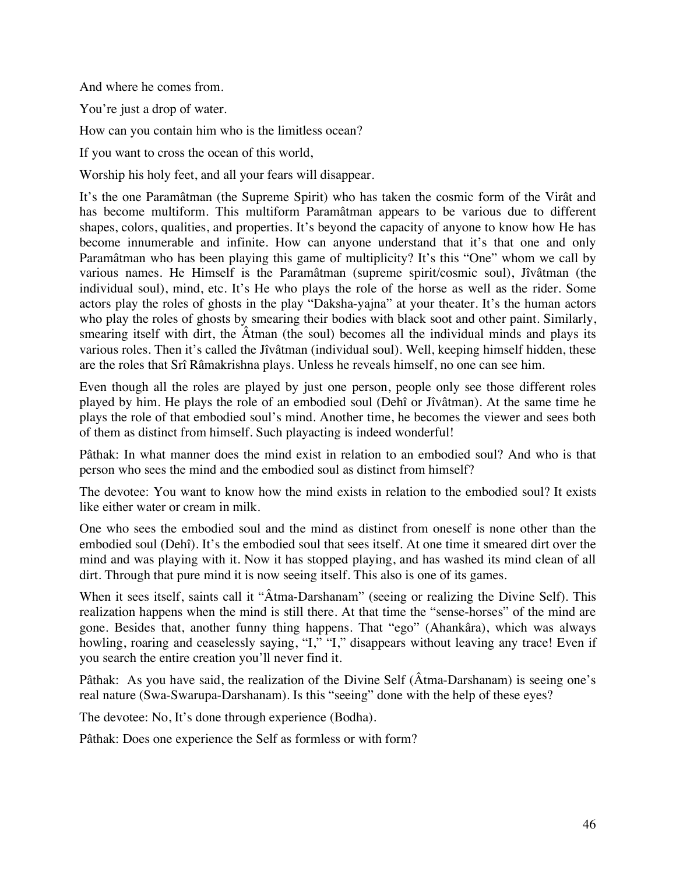And where he comes from.

You're just a drop of water.

How can you contain him who is the limitless ocean?

If you want to cross the ocean of this world,

Worship his holy feet, and all your fears will disappear.

It's the one Paramâtman (the Supreme Spirit) who has taken the cosmic form of the Virât and has become multiform. This multiform Paramâtman appears to be various due to different shapes, colors, qualities, and properties. It's beyond the capacity of anyone to know how He has become innumerable and infinite. How can anyone understand that it's that one and only Paramâtman who has been playing this game of multiplicity? It's this "One" whom we call by various names. He Himself is the Paramâtman (supreme spirit/cosmic soul), Jîvâtman (the individual soul), mind, etc. It's He who plays the role of the horse as well as the rider. Some actors play the roles of ghosts in the play "Daksha-yajna" at your theater. It's the human actors who play the roles of ghosts by smearing their bodies with black soot and other paint. Similarly, smearing itself with dirt, the Âtman (the soul) becomes all the individual minds and plays its various roles. Then it's called the Jîvâtman (individual soul). Well, keeping himself hidden, these are the roles that Srî Râmakrishna plays. Unless he reveals himself, no one can see him.

Even though all the roles are played by just one person, people only see those different roles played by him. He plays the role of an embodied soul (Dehî or Jîvâtman). At the same time he plays the role of that embodied soul's mind. Another time, he becomes the viewer and sees both of them as distinct from himself. Such playacting is indeed wonderful!

Pâthak: In what manner does the mind exist in relation to an embodied soul? And who is that person who sees the mind and the embodied soul as distinct from himself?

The devotee: You want to know how the mind exists in relation to the embodied soul? It exists like either water or cream in milk.

One who sees the embodied soul and the mind as distinct from oneself is none other than the embodied soul (Dehî). It's the embodied soul that sees itself. At one time it smeared dirt over the mind and was playing with it. Now it has stopped playing, and has washed its mind clean of all dirt. Through that pure mind it is now seeing itself. This also is one of its games.

When it sees itself, saints call it "Âtma-Darshanam" (seeing or realizing the Divine Self). This realization happens when the mind is still there. At that time the "sense-horses" of the mind are gone. Besides that, another funny thing happens. That "ego" (Ahankâra), which was always howling, roaring and ceaselessly saying, "I," "I," disappears without leaving any trace! Even if you search the entire creation you'll never find it.

Pâthak: As you have said, the realization of the Divine Self (Âtma-Darshanam) is seeing one's real nature (Swa-Swarupa-Darshanam). Is this "seeing" done with the help of these eyes?

The devotee: No, It's done through experience (Bodha).

Pâthak: Does one experience the Self as formless or with form?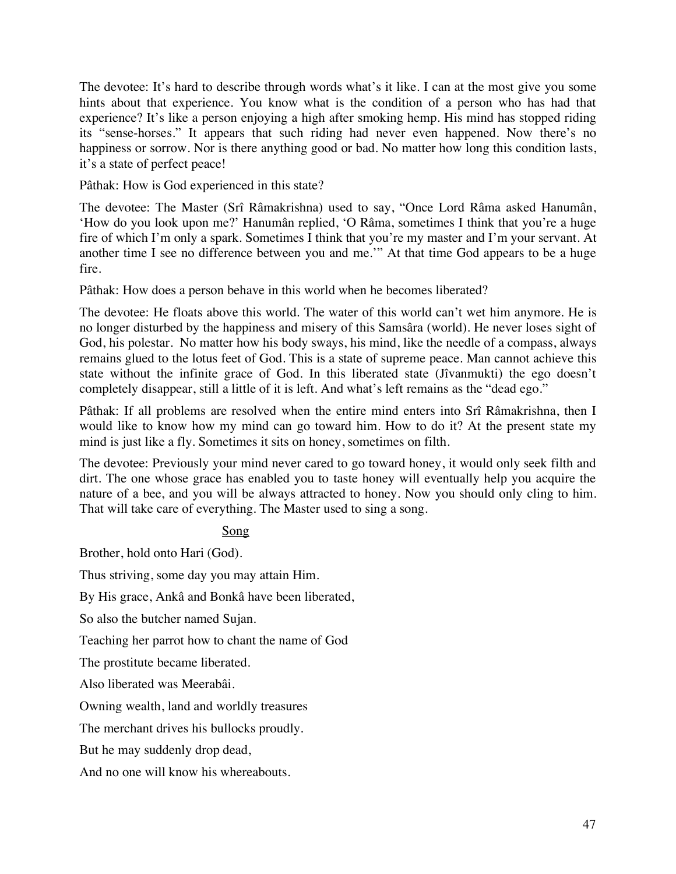The devotee: It's hard to describe through words what's it like. I can at the most give you some hints about that experience. You know what is the condition of a person who has had that experience? It's like a person enjoying a high after smoking hemp. His mind has stopped riding its "sense-horses." It appears that such riding had never even happened. Now there's no happiness or sorrow. Nor is there anything good or bad. No matter how long this condition lasts, it's a state of perfect peace!

Pâthak: How is God experienced in this state?

The devotee: The Master (Srî Râmakrishna) used to say, "Once Lord Râma asked Hanumân, 'How do you look upon me?' Hanumân replied, 'O Râma, sometimes I think that you're a huge fire of which I'm only a spark. Sometimes I think that you're my master and I'm your servant. At another time I see no difference between you and me.'" At that time God appears to be a huge fire.

Pâthak: How does a person behave in this world when he becomes liberated?

The devotee: He floats above this world. The water of this world can't wet him anymore. He is no longer disturbed by the happiness and misery of this Samsâra (world). He never loses sight of God, his polestar. No matter how his body sways, his mind, like the needle of a compass, always remains glued to the lotus feet of God. This is a state of supreme peace. Man cannot achieve this state without the infinite grace of God. In this liberated state (Jîvanmukti) the ego doesn't completely disappear, still a little of it is left. And what's left remains as the "dead ego."

Pâthak: If all problems are resolved when the entire mind enters into Srî Râmakrishna, then I would like to know how my mind can go toward him. How to do it? At the present state my mind is just like a fly. Sometimes it sits on honey, sometimes on filth.

The devotee: Previously your mind never cared to go toward honey, it would only seek filth and dirt. The one whose grace has enabled you to taste honey will eventually help you acquire the nature of a bee, and you will be always attracted to honey. Now you should only cling to him. That will take care of everything. The Master used to sing a song.

Song

Brother, hold onto Hari (God).

Thus striving, some day you may attain Him.

By His grace, Ankâ and Bonkâ have been liberated,

So also the butcher named Sujan.

Teaching her parrot how to chant the name of God

The prostitute became liberated.

Also liberated was Meerabâi.

Owning wealth, land and worldly treasures

The merchant drives his bullocks proudly.

But he may suddenly drop dead,

And no one will know his whereabouts.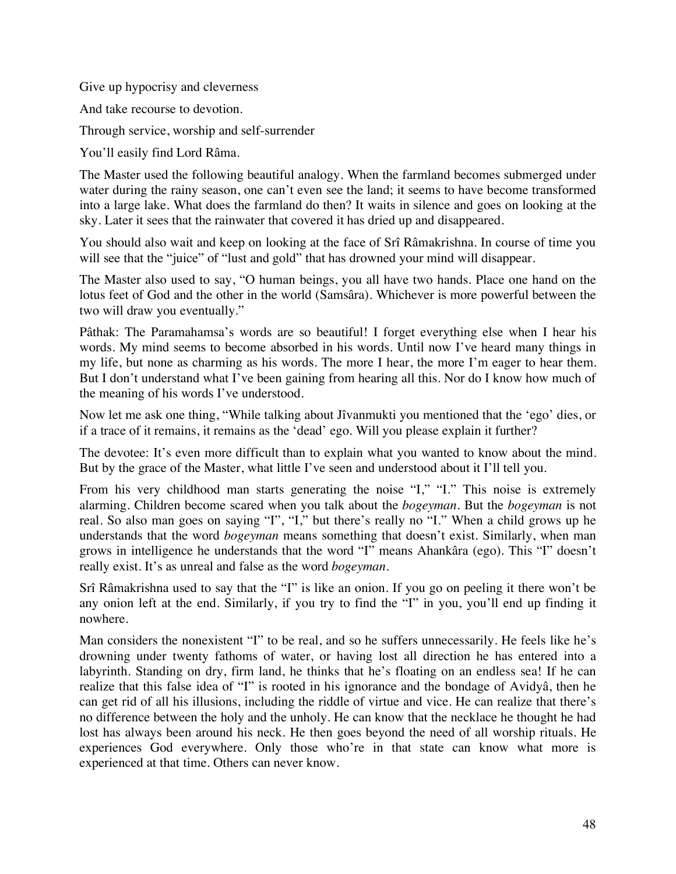Give up hypocrisy and cleverness

And take recourse to devotion.

Through service, worship and self-surrender

You'll easily find Lord Râma.

The Master used the following beautiful analogy. When the farmland becomes submerged under water during the rainy season, one can't even see the land; it seems to have become transformed into a large lake. What does the farmland do then? It waits in silence and goes on looking at the sky. Later it sees that the rainwater that covered it has dried up and disappeared.

You should also wait and keep on looking at the face of Srî Râmakrishna. In course of time you will see that the "juice" of "lust and gold" that has drowned your mind will disappear.

The Master also used to say, "O human beings, you all have two hands. Place one hand on the lotus feet of God and the other in the world (Samsâra). Whichever is more powerful between the two will draw you eventually."

Pâthak: The Paramahamsa's words are so beautiful! I forget everything else when I hear his words. My mind seems to become absorbed in his words. Until now I've heard many things in my life, but none as charming as his words. The more I hear, the more I'm eager to hear them. But I don't understand what I've been gaining from hearing all this. Nor do I know how much of the meaning of his words I've understood.

Now let me ask one thing, "While talking about Jîvanmukti you mentioned that the 'ego' dies, or if a trace of it remains, it remains as the 'dead' ego. Will you please explain it further?

The devotee: It's even more difficult than to explain what you wanted to know about the mind. But by the grace of the Master, what little I've seen and understood about it I'll tell you.

From his very childhood man starts generating the noise "I," "I." This noise is extremely alarming. Children become scared when you talk about the *bogeyman*. But the *bogeyman* is not real. So also man goes on saying "I", "I," but there's really no "I." When a child grows up he understands that the word *bogeyman* means something that doesn't exist. Similarly, when man grows in intelligence he understands that the word "I" means Ahankâra (ego). This "I" doesn't really exist. It's as unreal and false as the word *bogeyman*.

Srî Râmakrishna used to say that the "I" is like an onion. If you go on peeling it there won't be any onion left at the end. Similarly, if you try to find the "I" in you, you'll end up finding it nowhere.

Man considers the nonexistent "I" to be real, and so he suffers unnecessarily. He feels like he's drowning under twenty fathoms of water, or having lost all direction he has entered into a labyrinth. Standing on dry, firm land, he thinks that he's floating on an endless sea! If he can realize that this false idea of "I" is rooted in his ignorance and the bondage of Avidyâ, then he can get rid of all his illusions, including the riddle of virtue and vice. He can realize that there's no difference between the holy and the unholy. He can know that the necklace he thought he had lost has always been around his neck. He then goes beyond the need of all worship rituals. He experiences God everywhere. Only those who're in that state can know what more is experienced at that time. Others can never know.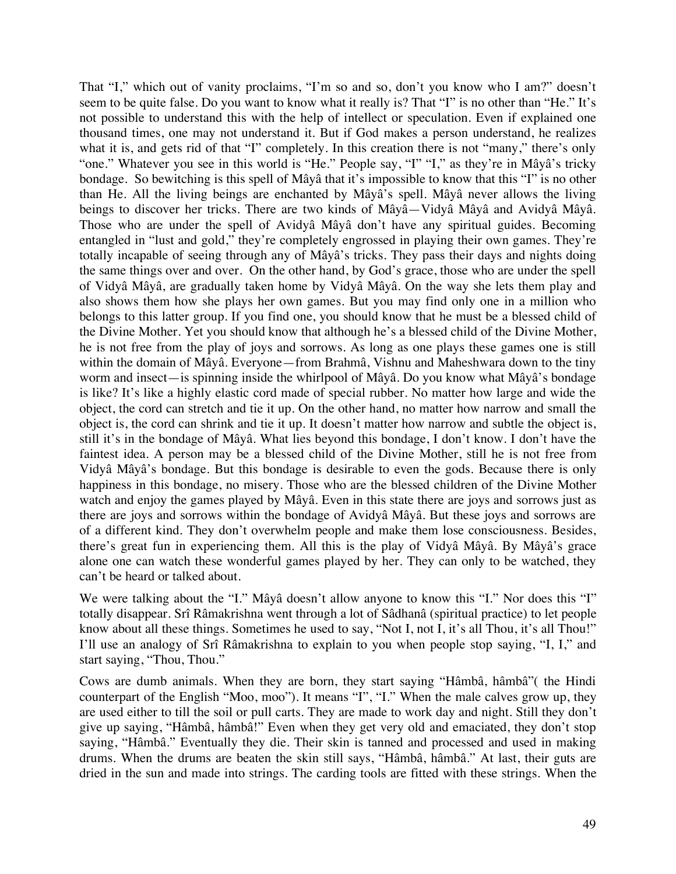That "I," which out of vanity proclaims, "I'm so and so, don't you know who I am?" doesn't seem to be quite false. Do you want to know what it really is? That "I" is no other than "He." It's not possible to understand this with the help of intellect or speculation. Even if explained one thousand times, one may not understand it. But if God makes a person understand, he realizes what it is, and gets rid of that "I" completely. In this creation there is not "many," there's only "one." Whatever you see in this world is "He." People say, "I" "I," as they're in Mâyâ's tricky bondage. So bewitching is this spell of Mâyâ that it's impossible to know that this "I" is no other than He. All the living beings are enchanted by Mâyâ's spell. Mâyâ never allows the living beings to discover her tricks. There are two kinds of Mâyâ—Vidyâ Mâyâ and Avidyâ Mâyâ. Those who are under the spell of Avidyâ Mâyâ don't have any spiritual guides. Becoming entangled in "lust and gold," they're completely engrossed in playing their own games. They're totally incapable of seeing through any of Mâyâ's tricks. They pass their days and nights doing the same things over and over. On the other hand, by God's grace, those who are under the spell of Vidyâ Mâyâ, are gradually taken home by Vidyâ Mâyâ. On the way she lets them play and also shows them how she plays her own games. But you may find only one in a million who belongs to this latter group. If you find one, you should know that he must be a blessed child of the Divine Mother. Yet you should know that although he's a blessed child of the Divine Mother, he is not free from the play of joys and sorrows. As long as one plays these games one is still within the domain of Mâyâ. Everyone—from Brahmâ, Vishnu and Maheshwara down to the tiny worm and insect—is spinning inside the whirlpool of Mâyâ. Do you know what Mâyâ's bondage is like? It's like a highly elastic cord made of special rubber. No matter how large and wide the object, the cord can stretch and tie it up. On the other hand, no matter how narrow and small the object is, the cord can shrink and tie it up. It doesn't matter how narrow and subtle the object is, still it's in the bondage of Mâyâ. What lies beyond this bondage, I don't know. I don't have the faintest idea. A person may be a blessed child of the Divine Mother, still he is not free from Vidyâ Mâyâ's bondage. But this bondage is desirable to even the gods. Because there is only happiness in this bondage, no misery. Those who are the blessed children of the Divine Mother watch and enjoy the games played by Mâyâ. Even in this state there are joys and sorrows just as there are joys and sorrows within the bondage of Avidyâ Mâyâ. But these joys and sorrows are of a different kind. They don't overwhelm people and make them lose consciousness. Besides, there's great fun in experiencing them. All this is the play of Vidyâ Mâyâ. By Mâyâ's grace alone one can watch these wonderful games played by her. They can only to be watched, they can't be heard or talked about.

We were talking about the "I." Mâyâ doesn't allow anyone to know this "I." Nor does this "I" totally disappear. Srî Râmakrishna went through a lot of Sâdhanâ (spiritual practice) to let people know about all these things. Sometimes he used to say, "Not I, not I, it's all Thou, it's all Thou!" I'll use an analogy of Srî Râmakrishna to explain to you when people stop saying, "I, I," and start saying, "Thou, Thou."

Cows are dumb animals. When they are born, they start saying "Hâmbâ, hâmbâ"( the Hindi counterpart of the English "Moo, moo"). It means "I", "I." When the male calves grow up, they are used either to till the soil or pull carts. They are made to work day and night. Still they don't give up saying, "Hâmbâ, hâmbâ!" Even when they get very old and emaciated, they don't stop saying, "Hâmbâ." Eventually they die. Their skin is tanned and processed and used in making drums. When the drums are beaten the skin still says, "Hâmbâ, hâmbâ." At last, their guts are dried in the sun and made into strings. The carding tools are fitted with these strings. When the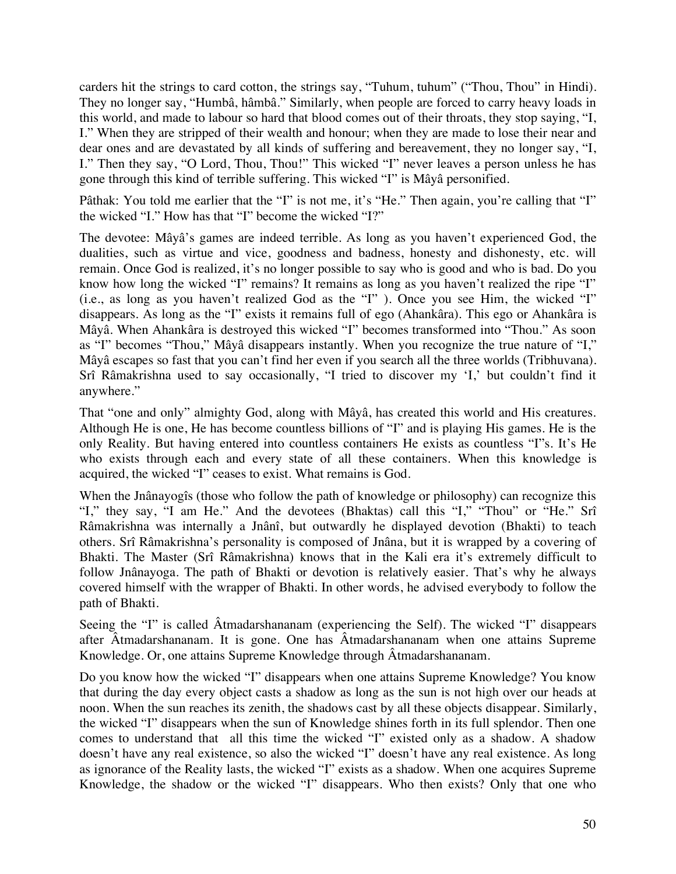carders hit the strings to card cotton, the strings say, "Tuhum, tuhum" ("Thou, Thou" in Hindi). They no longer say, "Humbâ, hâmbâ." Similarly, when people are forced to carry heavy loads in this world, and made to labour so hard that blood comes out of their throats, they stop saying, "I, I." When they are stripped of their wealth and honour; when they are made to lose their near and dear ones and are devastated by all kinds of suffering and bereavement, they no longer say, "I, I." Then they say, "O Lord, Thou, Thou!" This wicked "I" never leaves a person unless he has gone through this kind of terrible suffering. This wicked "I" is Mâyâ personified.

Pâthak: You told me earlier that the "I" is not me, it's "He." Then again, you're calling that "I" the wicked "I." How has that "I" become the wicked "I?"

The devotee: Mâyâ's games are indeed terrible. As long as you haven't experienced God, the dualities, such as virtue and vice, goodness and badness, honesty and dishonesty, etc. will remain. Once God is realized, it's no longer possible to say who is good and who is bad. Do you know how long the wicked "I" remains? It remains as long as you haven't realized the ripe "I" (i.e., as long as you haven't realized God as the "I" ). Once you see Him, the wicked "I" disappears. As long as the "I" exists it remains full of ego (Ahankâra). This ego or Ahankâra is Mâyâ. When Ahankâra is destroyed this wicked "I" becomes transformed into "Thou." As soon as "I" becomes "Thou," Mâyâ disappears instantly. When you recognize the true nature of "I," Mâyâ escapes so fast that you can't find her even if you search all the three worlds (Tribhuvana). Srî Râmakrishna used to say occasionally, "I tried to discover my 'I,' but couldn't find it anywhere."

That "one and only" almighty God, along with Mâyâ, has created this world and His creatures. Although He is one, He has become countless billions of "I" and is playing His games. He is the only Reality. But having entered into countless containers He exists as countless "I"s. It's He who exists through each and every state of all these containers. When this knowledge is acquired, the wicked "I" ceases to exist. What remains is God.

When the Jnânayogîs (those who follow the path of knowledge or philosophy) can recognize this "I," they say, "I am He." And the devotees (Bhaktas) call this "I," "Thou" or "He." Srî Râmakrishna was internally a Jnânî, but outwardly he displayed devotion (Bhakti) to teach others. Srî Râmakrishna's personality is composed of Jnâna, but it is wrapped by a covering of Bhakti. The Master (Srî Râmakrishna) knows that in the Kali era it's extremely difficult to follow Jnânayoga. The path of Bhakti or devotion is relatively easier. That's why he always covered himself with the wrapper of Bhakti. In other words, he advised everybody to follow the path of Bhakti.

Seeing the "I" is called Âtmadarshananam (experiencing the Self). The wicked "I" disappears after Âtmadarshananam. It is gone. One has Âtmadarshananam when one attains Supreme Knowledge. Or, one attains Supreme Knowledge through Âtmadarshananam.

Do you know how the wicked "I" disappears when one attains Supreme Knowledge? You know that during the day every object casts a shadow as long as the sun is not high over our heads at noon. When the sun reaches its zenith, the shadows cast by all these objects disappear. Similarly, the wicked "I" disappears when the sun of Knowledge shines forth in its full splendor. Then one comes to understand that all this time the wicked "I" existed only as a shadow. A shadow doesn't have any real existence, so also the wicked "I" doesn't have any real existence. As long as ignorance of the Reality lasts, the wicked "I" exists as a shadow. When one acquires Supreme Knowledge, the shadow or the wicked "I" disappears. Who then exists? Only that one who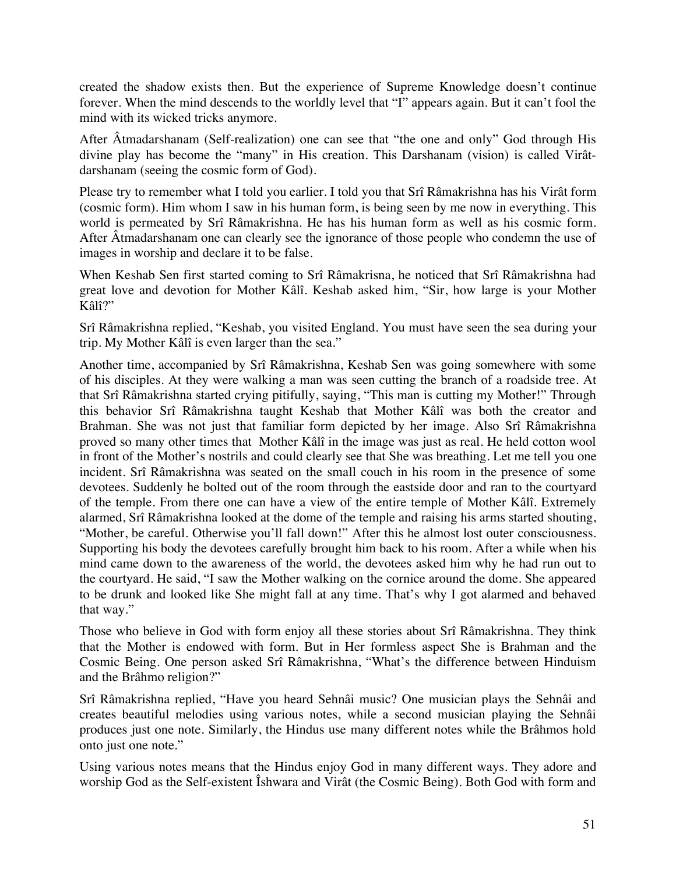created the shadow exists then. But the experience of Supreme Knowledge doesn't continue forever. When the mind descends to the worldly level that "I" appears again. But it can't fool the mind with its wicked tricks anymore.

After Âtmadarshanam (Self-realization) one can see that "the one and only" God through His divine play has become the "many" in His creation. This Darshanam (vision) is called Virâtdarshanam (seeing the cosmic form of God).

Please try to remember what I told you earlier. I told you that Srî Râmakrishna has his Virât form (cosmic form). Him whom I saw in his human form, is being seen by me now in everything. This world is permeated by Srî Râmakrishna. He has his human form as well as his cosmic form. After Âtmadarshanam one can clearly see the ignorance of those people who condemn the use of images in worship and declare it to be false.

When Keshab Sen first started coming to Srî Râmakrisna, he noticed that Srî Râmakrishna had great love and devotion for Mother Kâlî. Keshab asked him, "Sir, how large is your Mother Kâlî?"

Srî Râmakrishna replied, "Keshab, you visited England. You must have seen the sea during your trip. My Mother Kâlî is even larger than the sea."

Another time, accompanied by Srî Râmakrishna, Keshab Sen was going somewhere with some of his disciples. At they were walking a man was seen cutting the branch of a roadside tree. At that Srî Râmakrishna started crying pitifully, saying, "This man is cutting my Mother!" Through this behavior Srî Râmakrishna taught Keshab that Mother Kâlî was both the creator and Brahman. She was not just that familiar form depicted by her image. Also Srî Râmakrishna proved so many other times that Mother Kâlî in the image was just as real. He held cotton wool in front of the Mother's nostrils and could clearly see that She was breathing. Let me tell you one incident. Srî Râmakrishna was seated on the small couch in his room in the presence of some devotees. Suddenly he bolted out of the room through the eastside door and ran to the courtyard of the temple. From there one can have a view of the entire temple of Mother Kâlî. Extremely alarmed, Srî Râmakrishna looked at the dome of the temple and raising his arms started shouting, "Mother, be careful. Otherwise you'll fall down!" After this he almost lost outer consciousness. Supporting his body the devotees carefully brought him back to his room. After a while when his mind came down to the awareness of the world, the devotees asked him why he had run out to the courtyard. He said, "I saw the Mother walking on the cornice around the dome. She appeared to be drunk and looked like She might fall at any time. That's why I got alarmed and behaved that way."

Those who believe in God with form enjoy all these stories about Srî Râmakrishna. They think that the Mother is endowed with form. But in Her formless aspect She is Brahman and the Cosmic Being. One person asked Srî Râmakrishna, "What's the difference between Hinduism and the Brâhmo religion?"

Srî Râmakrishna replied, "Have you heard Sehnâi music? One musician plays the Sehnâi and creates beautiful melodies using various notes, while a second musician playing the Sehnâi produces just one note. Similarly, the Hindus use many different notes while the Brâhmos hold onto just one note."

Using various notes means that the Hindus enjoy God in many different ways. They adore and worship God as the Self-existent Îshwara and Virât (the Cosmic Being). Both God with form and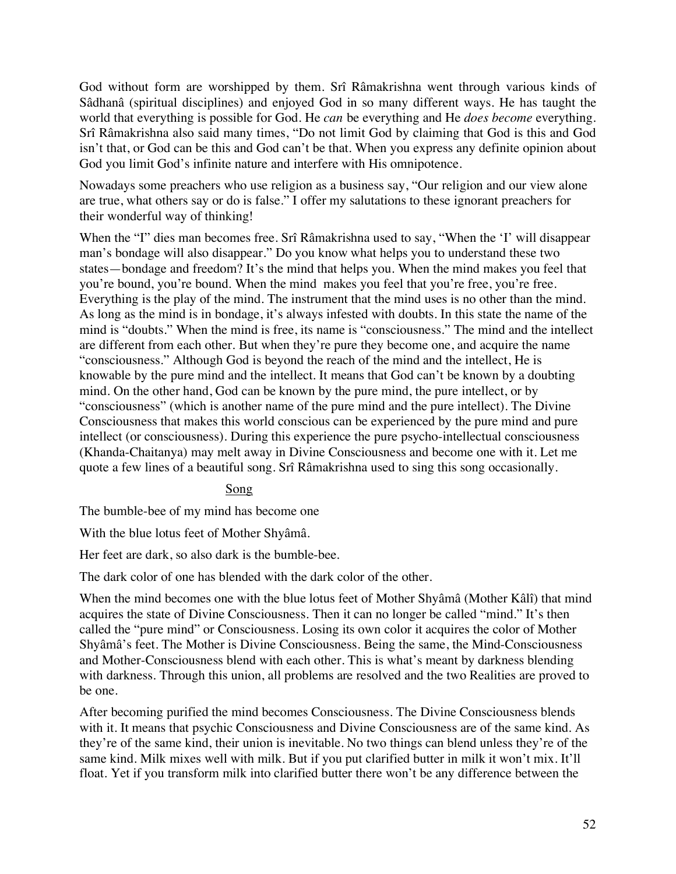God without form are worshipped by them. Srî Râmakrishna went through various kinds of Sâdhanâ (spiritual disciplines) and enjoyed God in so many different ways. He has taught the world that everything is possible for God. He *can* be everything and He *does become* everything. Srî Râmakrishna also said many times, "Do not limit God by claiming that God is this and God isn't that, or God can be this and God can't be that. When you express any definite opinion about God you limit God's infinite nature and interfere with His omnipotence.

Nowadays some preachers who use religion as a business say, "Our religion and our view alone are true, what others say or do is false." I offer my salutations to these ignorant preachers for their wonderful way of thinking!

When the "I" dies man becomes free. Srî Râmakrishna used to say, "When the 'I' will disappear man's bondage will also disappear." Do you know what helps you to understand these two states—bondage and freedom? It's the mind that helps you. When the mind makes you feel that you're bound, you're bound. When the mind makes you feel that you're free, you're free. Everything is the play of the mind. The instrument that the mind uses is no other than the mind. As long as the mind is in bondage, it's always infested with doubts. In this state the name of the mind is "doubts." When the mind is free, its name is "consciousness." The mind and the intellect are different from each other. But when they're pure they become one, and acquire the name "consciousness." Although God is beyond the reach of the mind and the intellect, He is knowable by the pure mind and the intellect. It means that God can't be known by a doubting mind. On the other hand, God can be known by the pure mind, the pure intellect, or by "consciousness" (which is another name of the pure mind and the pure intellect). The Divine Consciousness that makes this world conscious can be experienced by the pure mind and pure intellect (or consciousness). During this experience the pure psycho-intellectual consciousness (Khanda-Chaitanya) may melt away in Divine Consciousness and become one with it. Let me quote a few lines of a beautiful song. Srî Râmakrishna used to sing this song occasionally.

# Song

The bumble-bee of my mind has become one

With the blue lotus feet of Mother Shyâmâ.

Her feet are dark, so also dark is the bumble-bee.

The dark color of one has blended with the dark color of the other.

When the mind becomes one with the blue lotus feet of Mother Shyâmâ (Mother Kâlî) that mind acquires the state of Divine Consciousness. Then it can no longer be called "mind." It's then called the "pure mind" or Consciousness. Losing its own color it acquires the color of Mother Shyâmâ's feet. The Mother is Divine Consciousness. Being the same, the Mind-Consciousness and Mother-Consciousness blend with each other. This is what's meant by darkness blending with darkness. Through this union, all problems are resolved and the two Realities are proved to be one.

After becoming purified the mind becomes Consciousness. The Divine Consciousness blends with it. It means that psychic Consciousness and Divine Consciousness are of the same kind. As they're of the same kind, their union is inevitable. No two things can blend unless they're of the same kind. Milk mixes well with milk. But if you put clarified butter in milk it won't mix. It'll float. Yet if you transform milk into clarified butter there won't be any difference between the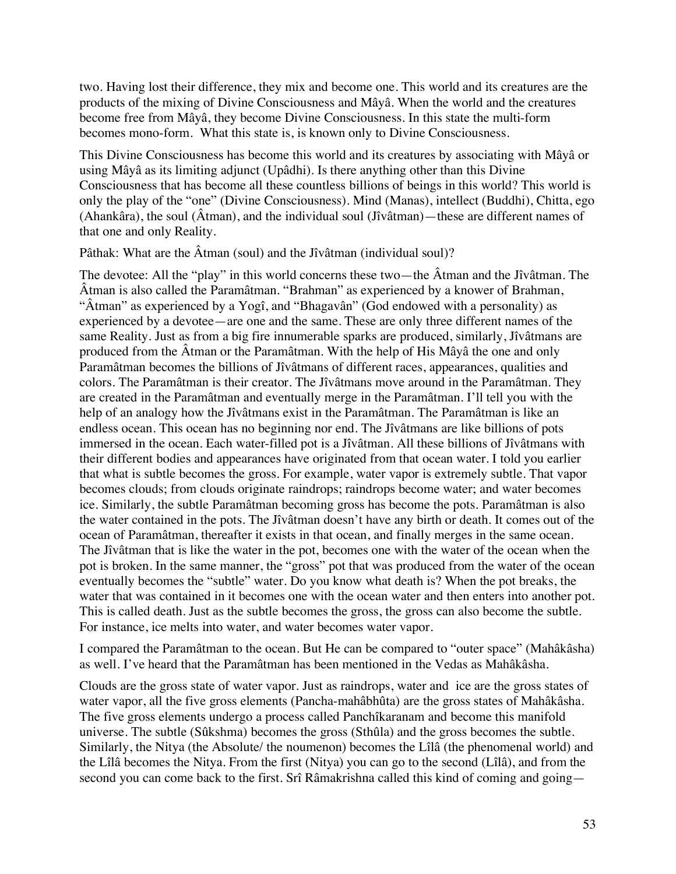two. Having lost their difference, they mix and become one. This world and its creatures are the products of the mixing of Divine Consciousness and Mâyâ. When the world and the creatures become free from Mâyâ, they become Divine Consciousness. In this state the multi-form becomes mono-form. What this state is, is known only to Divine Consciousness.

This Divine Consciousness has become this world and its creatures by associating with Mâyâ or using Mâyâ as its limiting adjunct (Upâdhi). Is there anything other than this Divine Consciousness that has become all these countless billions of beings in this world? This world is only the play of the "one" (Divine Consciousness). Mind (Manas), intellect (Buddhi), Chitta, ego (Ahankâra), the soul (Âtman), and the individual soul (Jîvâtman)—these are different names of that one and only Reality.

Pâthak: What are the Âtman (soul) and the Jîvâtman (individual soul)?

The devotee: All the "play" in this world concerns these two—the Âtman and the Jîvâtman. The Âtman is also called the Paramâtman. "Brahman" as experienced by a knower of Brahman, "Âtman" as experienced by a Yogî, and "Bhagavân" (God endowed with a personality) as experienced by a devotee—are one and the same. These are only three different names of the same Reality. Just as from a big fire innumerable sparks are produced, similarly, Jîvâtmans are produced from the Âtman or the Paramâtman. With the help of His Mâyâ the one and only Paramâtman becomes the billions of Jîvâtmans of different races, appearances, qualities and colors. The Paramâtman is their creator. The Jîvâtmans move around in the Paramâtman. They are created in the Paramâtman and eventually merge in the Paramâtman. I'll tell you with the help of an analogy how the Jîvâtmans exist in the Paramâtman. The Paramâtman is like an endless ocean. This ocean has no beginning nor end. The Jîvâtmans are like billions of pots immersed in the ocean. Each water-filled pot is a Jîvâtman. All these billions of Jîvâtmans with their different bodies and appearances have originated from that ocean water. I told you earlier that what is subtle becomes the gross. For example, water vapor is extremely subtle. That vapor becomes clouds; from clouds originate raindrops; raindrops become water; and water becomes ice. Similarly, the subtle Paramâtman becoming gross has become the pots. Paramâtman is also the water contained in the pots. The Jîvâtman doesn't have any birth or death. It comes out of the ocean of Paramâtman, thereafter it exists in that ocean, and finally merges in the same ocean. The Jîvâtman that is like the water in the pot, becomes one with the water of the ocean when the pot is broken. In the same manner, the "gross" pot that was produced from the water of the ocean eventually becomes the "subtle" water. Do you know what death is? When the pot breaks, the water that was contained in it becomes one with the ocean water and then enters into another pot. This is called death. Just as the subtle becomes the gross, the gross can also become the subtle. For instance, ice melts into water, and water becomes water vapor.

I compared the Paramâtman to the ocean. But He can be compared to "outer space" (Mahâkâsha) as well. I've heard that the Paramâtman has been mentioned in the Vedas as Mahâkâsha.

Clouds are the gross state of water vapor. Just as raindrops, water and ice are the gross states of water vapor, all the five gross elements (Pancha-mahâbhûta) are the gross states of Mahâkâsha. The five gross elements undergo a process called Panchîkaranam and become this manifold universe. The subtle (Sûkshma) becomes the gross (Sthûla) and the gross becomes the subtle. Similarly, the Nitya (the Absolute/ the noumenon) becomes the Lîlâ (the phenomenal world) and the Lîlâ becomes the Nitya. From the first (Nitya) you can go to the second (Lîlâ), and from the second you can come back to the first. Srî Râmakrishna called this kind of coming and going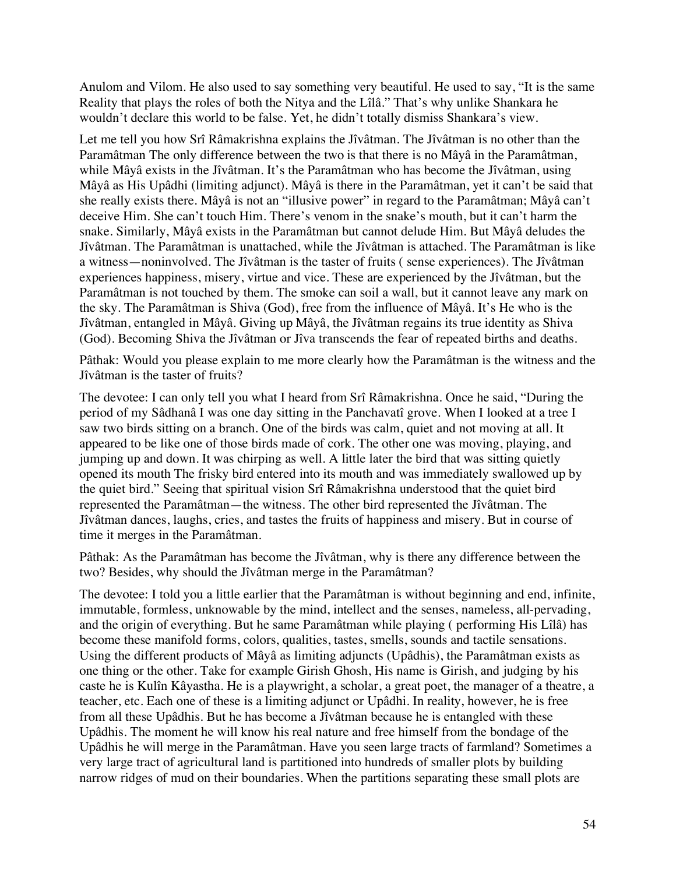Anulom and Vilom. He also used to say something very beautiful. He used to say, "It is the same Reality that plays the roles of both the Nitya and the Lîlâ." That's why unlike Shankara he wouldn't declare this world to be false. Yet, he didn't totally dismiss Shankara's view.

Let me tell you how Srî Râmakrishna explains the Jîvâtman. The Jîvâtman is no other than the Paramâtman The only difference between the two is that there is no Mâyâ in the Paramâtman, while Mâyâ exists in the Jîvâtman. It's the Paramâtman who has become the Jîvâtman, using Mâyâ as His Upâdhi (limiting adjunct). Mâyâ is there in the Paramâtman, yet it can't be said that she really exists there. Mâyâ is not an "illusive power" in regard to the Paramâtman; Mâyâ can't deceive Him. She can't touch Him. There's venom in the snake's mouth, but it can't harm the snake. Similarly, Mâyâ exists in the Paramâtman but cannot delude Him. But Mâyâ deludes the Jîvâtman. The Paramâtman is unattached, while the Jîvâtman is attached. The Paramâtman is like a witness—noninvolved. The Jîvâtman is the taster of fruits ( sense experiences). The Jîvâtman experiences happiness, misery, virtue and vice. These are experienced by the Jîvâtman, but the Paramâtman is not touched by them. The smoke can soil a wall, but it cannot leave any mark on the sky. The Paramâtman is Shiva (God), free from the influence of Mâyâ. It's He who is the Jîvâtman, entangled in Mâyâ. Giving up Mâyâ, the Jîvâtman regains its true identity as Shiva (God). Becoming Shiva the Jîvâtman or Jîva transcends the fear of repeated births and deaths.

Pâthak: Would you please explain to me more clearly how the Paramâtman is the witness and the Jîvâtman is the taster of fruits?

The devotee: I can only tell you what I heard from Srî Râmakrishna. Once he said, "During the period of my Sâdhanâ I was one day sitting in the Panchavatî grove. When I looked at a tree I saw two birds sitting on a branch. One of the birds was calm, quiet and not moving at all. It appeared to be like one of those birds made of cork. The other one was moving, playing, and jumping up and down. It was chirping as well. A little later the bird that was sitting quietly opened its mouth The frisky bird entered into its mouth and was immediately swallowed up by the quiet bird." Seeing that spiritual vision Srî Râmakrishna understood that the quiet bird represented the Paramâtman—the witness. The other bird represented the Jîvâtman. The Jîvâtman dances, laughs, cries, and tastes the fruits of happiness and misery. But in course of time it merges in the Paramâtman.

Pâthak: As the Paramâtman has become the Jîvâtman, why is there any difference between the two? Besides, why should the Jîvâtman merge in the Paramâtman?

The devotee: I told you a little earlier that the Paramâtman is without beginning and end, infinite, immutable, formless, unknowable by the mind, intellect and the senses, nameless, all-pervading, and the origin of everything. But he same Paramâtman while playing ( performing His Lîlâ) has become these manifold forms, colors, qualities, tastes, smells, sounds and tactile sensations. Using the different products of Mâyâ as limiting adjuncts (Upâdhis), the Paramâtman exists as one thing or the other. Take for example Girish Ghosh, His name is Girish, and judging by his caste he is Kulîn Kâyastha. He is a playwright, a scholar, a great poet, the manager of a theatre, a teacher, etc. Each one of these is a limiting adjunct or Upâdhi. In reality, however, he is free from all these Upâdhis. But he has become a Jîvâtman because he is entangled with these Upâdhis. The moment he will know his real nature and free himself from the bondage of the Upâdhis he will merge in the Paramâtman. Have you seen large tracts of farmland? Sometimes a very large tract of agricultural land is partitioned into hundreds of smaller plots by building narrow ridges of mud on their boundaries. When the partitions separating these small plots are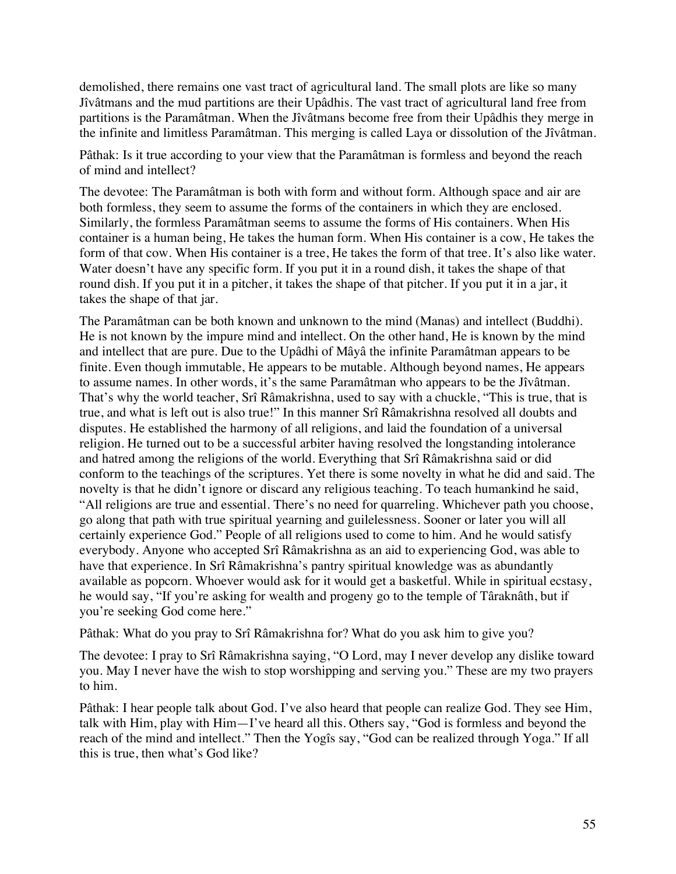demolished, there remains one vast tract of agricultural land. The small plots are like so many Jîvâtmans and the mud partitions are their Upâdhis. The vast tract of agricultural land free from partitions is the Paramâtman. When the Jîvâtmans become free from their Upâdhis they merge in the infinite and limitless Paramâtman. This merging is called Laya or dissolution of the Jîvâtman.

Pâthak: Is it true according to your view that the Paramâtman is formless and beyond the reach of mind and intellect?

The devotee: The Paramâtman is both with form and without form. Although space and air are both formless, they seem to assume the forms of the containers in which they are enclosed. Similarly, the formless Paramâtman seems to assume the forms of His containers. When His container is a human being, He takes the human form. When His container is a cow, He takes the form of that cow. When His container is a tree, He takes the form of that tree. It's also like water. Water doesn't have any specific form. If you put it in a round dish, it takes the shape of that round dish. If you put it in a pitcher, it takes the shape of that pitcher. If you put it in a jar, it takes the shape of that jar.

The Paramâtman can be both known and unknown to the mind (Manas) and intellect (Buddhi). He is not known by the impure mind and intellect. On the other hand, He is known by the mind and intellect that are pure. Due to the Upâdhi of Mâyâ the infinite Paramâtman appears to be finite. Even though immutable, He appears to be mutable. Although beyond names, He appears to assume names. In other words, it's the same Paramâtman who appears to be the Jîvâtman. That's why the world teacher, Srî Râmakrishna, used to say with a chuckle, "This is true, that is true, and what is left out is also true!" In this manner Srî Râmakrishna resolved all doubts and disputes. He established the harmony of all religions, and laid the foundation of a universal religion. He turned out to be a successful arbiter having resolved the longstanding intolerance and hatred among the religions of the world. Everything that Srî Râmakrishna said or did conform to the teachings of the scriptures. Yet there is some novelty in what he did and said. The novelty is that he didn't ignore or discard any religious teaching. To teach humankind he said, "All religions are true and essential. There's no need for quarreling. Whichever path you choose, go along that path with true spiritual yearning and guilelessness. Sooner or later you will all certainly experience God." People of all religions used to come to him. And he would satisfy everybody. Anyone who accepted Srî Râmakrishna as an aid to experiencing God, was able to have that experience. In Srî Râmakrishna's pantry spiritual knowledge was as abundantly available as popcorn. Whoever would ask for it would get a basketful. While in spiritual ecstasy, he would say, "If you're asking for wealth and progeny go to the temple of Târaknâth, but if you're seeking God come here."

Pâthak: What do you pray to Srî Râmakrishna for? What do you ask him to give you?

The devotee: I pray to Srî Râmakrishna saying, "O Lord, may I never develop any dislike toward you. May I never have the wish to stop worshipping and serving you." These are my two prayers to him.

Pâthak: I hear people talk about God. I've also heard that people can realize God. They see Him, talk with Him, play with Him—I've heard all this. Others say, "God is formless and beyond the reach of the mind and intellect." Then the Yogîs say, "God can be realized through Yoga." If all this is true, then what's God like?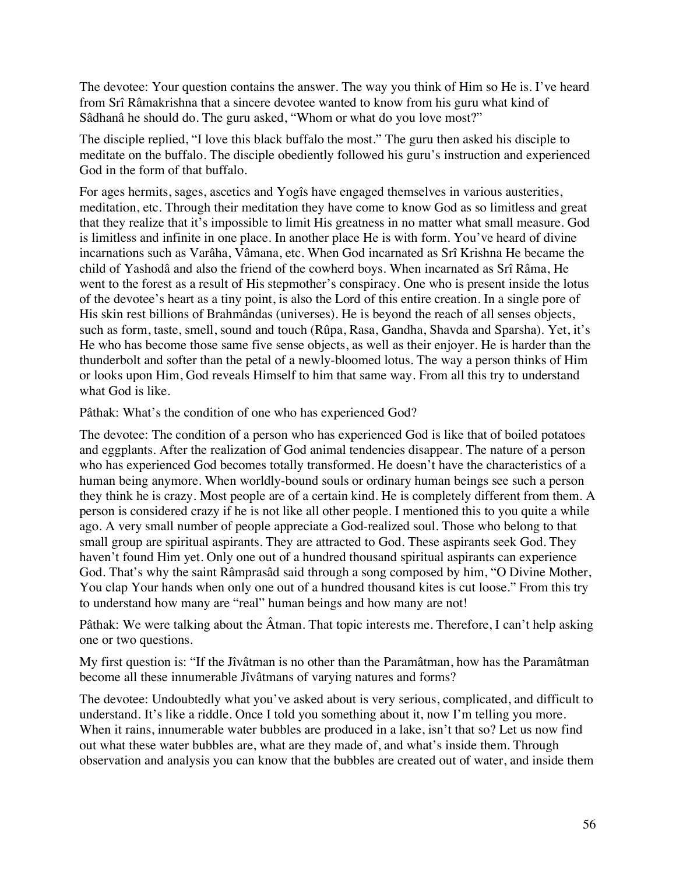The devotee: Your question contains the answer. The way you think of Him so He is. I've heard from Srî Râmakrishna that a sincere devotee wanted to know from his guru what kind of Sâdhanâ he should do. The guru asked, "Whom or what do you love most?"

The disciple replied, "I love this black buffalo the most." The guru then asked his disciple to meditate on the buffalo. The disciple obediently followed his guru's instruction and experienced God in the form of that buffalo.

For ages hermits, sages, ascetics and Yogîs have engaged themselves in various austerities, meditation, etc. Through their meditation they have come to know God as so limitless and great that they realize that it's impossible to limit His greatness in no matter what small measure. God is limitless and infinite in one place. In another place He is with form. You've heard of divine incarnations such as Varâha, Vâmana, etc. When God incarnated as Srî Krishna He became the child of Yashodâ and also the friend of the cowherd boys. When incarnated as Srî Râma, He went to the forest as a result of His stepmother's conspiracy. One who is present inside the lotus of the devotee's heart as a tiny point, is also the Lord of this entire creation. In a single pore of His skin rest billions of Brahmândas (universes). He is beyond the reach of all senses objects, such as form, taste, smell, sound and touch (Rûpa, Rasa, Gandha, Shavda and Sparsha). Yet, it's He who has become those same five sense objects, as well as their enjoyer. He is harder than the thunderbolt and softer than the petal of a newly-bloomed lotus. The way a person thinks of Him or looks upon Him, God reveals Himself to him that same way. From all this try to understand what God is like.

Pâthak: What's the condition of one who has experienced God?

The devotee: The condition of a person who has experienced God is like that of boiled potatoes and eggplants. After the realization of God animal tendencies disappear. The nature of a person who has experienced God becomes totally transformed. He doesn't have the characteristics of a human being anymore. When worldly-bound souls or ordinary human beings see such a person they think he is crazy. Most people are of a certain kind. He is completely different from them. A person is considered crazy if he is not like all other people. I mentioned this to you quite a while ago. A very small number of people appreciate a God-realized soul. Those who belong to that small group are spiritual aspirants. They are attracted to God. These aspirants seek God. They haven't found Him yet. Only one out of a hundred thousand spiritual aspirants can experience God. That's why the saint Râmprasâd said through a song composed by him, "O Divine Mother, You clap Your hands when only one out of a hundred thousand kites is cut loose." From this try to understand how many are "real" human beings and how many are not!

Pâthak: We were talking about the Âtman. That topic interests me. Therefore, I can't help asking one or two questions.

My first question is: "If the Jîvâtman is no other than the Paramâtman, how has the Paramâtman become all these innumerable Jîvâtmans of varying natures and forms?

The devotee: Undoubtedly what you've asked about is very serious, complicated, and difficult to understand. It's like a riddle. Once I told you something about it, now I'm telling you more. When it rains, innumerable water bubbles are produced in a lake, isn't that so? Let us now find out what these water bubbles are, what are they made of, and what's inside them. Through observation and analysis you can know that the bubbles are created out of water, and inside them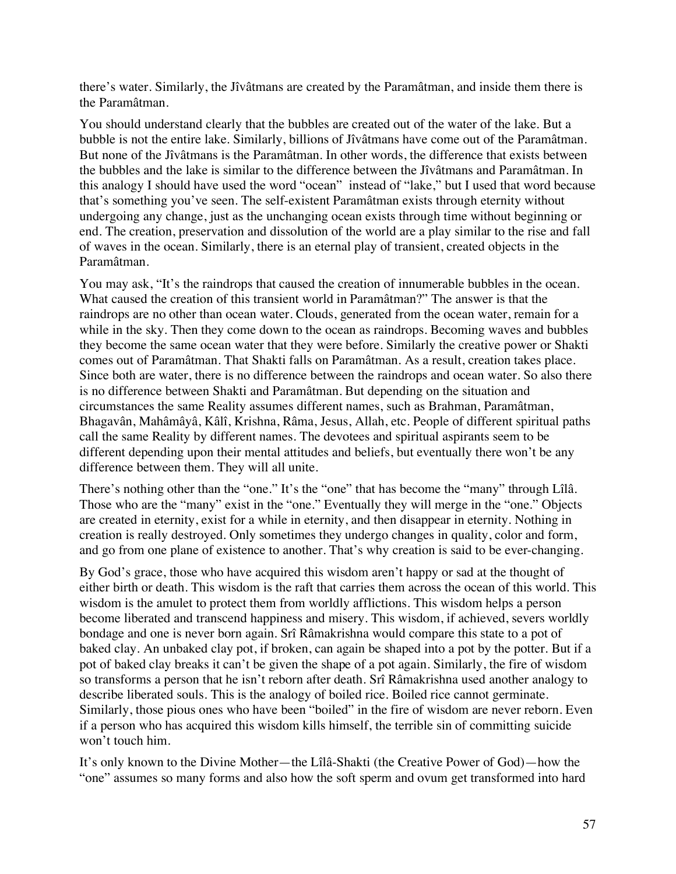there's water. Similarly, the Jîvâtmans are created by the Paramâtman, and inside them there is the Paramâtman.

You should understand clearly that the bubbles are created out of the water of the lake. But a bubble is not the entire lake. Similarly, billions of Jîvâtmans have come out of the Paramâtman. But none of the Jîvâtmans is the Paramâtman. In other words, the difference that exists between the bubbles and the lake is similar to the difference between the Jîvâtmans and Paramâtman. In this analogy I should have used the word "ocean" instead of "lake," but I used that word because that's something you've seen. The self-existent Paramâtman exists through eternity without undergoing any change, just as the unchanging ocean exists through time without beginning or end. The creation, preservation and dissolution of the world are a play similar to the rise and fall of waves in the ocean. Similarly, there is an eternal play of transient, created objects in the Paramâtman.

You may ask, "It's the raindrops that caused the creation of innumerable bubbles in the ocean. What caused the creation of this transient world in Paramâtman?" The answer is that the raindrops are no other than ocean water. Clouds, generated from the ocean water, remain for a while in the sky. Then they come down to the ocean as raindrops. Becoming waves and bubbles they become the same ocean water that they were before. Similarly the creative power or Shakti comes out of Paramâtman. That Shakti falls on Paramâtman. As a result, creation takes place. Since both are water, there is no difference between the raindrops and ocean water. So also there is no difference between Shakti and Paramâtman. But depending on the situation and circumstances the same Reality assumes different names, such as Brahman, Paramâtman, Bhagavân, Mahâmâyâ, Kâlî, Krishna, Râma, Jesus, Allah, etc. People of different spiritual paths call the same Reality by different names. The devotees and spiritual aspirants seem to be different depending upon their mental attitudes and beliefs, but eventually there won't be any difference between them. They will all unite.

There's nothing other than the "one." It's the "one" that has become the "many" through Lîlâ. Those who are the "many" exist in the "one." Eventually they will merge in the "one." Objects are created in eternity, exist for a while in eternity, and then disappear in eternity. Nothing in creation is really destroyed. Only sometimes they undergo changes in quality, color and form, and go from one plane of existence to another. That's why creation is said to be ever-changing.

By God's grace, those who have acquired this wisdom aren't happy or sad at the thought of either birth or death. This wisdom is the raft that carries them across the ocean of this world. This wisdom is the amulet to protect them from worldly afflictions. This wisdom helps a person become liberated and transcend happiness and misery. This wisdom, if achieved, severs worldly bondage and one is never born again. Srî Râmakrishna would compare this state to a pot of baked clay. An unbaked clay pot, if broken, can again be shaped into a pot by the potter. But if a pot of baked clay breaks it can't be given the shape of a pot again. Similarly, the fire of wisdom so transforms a person that he isn't reborn after death. Srî Râmakrishna used another analogy to describe liberated souls. This is the analogy of boiled rice. Boiled rice cannot germinate. Similarly, those pious ones who have been "boiled" in the fire of wisdom are never reborn. Even if a person who has acquired this wisdom kills himself, the terrible sin of committing suicide won't touch him.

It's only known to the Divine Mother—the Lîlâ-Shakti (the Creative Power of God)—how the "one" assumes so many forms and also how the soft sperm and ovum get transformed into hard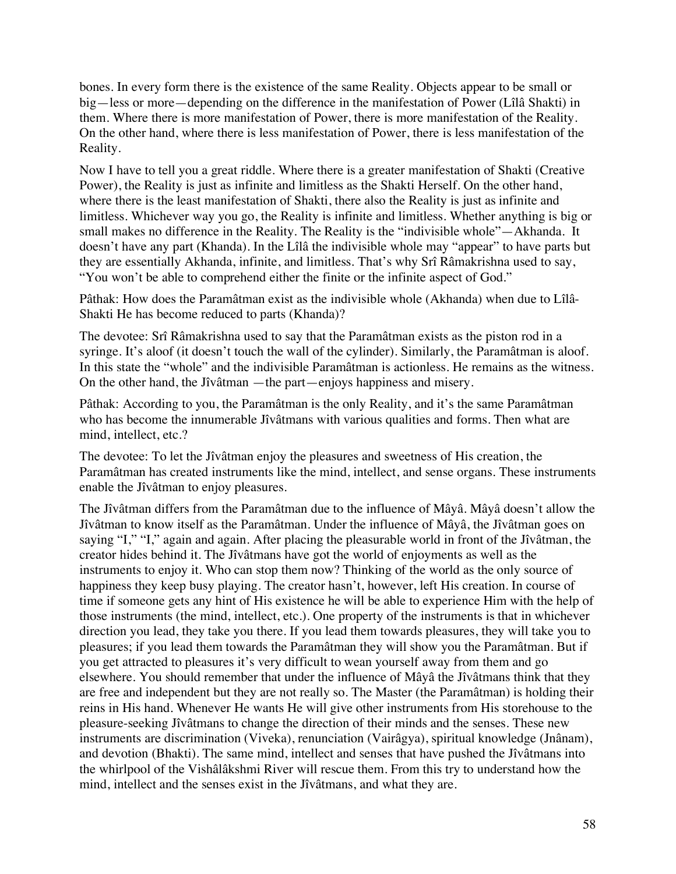bones. In every form there is the existence of the same Reality. Objects appear to be small or big—less or more—depending on the difference in the manifestation of Power (Lîlâ Shakti) in them. Where there is more manifestation of Power, there is more manifestation of the Reality. On the other hand, where there is less manifestation of Power, there is less manifestation of the Reality.

Now I have to tell you a great riddle. Where there is a greater manifestation of Shakti (Creative Power), the Reality is just as infinite and limitless as the Shakti Herself. On the other hand, where there is the least manifestation of Shakti, there also the Reality is just as infinite and limitless. Whichever way you go, the Reality is infinite and limitless. Whether anything is big or small makes no difference in the Reality. The Reality is the "indivisible whole"—Akhanda. It doesn't have any part (Khanda). In the Lîlâ the indivisible whole may "appear" to have parts but they are essentially Akhanda, infinite, and limitless. That's why Srî Râmakrishna used to say, "You won't be able to comprehend either the finite or the infinite aspect of God."

Pâthak: How does the Paramâtman exist as the indivisible whole (Akhanda) when due to Lîlâ-Shakti He has become reduced to parts (Khanda)?

The devotee: Srî Râmakrishna used to say that the Paramâtman exists as the piston rod in a syringe. It's aloof (it doesn't touch the wall of the cylinder). Similarly, the Paramâtman is aloof. In this state the "whole" and the indivisible Paramâtman is actionless. He remains as the witness. On the other hand, the Jîvâtman —the part—enjoys happiness and misery.

Pâthak: According to you, the Paramâtman is the only Reality, and it's the same Paramâtman who has become the innumerable Jîvâtmans with various qualities and forms. Then what are mind, intellect, etc.?

The devotee: To let the Jîvâtman enjoy the pleasures and sweetness of His creation, the Paramâtman has created instruments like the mind, intellect, and sense organs. These instruments enable the Jîvâtman to enjoy pleasures.

The Jîvâtman differs from the Paramâtman due to the influence of Mâyâ. Mâyâ doesn't allow the Jîvâtman to know itself as the Paramâtman. Under the influence of Mâyâ, the Jîvâtman goes on saying "I," "I," again and again. After placing the pleasurable world in front of the Jîvâtman, the creator hides behind it. The Jîvâtmans have got the world of enjoyments as well as the instruments to enjoy it. Who can stop them now? Thinking of the world as the only source of happiness they keep busy playing. The creator hasn't, however, left His creation. In course of time if someone gets any hint of His existence he will be able to experience Him with the help of those instruments (the mind, intellect, etc.). One property of the instruments is that in whichever direction you lead, they take you there. If you lead them towards pleasures, they will take you to pleasures; if you lead them towards the Paramâtman they will show you the Paramâtman. But if you get attracted to pleasures it's very difficult to wean yourself away from them and go elsewhere. You should remember that under the influence of Mâyâ the Jîvâtmans think that they are free and independent but they are not really so. The Master (the Paramâtman) is holding their reins in His hand. Whenever He wants He will give other instruments from His storehouse to the pleasure-seeking Jîvâtmans to change the direction of their minds and the senses. These new instruments are discrimination (Viveka), renunciation (Vairâgya), spiritual knowledge (Jnânam), and devotion (Bhakti). The same mind, intellect and senses that have pushed the Jîvâtmans into the whirlpool of the Vishâlâkshmi River will rescue them. From this try to understand how the mind, intellect and the senses exist in the Jîvâtmans, and what they are.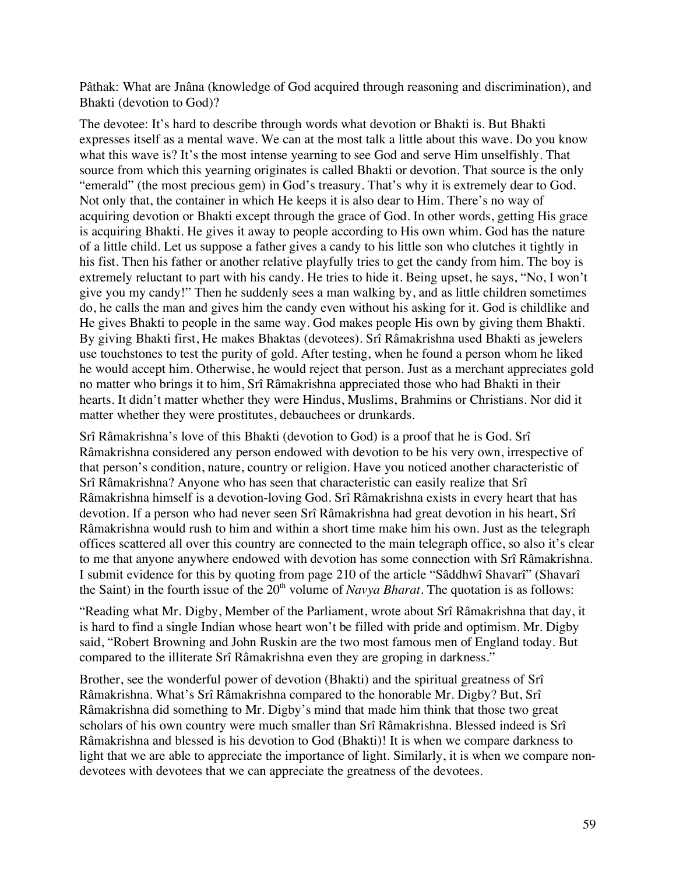Pâthak: What are Jnâna (knowledge of God acquired through reasoning and discrimination), and Bhakti (devotion to God)?

The devotee: It's hard to describe through words what devotion or Bhakti is. But Bhakti expresses itself as a mental wave. We can at the most talk a little about this wave. Do you know what this wave is? It's the most intense yearning to see God and serve Him unselfishly. That source from which this yearning originates is called Bhakti or devotion. That source is the only "emerald" (the most precious gem) in God's treasury. That's why it is extremely dear to God. Not only that, the container in which He keeps it is also dear to Him. There's no way of acquiring devotion or Bhakti except through the grace of God. In other words, getting His grace is acquiring Bhakti. He gives it away to people according to His own whim. God has the nature of a little child. Let us suppose a father gives a candy to his little son who clutches it tightly in his fist. Then his father or another relative playfully tries to get the candy from him. The boy is extremely reluctant to part with his candy. He tries to hide it. Being upset, he says, "No, I won't give you my candy!" Then he suddenly sees a man walking by, and as little children sometimes do, he calls the man and gives him the candy even without his asking for it. God is childlike and He gives Bhakti to people in the same way. God makes people His own by giving them Bhakti. By giving Bhakti first, He makes Bhaktas (devotees). Srî Râmakrishna used Bhakti as jewelers use touchstones to test the purity of gold. After testing, when he found a person whom he liked he would accept him. Otherwise, he would reject that person. Just as a merchant appreciates gold no matter who brings it to him, Srî Râmakrishna appreciated those who had Bhakti in their hearts. It didn't matter whether they were Hindus, Muslims, Brahmins or Christians. Nor did it matter whether they were prostitutes, debauchees or drunkards.

Srî Râmakrishna's love of this Bhakti (devotion to God) is a proof that he is God. Srî Râmakrishna considered any person endowed with devotion to be his very own, irrespective of that person's condition, nature, country or religion. Have you noticed another characteristic of Srî Râmakrishna? Anyone who has seen that characteristic can easily realize that Srî Râmakrishna himself is a devotion-loving God. Srî Râmakrishna exists in every heart that has devotion. If a person who had never seen Srî Râmakrishna had great devotion in his heart, Srî Râmakrishna would rush to him and within a short time make him his own. Just as the telegraph offices scattered all over this country are connected to the main telegraph office, so also it's clear to me that anyone anywhere endowed with devotion has some connection with Srî Râmakrishna. I submit evidence for this by quoting from page 210 of the article "Sâddhwî Shavarî" (Shavarî the Saint) in the fourth issue of the  $20<sup>th</sup>$  volume of *Navya Bharat*. The quotation is as follows:

"Reading what Mr. Digby, Member of the Parliament, wrote about Srî Râmakrishna that day, it is hard to find a single Indian whose heart won't be filled with pride and optimism. Mr. Digby said, "Robert Browning and John Ruskin are the two most famous men of England today. But compared to the illiterate Srî Râmakrishna even they are groping in darkness."

Brother, see the wonderful power of devotion (Bhakti) and the spiritual greatness of Srî Râmakrishna. What's Srî Râmakrishna compared to the honorable Mr. Digby? But, Srî Râmakrishna did something to Mr. Digby's mind that made him think that those two great scholars of his own country were much smaller than Srî Râmakrishna. Blessed indeed is Srî Râmakrishna and blessed is his devotion to God (Bhakti)! It is when we compare darkness to light that we are able to appreciate the importance of light. Similarly, it is when we compare nondevotees with devotees that we can appreciate the greatness of the devotees.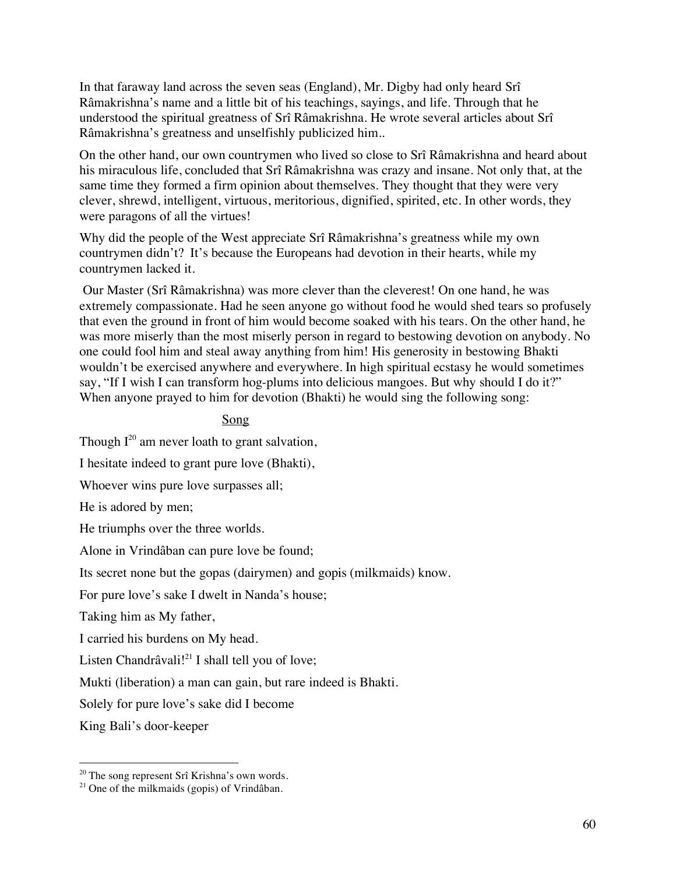In that faraway land across the seven seas (England), Mr. Digby had only heard Srî Râmakrishna's name and a little bit of his teachings, sayings, and life. Through that he understood the spiritual greatness of Srî Râmakrishna. He wrote several articles about Srî Râmakrishna's greatness and unselfishly publicized him..

On the other hand, our own countrymen who lived so close to Srî Râmakrishna and heard about his miraculous life, concluded that Srî Râmakrishna was crazy and insane. Not only that, at the same time they formed a firm opinion about themselves. They thought that they were very clever, shrewd, intelligent, virtuous, meritorious, dignified, spirited, etc. In other words, they were paragons of all the virtues!

Why did the people of the West appreciate Srî Râmakrishna's greatness while my own countrymen didn't? It's because the Europeans had devotion in their hearts, while my countrymen lacked it.

 Our Master (Srî Râmakrishna) was more clever than the cleverest! On one hand, he was extremely compassionate. Had he seen anyone go without food he would shed tears so profusely that even the ground in front of him would become soaked with his tears. On the other hand, he was more miserly than the most miserly person in regard to bestowing devotion on anybody. No one could fool him and steal away anything from him! His generosity in bestowing Bhakti wouldn't be exercised anywhere and everywhere. In high spiritual ecstasy he would sometimes say, "If I wish I can transform hog-plums into delicious mangoes. But why should I do it?" When anyone prayed to him for devotion (Bhakti) he would sing the following song:

# Song

Though  $I^{20}$  am never loath to grant salvation,

I hesitate indeed to grant pure love (Bhakti),

Whoever wins pure love surpasses all;

He is adored by men;

He triumphs over the three worlds.

Alone in Vrindâban can pure love be found;

Its secret none but the gopas (dairymen) and gopis (milkmaids) know.

For pure love's sake I dwelt in Nanda's house;

Taking him as My father,

I carried his burdens on My head.

Listen Chandrâvali!<sup>21</sup> I shall tell you of love;

Mukti (liberation) a man can gain, but rare indeed is Bhakti.

Solely for pure love's sake did I become

King Bali's door-keeper

 $20$  The song represent Srî Krishna's own words.

<sup>&</sup>lt;sup>21</sup> One of the milkmaids (gopis) of Vrindâban.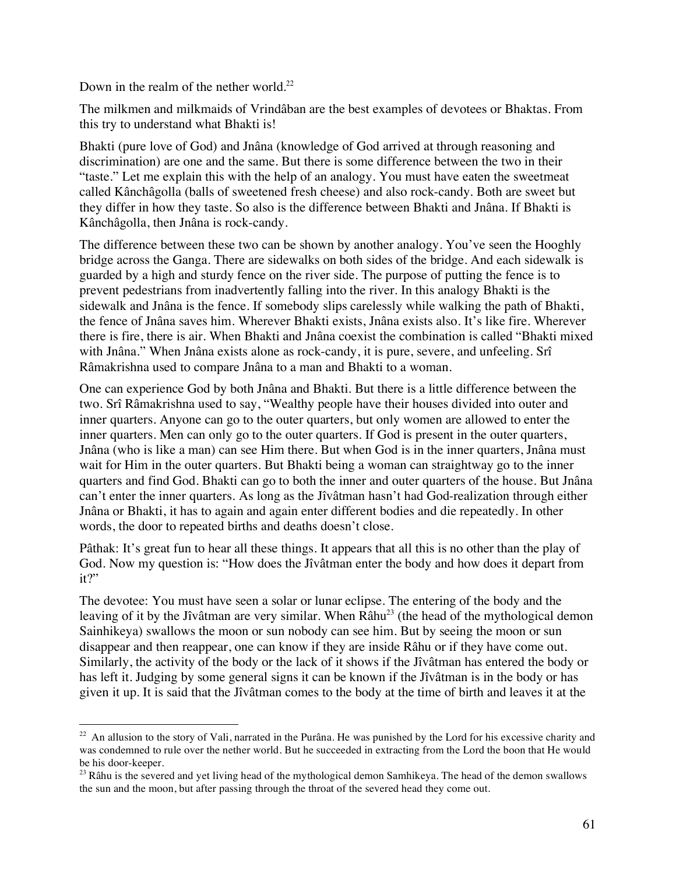Down in the realm of the nether world.<sup>22</sup>

The milkmen and milkmaids of Vrindâban are the best examples of devotees or Bhaktas. From this try to understand what Bhakti is!

Bhakti (pure love of God) and Jnâna (knowledge of God arrived at through reasoning and discrimination) are one and the same. But there is some difference between the two in their "taste." Let me explain this with the help of an analogy. You must have eaten the sweetmeat called Kânchâgolla (balls of sweetened fresh cheese) and also rock-candy. Both are sweet but they differ in how they taste. So also is the difference between Bhakti and Jnâna. If Bhakti is Kânchâgolla, then Jnâna is rock-candy.

The difference between these two can be shown by another analogy. You've seen the Hooghly bridge across the Ganga. There are sidewalks on both sides of the bridge. And each sidewalk is guarded by a high and sturdy fence on the river side. The purpose of putting the fence is to prevent pedestrians from inadvertently falling into the river. In this analogy Bhakti is the sidewalk and Jnâna is the fence. If somebody slips carelessly while walking the path of Bhakti, the fence of Jnâna saves him. Wherever Bhakti exists, Jnâna exists also. It's like fire. Wherever there is fire, there is air. When Bhakti and Jnâna coexist the combination is called "Bhakti mixed with Jnâna." When Jnâna exists alone as rock-candy, it is pure, severe, and unfeeling. Srî Râmakrishna used to compare Jnâna to a man and Bhakti to a woman.

One can experience God by both Jnâna and Bhakti. But there is a little difference between the two. Srî Râmakrishna used to say, "Wealthy people have their houses divided into outer and inner quarters. Anyone can go to the outer quarters, but only women are allowed to enter the inner quarters. Men can only go to the outer quarters. If God is present in the outer quarters, Jnâna (who is like a man) can see Him there. But when God is in the inner quarters, Jnâna must wait for Him in the outer quarters. But Bhakti being a woman can straightway go to the inner quarters and find God. Bhakti can go to both the inner and outer quarters of the house. But Jnâna can't enter the inner quarters. As long as the Jîvâtman hasn't had God-realization through either Jnâna or Bhakti, it has to again and again enter different bodies and die repeatedly. In other words, the door to repeated births and deaths doesn't close.

Pâthak: It's great fun to hear all these things. It appears that all this is no other than the play of God. Now my question is: "How does the Jîvâtman enter the body and how does it depart from it?"

The devotee: You must have seen a solar or lunar eclipse. The entering of the body and the leaving of it by the Jîvâtman are very similar. When Râhu<sup>23</sup> (the head of the mythological demon Sainhikeya) swallows the moon or sun nobody can see him. But by seeing the moon or sun disappear and then reappear, one can know if they are inside Râhu or if they have come out. Similarly, the activity of the body or the lack of it shows if the Jîvâtman has entered the body or has left it. Judging by some general signs it can be known if the Jîvâtman is in the body or has given it up. It is said that the Jîvâtman comes to the body at the time of birth and leaves it at the

 $22$  An allusion to the story of Vali, narrated in the Purâna. He was punished by the Lord for his excessive charity and was condemned to rule over the nether world. But he succeeded in extracting from the Lord the boon that He would be his door-keeper.

<sup>&</sup>lt;sup>23</sup> Râhu is the severed and yet living head of the mythological demon Samhikeya. The head of the demon swallows the sun and the moon, but after passing through the throat of the severed head they come out.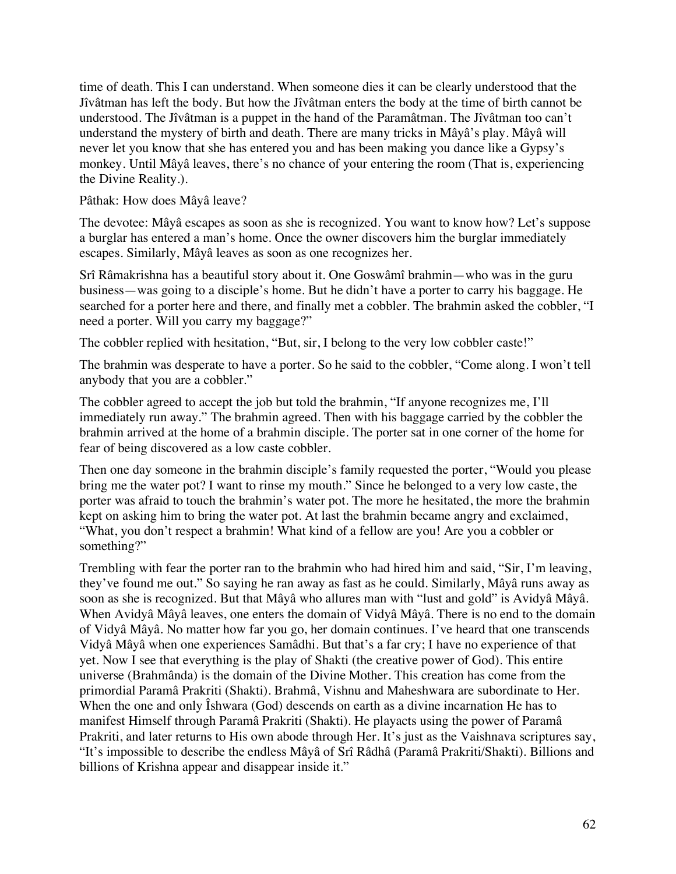time of death. This I can understand. When someone dies it can be clearly understood that the Jîvâtman has left the body. But how the Jîvâtman enters the body at the time of birth cannot be understood. The Jîvâtman is a puppet in the hand of the Paramâtman. The Jîvâtman too can't understand the mystery of birth and death. There are many tricks in Mâyâ's play. Mâyâ will never let you know that she has entered you and has been making you dance like a Gypsy's monkey. Until Mâyâ leaves, there's no chance of your entering the room (That is, experiencing the Divine Reality.).

Pâthak: How does Mâyâ leave?

The devotee: Mâyâ escapes as soon as she is recognized. You want to know how? Let's suppose a burglar has entered a man's home. Once the owner discovers him the burglar immediately escapes. Similarly, Mâyâ leaves as soon as one recognizes her.

Srî Râmakrishna has a beautiful story about it. One Goswâmî brahmin—who was in the guru business—was going to a disciple's home. But he didn't have a porter to carry his baggage. He searched for a porter here and there, and finally met a cobbler. The brahmin asked the cobbler, "I need a porter. Will you carry my baggage?"

The cobbler replied with hesitation, "But, sir, I belong to the very low cobbler caste!"

The brahmin was desperate to have a porter. So he said to the cobbler, "Come along. I won't tell anybody that you are a cobbler."

The cobbler agreed to accept the job but told the brahmin, "If anyone recognizes me, I'll immediately run away." The brahmin agreed. Then with his baggage carried by the cobbler the brahmin arrived at the home of a brahmin disciple. The porter sat in one corner of the home for fear of being discovered as a low caste cobbler.

Then one day someone in the brahmin disciple's family requested the porter, "Would you please bring me the water pot? I want to rinse my mouth." Since he belonged to a very low caste, the porter was afraid to touch the brahmin's water pot. The more he hesitated, the more the brahmin kept on asking him to bring the water pot. At last the brahmin became angry and exclaimed, "What, you don't respect a brahmin! What kind of a fellow are you! Are you a cobbler or something?"

Trembling with fear the porter ran to the brahmin who had hired him and said, "Sir, I'm leaving, they've found me out." So saying he ran away as fast as he could. Similarly, Mâyâ runs away as soon as she is recognized. But that Mâyâ who allures man with "lust and gold" is Avidyâ Mâyâ. When Avidyâ Mâyâ leaves, one enters the domain of Vidyâ Mâyâ. There is no end to the domain of Vidyâ Mâyâ. No matter how far you go, her domain continues. I've heard that one transcends Vidyâ Mâyâ when one experiences Samâdhi. But that's a far cry; I have no experience of that yet. Now I see that everything is the play of Shakti (the creative power of God). This entire universe (Brahmânda) is the domain of the Divine Mother. This creation has come from the primordial Paramâ Prakriti (Shakti). Brahmâ, Vishnu and Maheshwara are subordinate to Her. When the one and only Ishwara (God) descends on earth as a divine incarnation He has to manifest Himself through Paramâ Prakriti (Shakti). He playacts using the power of Paramâ Prakriti, and later returns to His own abode through Her. It's just as the Vaishnava scriptures say, "It's impossible to describe the endless Mâyâ of Srî Râdhâ (Paramâ Prakriti/Shakti). Billions and billions of Krishna appear and disappear inside it."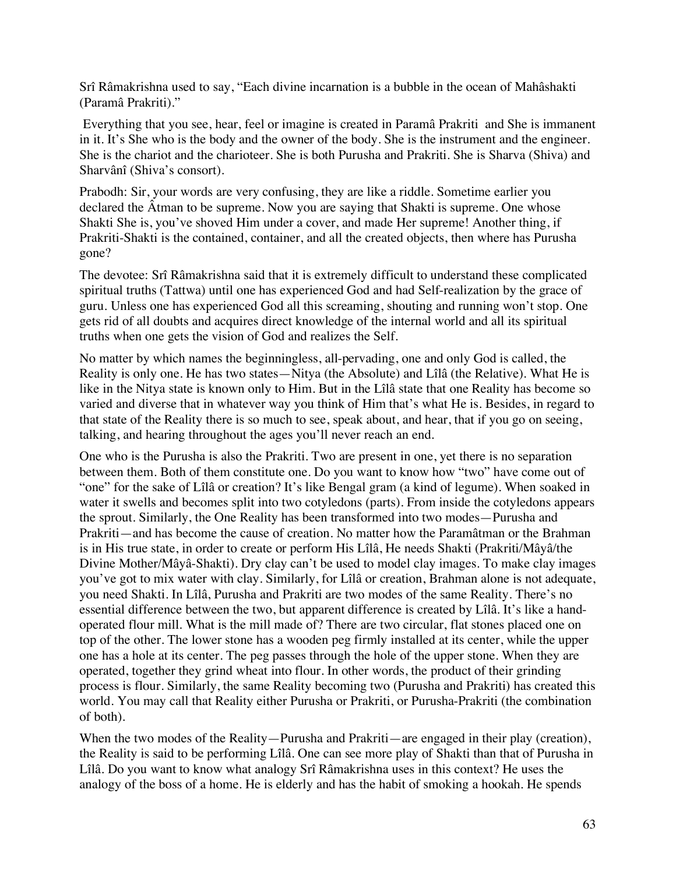Srî Râmakrishna used to say, "Each divine incarnation is a bubble in the ocean of Mahâshakti (Paramâ Prakriti)."

 Everything that you see, hear, feel or imagine is created in Paramâ Prakriti and She is immanent in it. It's She who is the body and the owner of the body. She is the instrument and the engineer. She is the chariot and the charioteer. She is both Purusha and Prakriti. She is Sharva (Shiva) and Sharvânî (Shiva's consort).

Prabodh: Sir, your words are very confusing, they are like a riddle. Sometime earlier you declared the Âtman to be supreme. Now you are saying that Shakti is supreme. One whose Shakti She is, you've shoved Him under a cover, and made Her supreme! Another thing, if Prakriti-Shakti is the contained, container, and all the created objects, then where has Purusha gone?

The devotee: Srî Râmakrishna said that it is extremely difficult to understand these complicated spiritual truths (Tattwa) until one has experienced God and had Self-realization by the grace of guru. Unless one has experienced God all this screaming, shouting and running won't stop. One gets rid of all doubts and acquires direct knowledge of the internal world and all its spiritual truths when one gets the vision of God and realizes the Self.

No matter by which names the beginningless, all-pervading, one and only God is called, the Reality is only one. He has two states—Nitya (the Absolute) and Lîlâ (the Relative). What He is like in the Nitya state is known only to Him. But in the Lîlâ state that one Reality has become so varied and diverse that in whatever way you think of Him that's what He is. Besides, in regard to that state of the Reality there is so much to see, speak about, and hear, that if you go on seeing, talking, and hearing throughout the ages you'll never reach an end.

One who is the Purusha is also the Prakriti. Two are present in one, yet there is no separation between them. Both of them constitute one. Do you want to know how "two" have come out of "one" for the sake of Lîlâ or creation? It's like Bengal gram (a kind of legume). When soaked in water it swells and becomes split into two cotyledons (parts). From inside the cotyledons appears the sprout. Similarly, the One Reality has been transformed into two modes—Purusha and Prakriti—and has become the cause of creation. No matter how the Paramâtman or the Brahman is in His true state, in order to create or perform His Lîlâ, He needs Shakti (Prakriti/Mâyâ/the Divine Mother/Mâyâ-Shakti). Dry clay can't be used to model clay images. To make clay images you've got to mix water with clay. Similarly, for Lîlâ or creation, Brahman alone is not adequate, you need Shakti. In Lîlâ, Purusha and Prakriti are two modes of the same Reality. There's no essential difference between the two, but apparent difference is created by Lîlâ. It's like a handoperated flour mill. What is the mill made of? There are two circular, flat stones placed one on top of the other. The lower stone has a wooden peg firmly installed at its center, while the upper one has a hole at its center. The peg passes through the hole of the upper stone. When they are operated, together they grind wheat into flour. In other words, the product of their grinding process is flour. Similarly, the same Reality becoming two (Purusha and Prakriti) has created this world. You may call that Reality either Purusha or Prakriti, or Purusha-Prakriti (the combination of both).

When the two modes of the Reality—Purusha and Prakriti—are engaged in their play (creation), the Reality is said to be performing Lîlâ. One can see more play of Shakti than that of Purusha in Lîlâ. Do you want to know what analogy Srî Râmakrishna uses in this context? He uses the analogy of the boss of a home. He is elderly and has the habit of smoking a hookah. He spends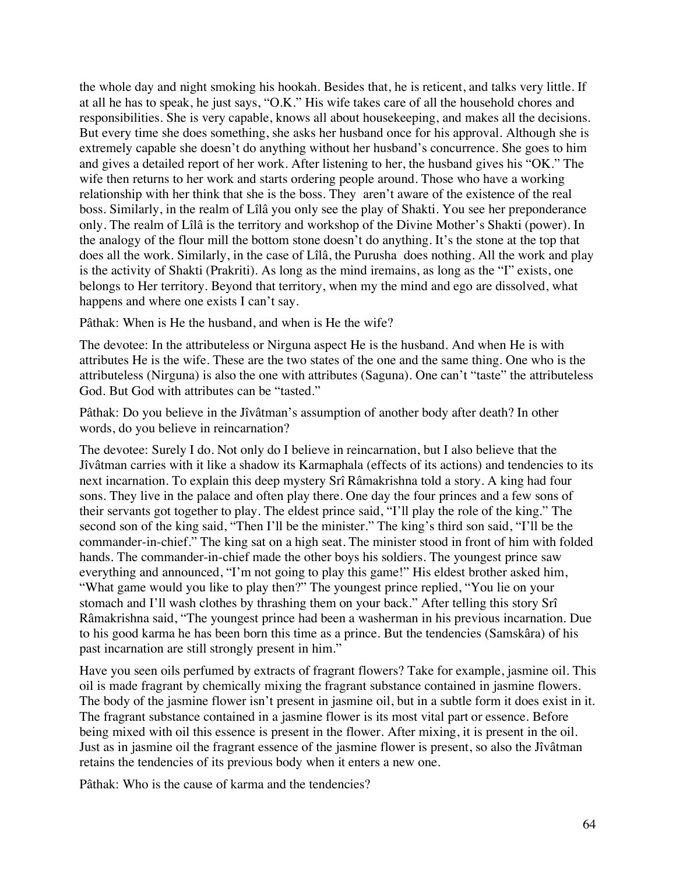the whole day and night smoking his hookah. Besides that, he is reticent, and talks very little. If at all he has to speak, he just says, "O.K." His wife takes care of all the household chores and responsibilities. She is very capable, knows all about housekeeping, and makes all the decisions. But every time she does something, she asks her husband once for his approval. Although she is extremely capable she doesn't do anything without her husband's concurrence. She goes to him and gives a detailed report of her work. After listening to her, the husband gives his "OK." The wife then returns to her work and starts ordering people around. Those who have a working relationship with her think that she is the boss. They aren't aware of the existence of the real boss. Similarly, in the realm of Lîlâ you only see the play of Shakti. You see her preponderance only. The realm of Lîlâ is the territory and workshop of the Divine Mother's Shakti (power). In the analogy of the flour mill the bottom stone doesn't do anything. It's the stone at the top that does all the work. Similarly, in the case of Lîlâ, the Purusha does nothing. All the work and play is the activity of Shakti (Prakriti). As long as the mind iremains, as long as the "I" exists, one belongs to Her territory. Beyond that territory, when my the mind and ego are dissolved, what happens and where one exists I can't say.

Pâthak: When is He the husband, and when is He the wife?

The devotee: In the attributeless or Nirguna aspect He is the husband. And when He is with attributes He is the wife. These are the two states of the one and the same thing. One who is the attributeless (Nirguna) is also the one with attributes (Saguna). One can't "taste" the attributeless God. But God with attributes can be "tasted."

Pâthak: Do you believe in the Jîvâtman's assumption of another body after death? In other words, do you believe in reincarnation?

The devotee: Surely I do. Not only do I believe in reincarnation, but I also believe that the Jîvâtman carries with it like a shadow its Karmaphala (effects of its actions) and tendencies to its next incarnation. To explain this deep mystery Srî Râmakrishna told a story. A king had four sons. They live in the palace and often play there. One day the four princes and a few sons of their servants got together to play. The eldest prince said, "I'll play the role of the king." The second son of the king said, "Then I'll be the minister." The king's third son said, "I'll be the commander-in-chief." The king sat on a high seat. The minister stood in front of him with folded hands. The commander-in-chief made the other boys his soldiers. The youngest prince saw everything and announced, "I'm not going to play this game!" His eldest brother asked him, "What game would you like to play then?" The youngest prince replied, "You lie on your stomach and I'll wash clothes by thrashing them on your back." After telling this story Srî Râmakrishna said, "The youngest prince had been a washerman in his previous incarnation. Due to his good karma he has been born this time as a prince. But the tendencies (Samskâra) of his past incarnation are still strongly present in him."

Have you seen oils perfumed by extracts of fragrant flowers? Take for example, jasmine oil. This oil is made fragrant by chemically mixing the fragrant substance contained in jasmine flowers. The body of the jasmine flower isn't present in jasmine oil, but in a subtle form it does exist in it. The fragrant substance contained in a jasmine flower is its most vital part or essence. Before being mixed with oil this essence is present in the flower. After mixing, it is present in the oil. Just as in jasmine oil the fragrant essence of the jasmine flower is present, so also the Jîvâtman retains the tendencies of its previous body when it enters a new one.

Pâthak: Who is the cause of karma and the tendencies?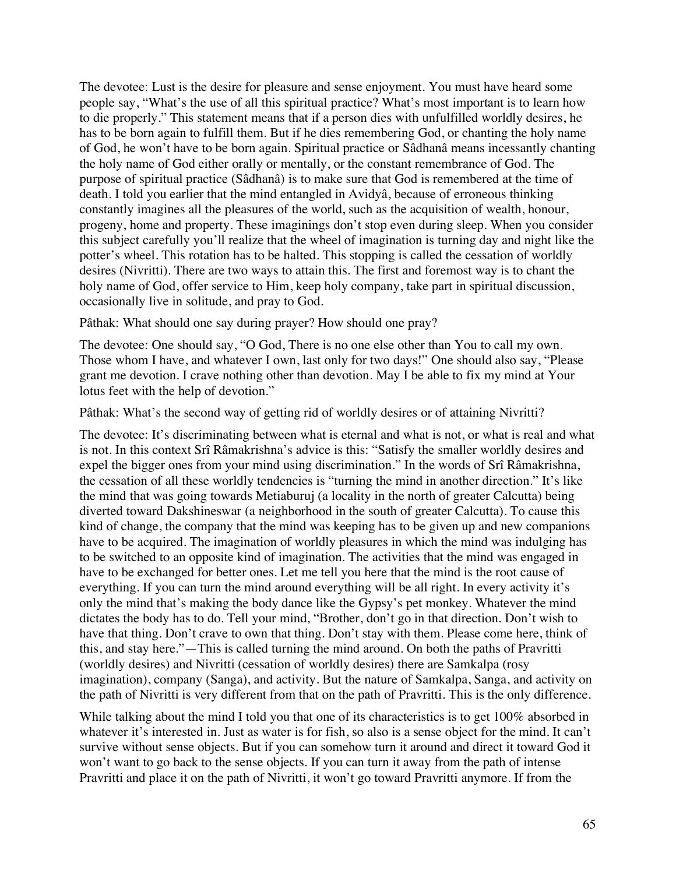The devotee: Lust is the desire for pleasure and sense enjoyment. You must have heard some people say, "What's the use of all this spiritual practice? What's most important is to learn how to die properly." This statement means that if a person dies with unfulfilled worldly desires, he has to be born again to fulfill them. But if he dies remembering God, or chanting the holy name of God, he won't have to be born again. Spiritual practice or Sâdhanâ means incessantly chanting the holy name of God either orally or mentally, or the constant remembrance of God. The purpose of spiritual practice (Sâdhanâ) is to make sure that God is remembered at the time of death. I told you earlier that the mind entangled in Avidyâ, because of erroneous thinking constantly imagines all the pleasures of the world, such as the acquisition of wealth, honour, progeny, home and property. These imaginings don't stop even during sleep. When you consider this subject carefully you'll realize that the wheel of imagination is turning day and night like the potter's wheel. This rotation has to be halted. This stopping is called the cessation of worldly desires (Nivritti). There are two ways to attain this. The first and foremost way is to chant the holy name of God, offer service to Him, keep holy company, take part in spiritual discussion, occasionally live in solitude, and pray to God.

Pâthak: What should one say during prayer? How should one pray?

The devotee: One should say, "O God, There is no one else other than You to call my own. Those whom I have, and whatever I own, last only for two days!" One should also say, "Please grant me devotion. I crave nothing other than devotion. May I be able to fix my mind at Your lotus feet with the help of devotion."

Pâthak: What's the second way of getting rid of worldly desires or of attaining Nivritti?

The devotee: It's discriminating between what is eternal and what is not, or what is real and what is not. In this context Srî Râmakrishna's advice is this: "Satisfy the smaller worldly desires and expel the bigger ones from your mind using discrimination." In the words of Srî Râmakrishna, the cessation of all these worldly tendencies is "turning the mind in another direction." It's like the mind that was going towards Metiaburuj (a locality in the north of greater Calcutta) being diverted toward Dakshineswar (a neighborhood in the south of greater Calcutta). To cause this kind of change, the company that the mind was keeping has to be given up and new companions have to be acquired. The imagination of worldly pleasures in which the mind was indulging has to be switched to an opposite kind of imagination. The activities that the mind was engaged in have to be exchanged for better ones. Let me tell you here that the mind is the root cause of everything. If you can turn the mind around everything will be all right. In every activity it's only the mind that's making the body dance like the Gypsy's pet monkey. Whatever the mind dictates the body has to do. Tell your mind, "Brother, don't go in that direction. Don't wish to have that thing. Don't crave to own that thing. Don't stay with them. Please come here, think of this, and stay here."—This is called turning the mind around. On both the paths of Pravritti (worldly desires) and Nivritti (cessation of worldly desires) there are Samkalpa (rosy imagination), company (Sanga), and activity. But the nature of Samkalpa, Sanga, and activity on the path of Nivritti is very different from that on the path of Pravritti. This is the only difference.

While talking about the mind I told you that one of its characteristics is to get 100% absorbed in whatever it's interested in. Just as water is for fish, so also is a sense object for the mind. It can't survive without sense objects. But if you can somehow turn it around and direct it toward God it won't want to go back to the sense objects. If you can turn it away from the path of intense Pravritti and place it on the path of Nivritti, it won't go toward Pravritti anymore. If from the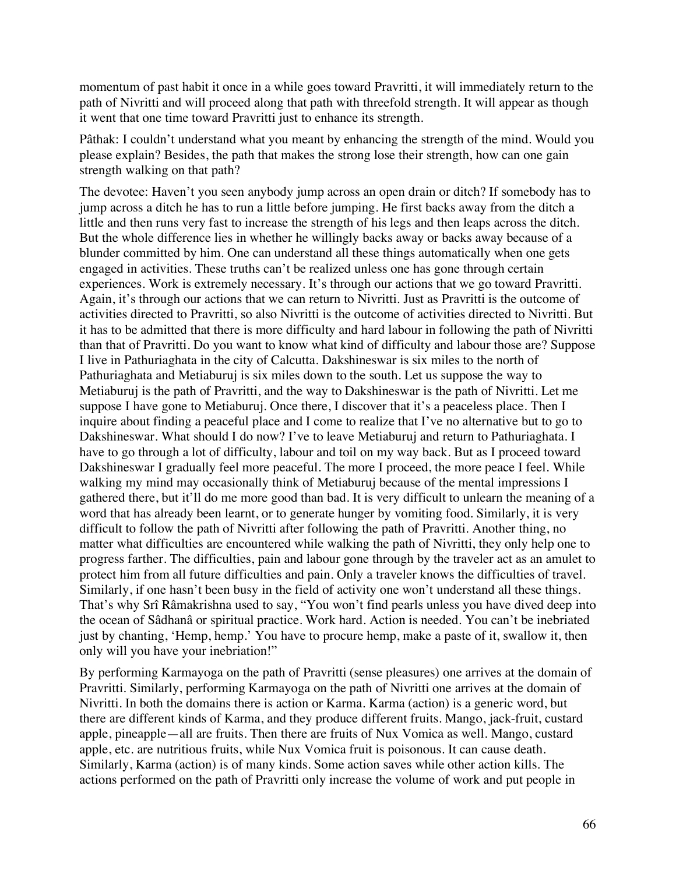momentum of past habit it once in a while goes toward Pravritti, it will immediately return to the path of Nivritti and will proceed along that path with threefold strength. It will appear as though it went that one time toward Pravritti just to enhance its strength.

Pâthak: I couldn't understand what you meant by enhancing the strength of the mind. Would you please explain? Besides, the path that makes the strong lose their strength, how can one gain strength walking on that path?

The devotee: Haven't you seen anybody jump across an open drain or ditch? If somebody has to jump across a ditch he has to run a little before jumping. He first backs away from the ditch a little and then runs very fast to increase the strength of his legs and then leaps across the ditch. But the whole difference lies in whether he willingly backs away or backs away because of a blunder committed by him. One can understand all these things automatically when one gets engaged in activities. These truths can't be realized unless one has gone through certain experiences. Work is extremely necessary. It's through our actions that we go toward Pravritti. Again, it's through our actions that we can return to Nivritti. Just as Pravritti is the outcome of activities directed to Pravritti, so also Nivritti is the outcome of activities directed to Nivritti. But it has to be admitted that there is more difficulty and hard labour in following the path of Nivritti than that of Pravritti. Do you want to know what kind of difficulty and labour those are? Suppose I live in Pathuriaghata in the city of Calcutta. Dakshineswar is six miles to the north of Pathuriaghata and Metiaburuj is six miles down to the south. Let us suppose the way to Metiaburuj is the path of Pravritti, and the way to Dakshineswar is the path of Nivritti. Let me suppose I have gone to Metiaburuj. Once there, I discover that it's a peaceless place. Then I inquire about finding a peaceful place and I come to realize that I've no alternative but to go to Dakshineswar. What should I do now? I've to leave Metiaburuj and return to Pathuriaghata. I have to go through a lot of difficulty, labour and toil on my way back. But as I proceed toward Dakshineswar I gradually feel more peaceful. The more I proceed, the more peace I feel. While walking my mind may occasionally think of Metiaburuj because of the mental impressions I gathered there, but it'll do me more good than bad. It is very difficult to unlearn the meaning of a word that has already been learnt, or to generate hunger by vomiting food. Similarly, it is very difficult to follow the path of Nivritti after following the path of Pravritti. Another thing, no matter what difficulties are encountered while walking the path of Nivritti, they only help one to progress farther. The difficulties, pain and labour gone through by the traveler act as an amulet to protect him from all future difficulties and pain. Only a traveler knows the difficulties of travel. Similarly, if one hasn't been busy in the field of activity one won't understand all these things. That's why Srî Râmakrishna used to say, "You won't find pearls unless you have dived deep into the ocean of Sâdhanâ or spiritual practice. Work hard. Action is needed. You can't be inebriated just by chanting, 'Hemp, hemp.' You have to procure hemp, make a paste of it, swallow it, then only will you have your inebriation!"

By performing Karmayoga on the path of Pravritti (sense pleasures) one arrives at the domain of Pravritti. Similarly, performing Karmayoga on the path of Nivritti one arrives at the domain of Nivritti. In both the domains there is action or Karma. Karma (action) is a generic word, but there are different kinds of Karma, and they produce different fruits. Mango, jack-fruit, custard apple, pineapple—all are fruits. Then there are fruits of Nux Vomica as well. Mango, custard apple, etc. are nutritious fruits, while Nux Vomica fruit is poisonous. It can cause death. Similarly, Karma (action) is of many kinds. Some action saves while other action kills. The actions performed on the path of Pravritti only increase the volume of work and put people in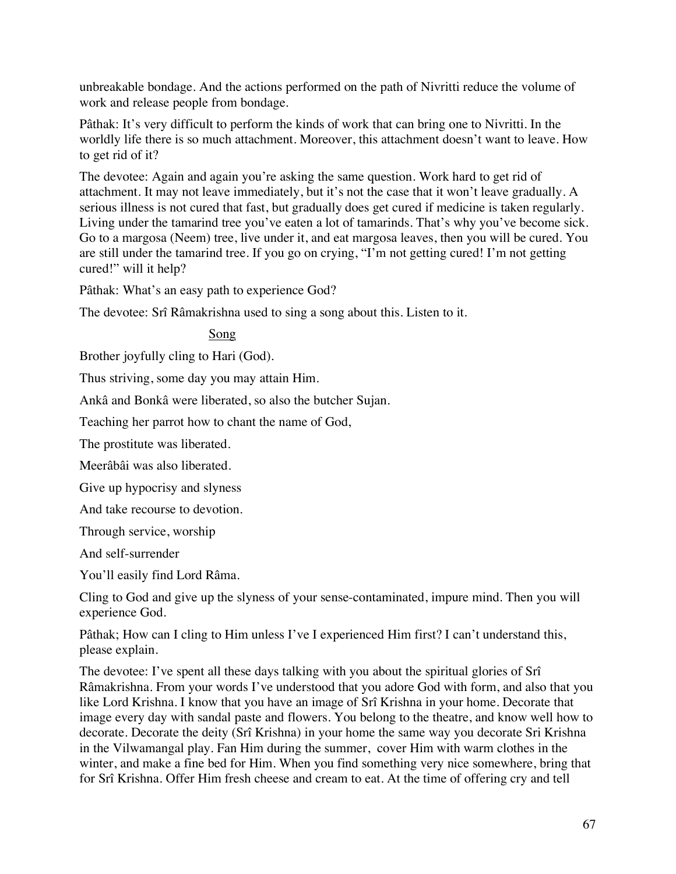unbreakable bondage. And the actions performed on the path of Nivritti reduce the volume of work and release people from bondage.

Pâthak: It's very difficult to perform the kinds of work that can bring one to Nivritti. In the worldly life there is so much attachment. Moreover, this attachment doesn't want to leave. How to get rid of it?

The devotee: Again and again you're asking the same question. Work hard to get rid of attachment. It may not leave immediately, but it's not the case that it won't leave gradually. A serious illness is not cured that fast, but gradually does get cured if medicine is taken regularly. Living under the tamarind tree you've eaten a lot of tamarinds. That's why you've become sick. Go to a margosa (Neem) tree, live under it, and eat margosa leaves, then you will be cured. You are still under the tamarind tree. If you go on crying, "I'm not getting cured! I'm not getting cured!" will it help?

Pâthak: What's an easy path to experience God?

The devotee: Srî Râmakrishna used to sing a song about this. Listen to it.

Song

Brother joyfully cling to Hari (God).

Thus striving, some day you may attain Him.

Ankâ and Bonkâ were liberated, so also the butcher Sujan.

Teaching her parrot how to chant the name of God,

The prostitute was liberated.

Meerâbâi was also liberated.

Give up hypocrisy and slyness

And take recourse to devotion.

Through service, worship

And self-surrender

You'll easily find Lord Râma.

Cling to God and give up the slyness of your sense-contaminated, impure mind. Then you will experience God.

Pâthak; How can I cling to Him unless I've I experienced Him first? I can't understand this, please explain.

The devotee: I've spent all these days talking with you about the spiritual glories of Srî Râmakrishna. From your words I've understood that you adore God with form, and also that you like Lord Krishna. I know that you have an image of Srî Krishna in your home. Decorate that image every day with sandal paste and flowers. You belong to the theatre, and know well how to decorate. Decorate the deity (Srî Krishna) in your home the same way you decorate Sri Krishna in the Vilwamangal play. Fan Him during the summer, cover Him with warm clothes in the winter, and make a fine bed for Him. When you find something very nice somewhere, bring that for Srî Krishna. Offer Him fresh cheese and cream to eat. At the time of offering cry and tell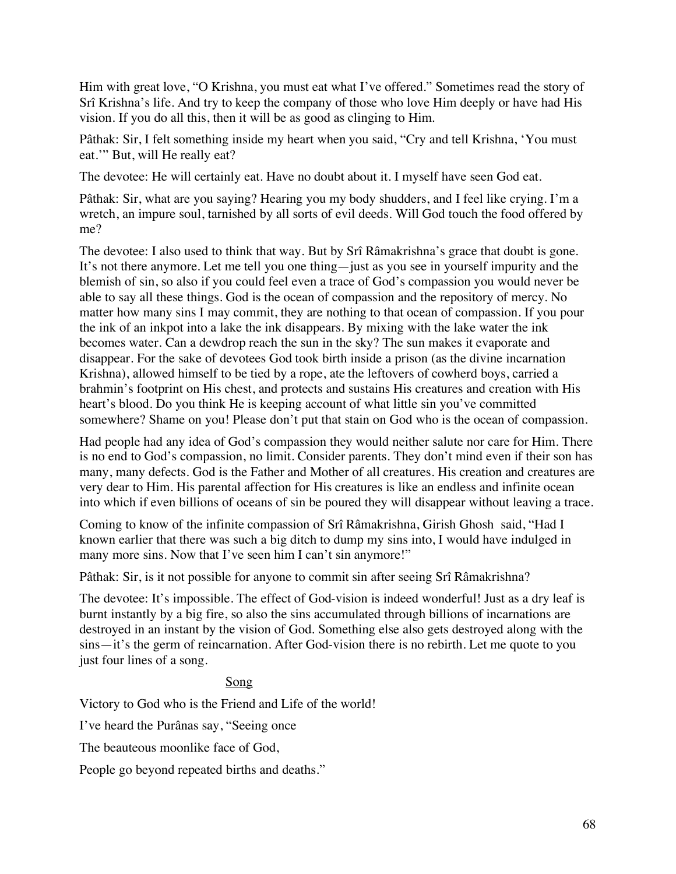Him with great love, "O Krishna, you must eat what I've offered." Sometimes read the story of Srî Krishna's life. And try to keep the company of those who love Him deeply or have had His vision. If you do all this, then it will be as good as clinging to Him.

Pâthak: Sir, I felt something inside my heart when you said, "Cry and tell Krishna, 'You must eat.'" But, will He really eat?

The devotee: He will certainly eat. Have no doubt about it. I myself have seen God eat.

Pâthak: Sir, what are you saying? Hearing you my body shudders, and I feel like crying. I'm a wretch, an impure soul, tarnished by all sorts of evil deeds. Will God touch the food offered by me?

The devotee: I also used to think that way. But by Srî Râmakrishna's grace that doubt is gone. It's not there anymore. Let me tell you one thing—just as you see in yourself impurity and the blemish of sin, so also if you could feel even a trace of God's compassion you would never be able to say all these things. God is the ocean of compassion and the repository of mercy. No matter how many sins I may commit, they are nothing to that ocean of compassion. If you pour the ink of an inkpot into a lake the ink disappears. By mixing with the lake water the ink becomes water. Can a dewdrop reach the sun in the sky? The sun makes it evaporate and disappear. For the sake of devotees God took birth inside a prison (as the divine incarnation Krishna), allowed himself to be tied by a rope, ate the leftovers of cowherd boys, carried a brahmin's footprint on His chest, and protects and sustains His creatures and creation with His heart's blood. Do you think He is keeping account of what little sin you've committed somewhere? Shame on you! Please don't put that stain on God who is the ocean of compassion.

Had people had any idea of God's compassion they would neither salute nor care for Him. There is no end to God's compassion, no limit. Consider parents. They don't mind even if their son has many, many defects. God is the Father and Mother of all creatures. His creation and creatures are very dear to Him. His parental affection for His creatures is like an endless and infinite ocean into which if even billions of oceans of sin be poured they will disappear without leaving a trace.

Coming to know of the infinite compassion of Srî Râmakrishna, Girish Ghosh said, "Had I known earlier that there was such a big ditch to dump my sins into, I would have indulged in many more sins. Now that I've seen him I can't sin anymore!"

Pâthak: Sir, is it not possible for anyone to commit sin after seeing Srî Râmakrishna?

The devotee: It's impossible. The effect of God-vision is indeed wonderful! Just as a dry leaf is burnt instantly by a big fire, so also the sins accumulated through billions of incarnations are destroyed in an instant by the vision of God. Something else also gets destroyed along with the sins—it's the germ of reincarnation. After God-vision there is no rebirth. Let me quote to you just four lines of a song.

# Song

Victory to God who is the Friend and Life of the world!

I've heard the Purânas say, "Seeing once

The beauteous moonlike face of God,

People go beyond repeated births and deaths."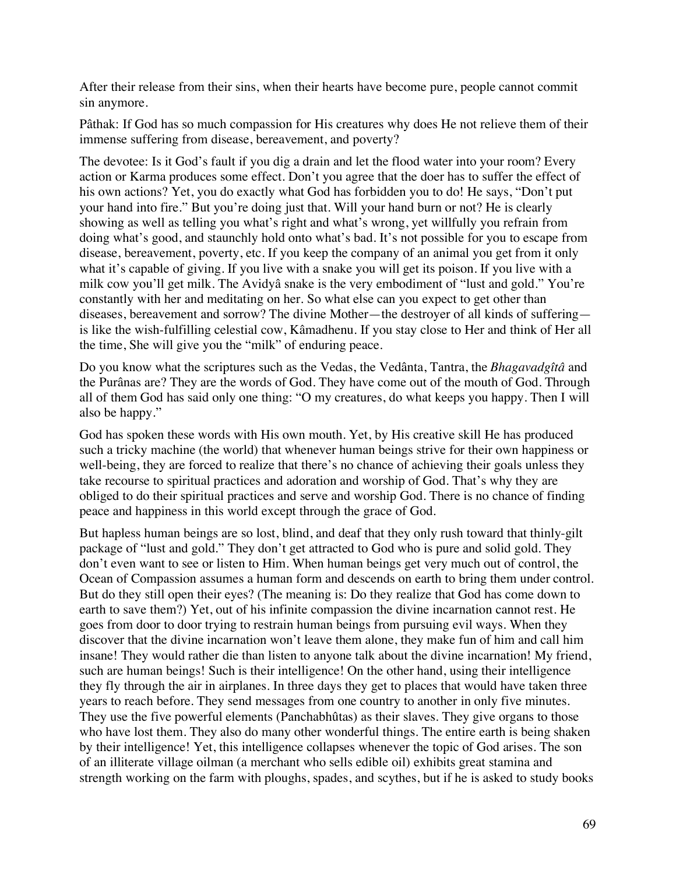After their release from their sins, when their hearts have become pure, people cannot commit sin anymore.

Pâthak: If God has so much compassion for His creatures why does He not relieve them of their immense suffering from disease, bereavement, and poverty?

The devotee: Is it God's fault if you dig a drain and let the flood water into your room? Every action or Karma produces some effect. Don't you agree that the doer has to suffer the effect of his own actions? Yet, you do exactly what God has forbidden you to do! He says, "Don't put your hand into fire." But you're doing just that. Will your hand burn or not? He is clearly showing as well as telling you what's right and what's wrong, yet willfully you refrain from doing what's good, and staunchly hold onto what's bad. It's not possible for you to escape from disease, bereavement, poverty, etc. If you keep the company of an animal you get from it only what it's capable of giving. If you live with a snake you will get its poison. If you live with a milk cow you'll get milk. The Avidyâ snake is the very embodiment of "lust and gold." You're constantly with her and meditating on her. So what else can you expect to get other than diseases, bereavement and sorrow? The divine Mother—the destroyer of all kinds of suffering is like the wish-fulfilling celestial cow, Kâmadhenu. If you stay close to Her and think of Her all the time, She will give you the "milk" of enduring peace.

Do you know what the scriptures such as the Vedas, the Vedânta, Tantra, the *Bhagavadgîtâ* and the Purânas are? They are the words of God. They have come out of the mouth of God. Through all of them God has said only one thing: "O my creatures, do what keeps you happy. Then I will also be happy."

God has spoken these words with His own mouth. Yet, by His creative skill He has produced such a tricky machine (the world) that whenever human beings strive for their own happiness or well-being, they are forced to realize that there's no chance of achieving their goals unless they take recourse to spiritual practices and adoration and worship of God. That's why they are obliged to do their spiritual practices and serve and worship God. There is no chance of finding peace and happiness in this world except through the grace of God.

But hapless human beings are so lost, blind, and deaf that they only rush toward that thinly-gilt package of "lust and gold." They don't get attracted to God who is pure and solid gold. They don't even want to see or listen to Him. When human beings get very much out of control, the Ocean of Compassion assumes a human form and descends on earth to bring them under control. But do they still open their eyes? (The meaning is: Do they realize that God has come down to earth to save them?) Yet, out of his infinite compassion the divine incarnation cannot rest. He goes from door to door trying to restrain human beings from pursuing evil ways. When they discover that the divine incarnation won't leave them alone, they make fun of him and call him insane! They would rather die than listen to anyone talk about the divine incarnation! My friend, such are human beings! Such is their intelligence! On the other hand, using their intelligence they fly through the air in airplanes. In three days they get to places that would have taken three years to reach before. They send messages from one country to another in only five minutes. They use the five powerful elements (Panchabhûtas) as their slaves. They give organs to those who have lost them. They also do many other wonderful things. The entire earth is being shaken by their intelligence! Yet, this intelligence collapses whenever the topic of God arises. The son of an illiterate village oilman (a merchant who sells edible oil) exhibits great stamina and strength working on the farm with ploughs, spades, and scythes, but if he is asked to study books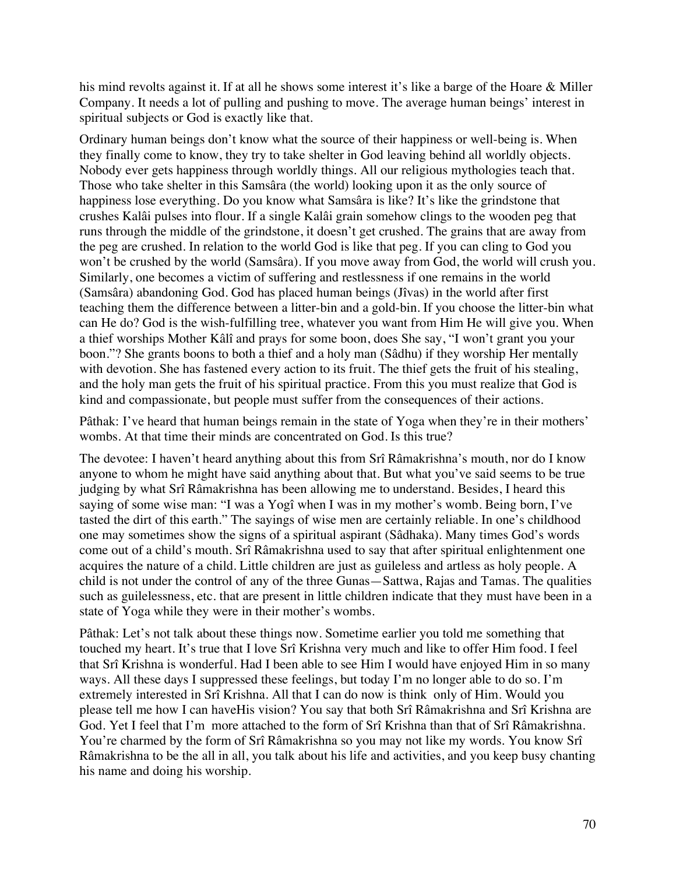his mind revolts against it. If at all he shows some interest it's like a barge of the Hoare & Miller Company. It needs a lot of pulling and pushing to move. The average human beings' interest in spiritual subjects or God is exactly like that.

Ordinary human beings don't know what the source of their happiness or well-being is. When they finally come to know, they try to take shelter in God leaving behind all worldly objects. Nobody ever gets happiness through worldly things. All our religious mythologies teach that. Those who take shelter in this Samsâra (the world) looking upon it as the only source of happiness lose everything. Do you know what Samsâra is like? It's like the grindstone that crushes Kalâi pulses into flour. If a single Kalâi grain somehow clings to the wooden peg that runs through the middle of the grindstone, it doesn't get crushed. The grains that are away from the peg are crushed. In relation to the world God is like that peg. If you can cling to God you won't be crushed by the world (Samsâra). If you move away from God, the world will crush you. Similarly, one becomes a victim of suffering and restlessness if one remains in the world (Samsâra) abandoning God. God has placed human beings (Jîvas) in the world after first teaching them the difference between a litter-bin and a gold-bin. If you choose the litter-bin what can He do? God is the wish-fulfilling tree, whatever you want from Him He will give you. When a thief worships Mother Kâlî and prays for some boon, does She say, "I won't grant you your boon."? She grants boons to both a thief and a holy man (Sâdhu) if they worship Her mentally with devotion. She has fastened every action to its fruit. The thief gets the fruit of his stealing, and the holy man gets the fruit of his spiritual practice. From this you must realize that God is kind and compassionate, but people must suffer from the consequences of their actions.

Pâthak: I've heard that human beings remain in the state of Yoga when they're in their mothers' wombs. At that time their minds are concentrated on God. Is this true?

The devotee: I haven't heard anything about this from Srî Râmakrishna's mouth, nor do I know anyone to whom he might have said anything about that. But what you've said seems to be true judging by what Srî Râmakrishna has been allowing me to understand. Besides, I heard this saying of some wise man: "I was a Yogî when I was in my mother's womb. Being born, I've tasted the dirt of this earth." The sayings of wise men are certainly reliable. In one's childhood one may sometimes show the signs of a spiritual aspirant (Sâdhaka). Many times God's words come out of a child's mouth. Srî Râmakrishna used to say that after spiritual enlightenment one acquires the nature of a child. Little children are just as guileless and artless as holy people. A child is not under the control of any of the three Gunas—Sattwa, Rajas and Tamas. The qualities such as guilelessness, etc. that are present in little children indicate that they must have been in a state of Yoga while they were in their mother's wombs.

Pâthak: Let's not talk about these things now. Sometime earlier you told me something that touched my heart. It's true that I love Srî Krishna very much and like to offer Him food. I feel that Srî Krishna is wonderful. Had I been able to see Him I would have enjoyed Him in so many ways. All these days I suppressed these feelings, but today I'm no longer able to do so. I'm extremely interested in Srî Krishna. All that I can do now is think only of Him. Would you please tell me how I can haveHis vision? You say that both Srî Râmakrishna and Srî Krishna are God. Yet I feel that I'm more attached to the form of Srî Krishna than that of Srî Râmakrishna. You're charmed by the form of Srî Râmakrishna so you may not like my words. You know Srî Râmakrishna to be the all in all, you talk about his life and activities, and you keep busy chanting his name and doing his worship.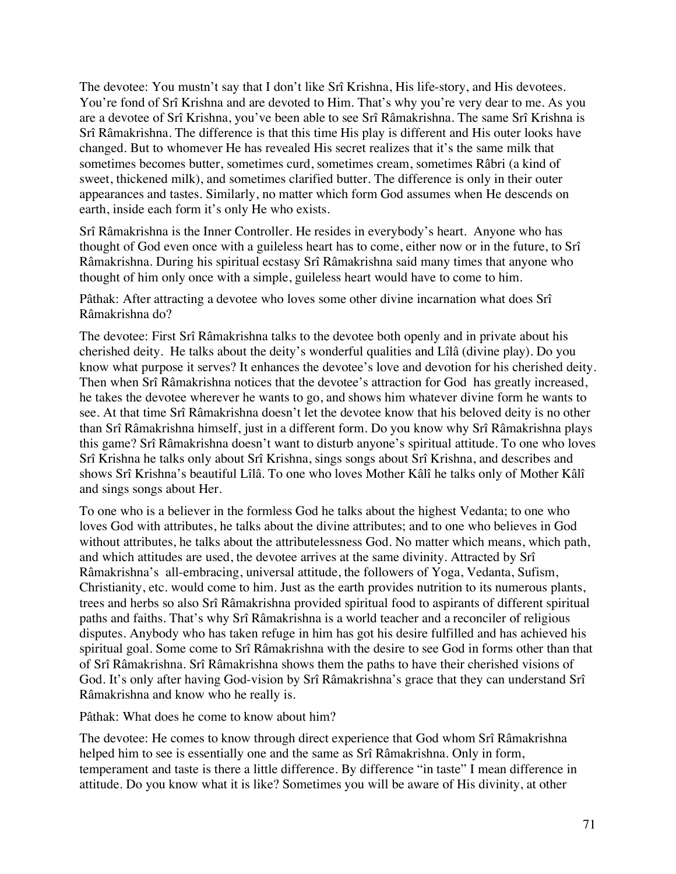The devotee: You mustn't say that I don't like Srî Krishna, His life-story, and His devotees. You're fond of Srî Krishna and are devoted to Him. That's why you're very dear to me. As you are a devotee of Srî Krishna, you've been able to see Srî Râmakrishna. The same Srî Krishna is Srî Râmakrishna. The difference is that this time His play is different and His outer looks have changed. But to whomever He has revealed His secret realizes that it's the same milk that sometimes becomes butter, sometimes curd, sometimes cream, sometimes Râbri (a kind of sweet, thickened milk), and sometimes clarified butter. The difference is only in their outer appearances and tastes. Similarly, no matter which form God assumes when He descends on earth, inside each form it's only He who exists.

Srî Râmakrishna is the Inner Controller. He resides in everybody's heart. Anyone who has thought of God even once with a guileless heart has to come, either now or in the future, to Srî Râmakrishna. During his spiritual ecstasy Srî Râmakrishna said many times that anyone who thought of him only once with a simple, guileless heart would have to come to him.

Pâthak: After attracting a devotee who loves some other divine incarnation what does Srî Râmakrishna do?

The devotee: First Srî Râmakrishna talks to the devotee both openly and in private about his cherished deity. He talks about the deity's wonderful qualities and Lîlâ (divine play). Do you know what purpose it serves? It enhances the devotee's love and devotion for his cherished deity. Then when Srî Râmakrishna notices that the devotee's attraction for God has greatly increased, he takes the devotee wherever he wants to go, and shows him whatever divine form he wants to see. At that time Srî Râmakrishna doesn't let the devotee know that his beloved deity is no other than Srî Râmakrishna himself, just in a different form. Do you know why Srî Râmakrishna plays this game? Srî Râmakrishna doesn't want to disturb anyone's spiritual attitude. To one who loves Srî Krishna he talks only about Srî Krishna, sings songs about Srî Krishna, and describes and shows Srî Krishna's beautiful Lîlâ. To one who loves Mother Kâlî he talks only of Mother Kâlî and sings songs about Her.

To one who is a believer in the formless God he talks about the highest Vedanta; to one who loves God with attributes, he talks about the divine attributes; and to one who believes in God without attributes, he talks about the attributelessness God. No matter which means, which path, and which attitudes are used, the devotee arrives at the same divinity. Attracted by Srî Râmakrishna's all-embracing, universal attitude, the followers of Yoga, Vedanta, Sufism, Christianity, etc. would come to him. Just as the earth provides nutrition to its numerous plants, trees and herbs so also Srî Râmakrishna provided spiritual food to aspirants of different spiritual paths and faiths. That's why Srî Râmakrishna is a world teacher and a reconciler of religious disputes. Anybody who has taken refuge in him has got his desire fulfilled and has achieved his spiritual goal. Some come to Srî Râmakrishna with the desire to see God in forms other than that of Srî Râmakrishna. Srî Râmakrishna shows them the paths to have their cherished visions of God. It's only after having God-vision by Srî Râmakrishna's grace that they can understand Srî Râmakrishna and know who he really is.

Pâthak: What does he come to know about him?

The devotee: He comes to know through direct experience that God whom Srî Râmakrishna helped him to see is essentially one and the same as Srî Râmakrishna. Only in form, temperament and taste is there a little difference. By difference "in taste" I mean difference in attitude. Do you know what it is like? Sometimes you will be aware of His divinity, at other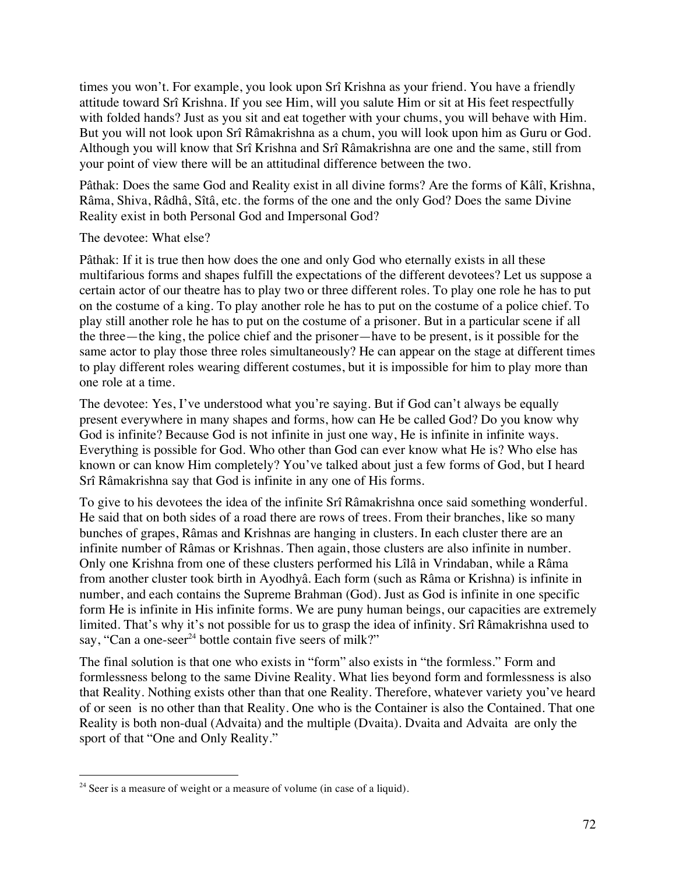times you won't. For example, you look upon Srî Krishna as your friend. You have a friendly attitude toward Srî Krishna. If you see Him, will you salute Him or sit at His feet respectfully with folded hands? Just as you sit and eat together with your chums, you will behave with Him. But you will not look upon Srî Râmakrishna as a chum, you will look upon him as Guru or God. Although you will know that Srî Krishna and Srî Râmakrishna are one and the same, still from your point of view there will be an attitudinal difference between the two.

Pâthak: Does the same God and Reality exist in all divine forms? Are the forms of Kâlî, Krishna, Râma, Shiva, Râdhâ, Sîtâ, etc. the forms of the one and the only God? Does the same Divine Reality exist in both Personal God and Impersonal God?

# The devotee: What else?

Pâthak: If it is true then how does the one and only God who eternally exists in all these multifarious forms and shapes fulfill the expectations of the different devotees? Let us suppose a certain actor of our theatre has to play two or three different roles. To play one role he has to put on the costume of a king. To play another role he has to put on the costume of a police chief. To play still another role he has to put on the costume of a prisoner. But in a particular scene if all the three—the king, the police chief and the prisoner—have to be present, is it possible for the same actor to play those three roles simultaneously? He can appear on the stage at different times to play different roles wearing different costumes, but it is impossible for him to play more than one role at a time.

The devotee: Yes, I've understood what you're saying. But if God can't always be equally present everywhere in many shapes and forms, how can He be called God? Do you know why God is infinite? Because God is not infinite in just one way, He is infinite in infinite ways. Everything is possible for God. Who other than God can ever know what He is? Who else has known or can know Him completely? You've talked about just a few forms of God, but I heard Srî Râmakrishna say that God is infinite in any one of His forms.

To give to his devotees the idea of the infinite Srî Râmakrishna once said something wonderful. He said that on both sides of a road there are rows of trees. From their branches, like so many bunches of grapes, Râmas and Krishnas are hanging in clusters. In each cluster there are an infinite number of Râmas or Krishnas. Then again, those clusters are also infinite in number. Only one Krishna from one of these clusters performed his Lîlâ in Vrindaban, while a Râma from another cluster took birth in Ayodhyâ. Each form (such as Râma or Krishna) is infinite in number, and each contains the Supreme Brahman (God). Just as God is infinite in one specific form He is infinite in His infinite forms. We are puny human beings, our capacities are extremely limited. That's why it's not possible for us to grasp the idea of infinity. Srî Râmakrishna used to say, "Can a one-seer<sup>24</sup> bottle contain five seers of milk?"

The final solution is that one who exists in "form" also exists in "the formless." Form and formlessness belong to the same Divine Reality. What lies beyond form and formlessness is also that Reality. Nothing exists other than that one Reality. Therefore, whatever variety you've heard of or seen is no other than that Reality. One who is the Container is also the Contained. That one Reality is both non-dual (Advaita) and the multiple (Dvaita). Dvaita and Advaita are only the sport of that "One and Only Reality."

 $24$  Seer is a measure of weight or a measure of volume (in case of a liquid).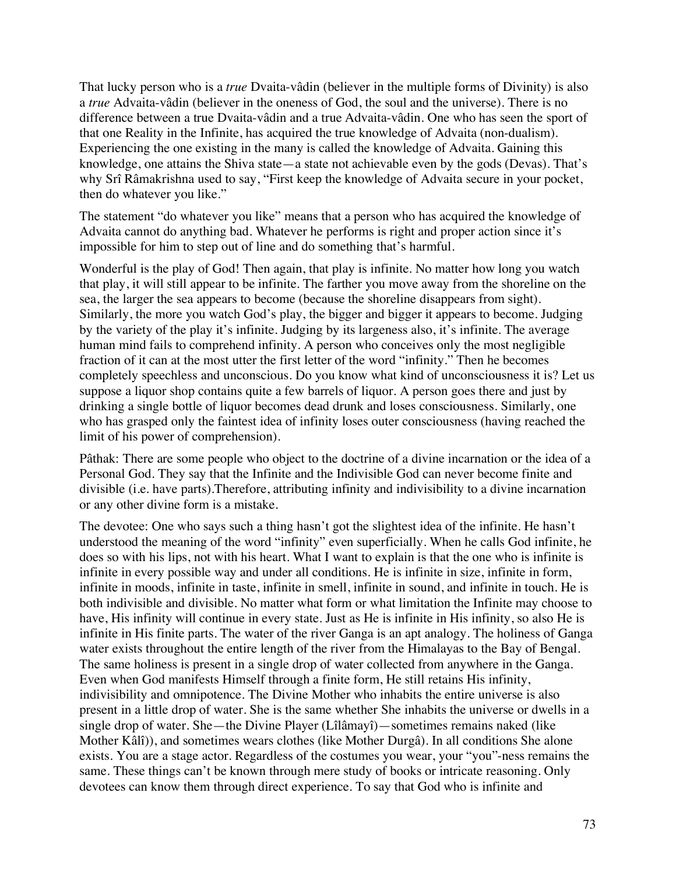That lucky person who is a *true* Dvaita-vâdin (believer in the multiple forms of Divinity) is also a *true* Advaita-vâdin (believer in the oneness of God, the soul and the universe). There is no difference between a true Dvaita-vâdin and a true Advaita-vâdin. One who has seen the sport of that one Reality in the Infinite, has acquired the true knowledge of Advaita (non-dualism). Experiencing the one existing in the many is called the knowledge of Advaita. Gaining this knowledge, one attains the Shiva state—a state not achievable even by the gods (Devas). That's why Srî Râmakrishna used to say, "First keep the knowledge of Advaita secure in your pocket, then do whatever you like."

The statement "do whatever you like" means that a person who has acquired the knowledge of Advaita cannot do anything bad. Whatever he performs is right and proper action since it's impossible for him to step out of line and do something that's harmful.

Wonderful is the play of God! Then again, that play is infinite. No matter how long you watch that play, it will still appear to be infinite. The farther you move away from the shoreline on the sea, the larger the sea appears to become (because the shoreline disappears from sight). Similarly, the more you watch God's play, the bigger and bigger it appears to become. Judging by the variety of the play it's infinite. Judging by its largeness also, it's infinite. The average human mind fails to comprehend infinity. A person who conceives only the most negligible fraction of it can at the most utter the first letter of the word "infinity." Then he becomes completely speechless and unconscious. Do you know what kind of unconsciousness it is? Let us suppose a liquor shop contains quite a few barrels of liquor. A person goes there and just by drinking a single bottle of liquor becomes dead drunk and loses consciousness. Similarly, one who has grasped only the faintest idea of infinity loses outer consciousness (having reached the limit of his power of comprehension).

Pâthak: There are some people who object to the doctrine of a divine incarnation or the idea of a Personal God. They say that the Infinite and the Indivisible God can never become finite and divisible (i.e. have parts).Therefore, attributing infinity and indivisibility to a divine incarnation or any other divine form is a mistake.

The devotee: One who says such a thing hasn't got the slightest idea of the infinite. He hasn't understood the meaning of the word "infinity" even superficially. When he calls God infinite, he does so with his lips, not with his heart. What I want to explain is that the one who is infinite is infinite in every possible way and under all conditions. He is infinite in size, infinite in form, infinite in moods, infinite in taste, infinite in smell, infinite in sound, and infinite in touch. He is both indivisible and divisible. No matter what form or what limitation the Infinite may choose to have, His infinity will continue in every state. Just as He is infinite in His infinity, so also He is infinite in His finite parts. The water of the river Ganga is an apt analogy. The holiness of Ganga water exists throughout the entire length of the river from the Himalayas to the Bay of Bengal. The same holiness is present in a single drop of water collected from anywhere in the Ganga. Even when God manifests Himself through a finite form, He still retains His infinity, indivisibility and omnipotence. The Divine Mother who inhabits the entire universe is also present in a little drop of water. She is the same whether She inhabits the universe or dwells in a single drop of water. She—the Divine Player (Lîlâmayî)—sometimes remains naked (like Mother Kâlî)), and sometimes wears clothes (like Mother Durgâ). In all conditions She alone exists. You are a stage actor. Regardless of the costumes you wear, your "you"-ness remains the same. These things can't be known through mere study of books or intricate reasoning. Only devotees can know them through direct experience. To say that God who is infinite and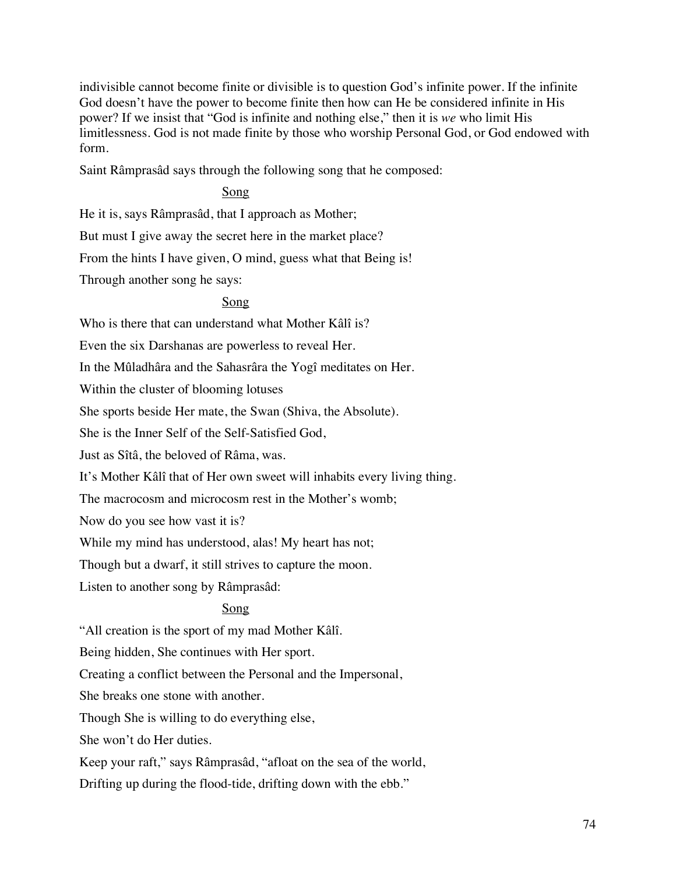indivisible cannot become finite or divisible is to question God's infinite power. If the infinite God doesn't have the power to become finite then how can He be considered infinite in His power? If we insist that "God is infinite and nothing else," then it is *we* who limit His limitlessness. God is not made finite by those who worship Personal God, or God endowed with form.

Saint Râmprasâd says through the following song that he composed:

### Song

He it is, says Râmprasâd, that I approach as Mother;

But must I give away the secret here in the market place?

From the hints I have given, O mind, guess what that Being is!

Through another song he says:

#### Song

Who is there that can understand what Mother Kâlî is?

Even the six Darshanas are powerless to reveal Her.

In the Mûladhâra and the Sahasrâra the Yogî meditates on Her.

Within the cluster of blooming lotuses

She sports beside Her mate, the Swan (Shiva, the Absolute).

She is the Inner Self of the Self-Satisfied God,

Just as Sîtâ, the beloved of Râma, was.

It's Mother Kâlî that of Her own sweet will inhabits every living thing.

The macrocosm and microcosm rest in the Mother's womb;

Now do you see how vast it is?

While my mind has understood, alas! My heart has not;

Though but a dwarf, it still strives to capture the moon.

Listen to another song by Râmprasâd:

### Song

"All creation is the sport of my mad Mother Kâlî.

Being hidden, She continues with Her sport.

Creating a conflict between the Personal and the Impersonal,

She breaks one stone with another.

Though She is willing to do everything else,

She won't do Her duties.

Keep your raft," says Râmprasâd, "afloat on the sea of the world,

Drifting up during the flood-tide, drifting down with the ebb."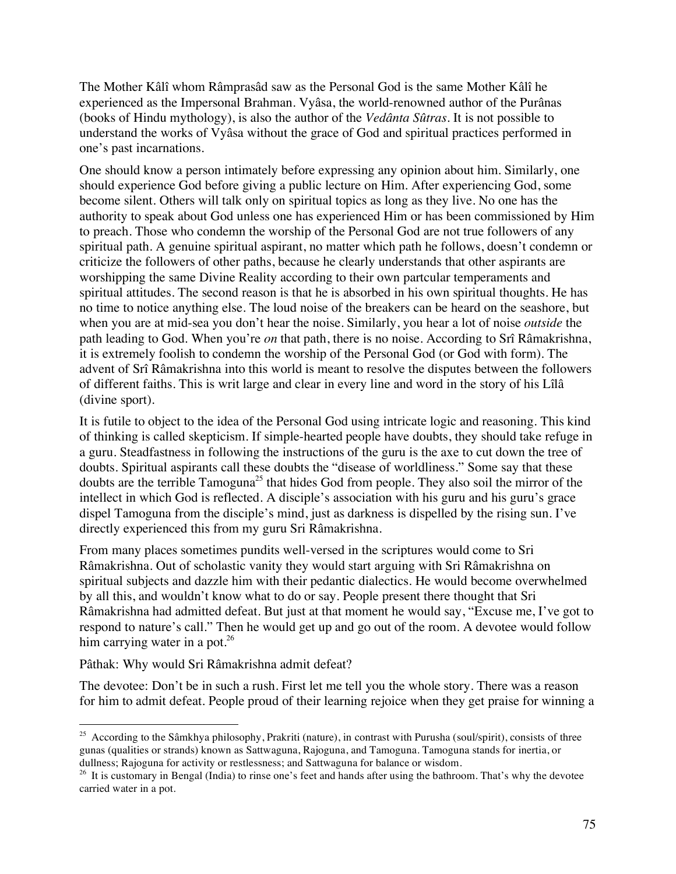The Mother Kâlî whom Râmprasâd saw as the Personal God is the same Mother Kâlî he experienced as the Impersonal Brahman. Vyâsa, the world-renowned author of the Purânas (books of Hindu mythology), is also the author of the *Vedânta Sûtras*. It is not possible to understand the works of Vyâsa without the grace of God and spiritual practices performed in one's past incarnations.

One should know a person intimately before expressing any opinion about him. Similarly, one should experience God before giving a public lecture on Him. After experiencing God, some become silent. Others will talk only on spiritual topics as long as they live. No one has the authority to speak about God unless one has experienced Him or has been commissioned by Him to preach. Those who condemn the worship of the Personal God are not true followers of any spiritual path. A genuine spiritual aspirant, no matter which path he follows, doesn't condemn or criticize the followers of other paths, because he clearly understands that other aspirants are worshipping the same Divine Reality according to their own partcular temperaments and spiritual attitudes. The second reason is that he is absorbed in his own spiritual thoughts. He has no time to notice anything else. The loud noise of the breakers can be heard on the seashore, but when you are at mid-sea you don't hear the noise. Similarly, you hear a lot of noise *outside* the path leading to God. When you're *on* that path, there is no noise. According to Srî Râmakrishna, it is extremely foolish to condemn the worship of the Personal God (or God with form). The advent of Srî Râmakrishna into this world is meant to resolve the disputes between the followers of different faiths. This is writ large and clear in every line and word in the story of his Lîlâ (divine sport).

It is futile to object to the idea of the Personal God using intricate logic and reasoning. This kind of thinking is called skepticism. If simple-hearted people have doubts, they should take refuge in a guru. Steadfastness in following the instructions of the guru is the axe to cut down the tree of doubts. Spiritual aspirants call these doubts the "disease of worldliness." Some say that these doubts are the terrible Tamoguna<sup>25</sup> that hides God from people. They also soil the mirror of the intellect in which God is reflected. A disciple's association with his guru and his guru's grace dispel Tamoguna from the disciple's mind, just as darkness is dispelled by the rising sun. I've directly experienced this from my guru Sri Râmakrishna.

From many places sometimes pundits well-versed in the scriptures would come to Sri Râmakrishna. Out of scholastic vanity they would start arguing with Sri Râmakrishna on spiritual subjects and dazzle him with their pedantic dialectics. He would become overwhelmed by all this, and wouldn't know what to do or say. People present there thought that Sri Râmakrishna had admitted defeat. But just at that moment he would say, "Excuse me, I've got to respond to nature's call." Then he would get up and go out of the room. A devotee would follow him carrying water in a pot. $26$ 

Pâthak: Why would Sri Râmakrishna admit defeat?

The devotee: Don't be in such a rush. First let me tell you the whole story. There was a reason for him to admit defeat. People proud of their learning rejoice when they get praise for winning a

<sup>&</sup>lt;sup>25</sup> According to the Sâmkhya philosophy, Prakriti (nature), in contrast with Purusha (soul/spirit), consists of three gunas (qualities or strands) known as Sattwaguna, Rajoguna, and Tamoguna. Tamoguna stands for inertia, or dullness; Rajoguna for activity or restlessness; and Sattwaguna for balance or wisdom.

 $26$  It is customary in Bengal (India) to rinse one's feet and hands after using the bathroom. That's why the devotee carried water in a pot.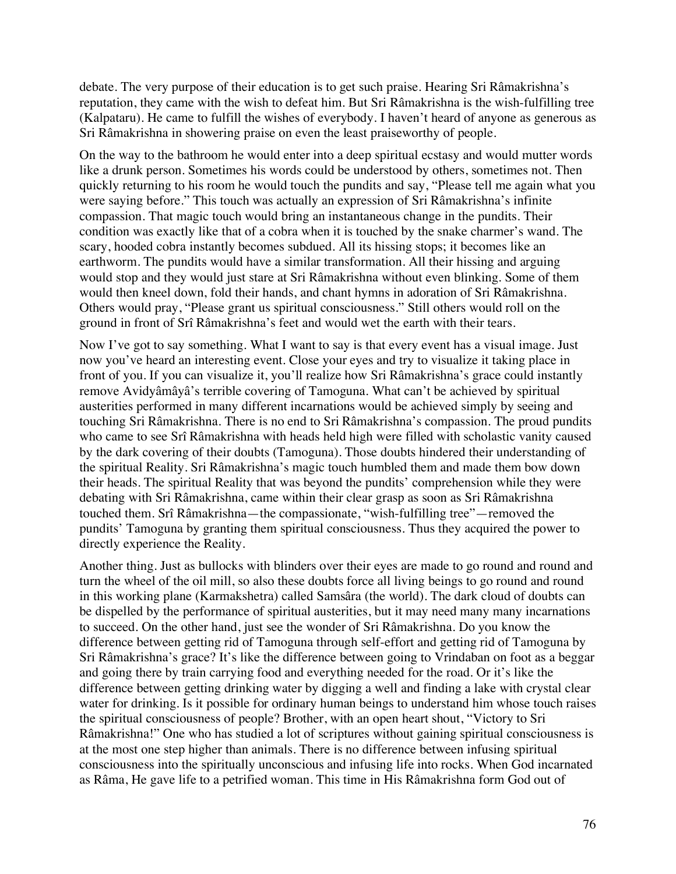debate. The very purpose of their education is to get such praise. Hearing Sri Râmakrishna's reputation, they came with the wish to defeat him. But Sri Râmakrishna is the wish-fulfilling tree (Kalpataru). He came to fulfill the wishes of everybody. I haven't heard of anyone as generous as Sri Râmakrishna in showering praise on even the least praiseworthy of people.

On the way to the bathroom he would enter into a deep spiritual ecstasy and would mutter words like a drunk person. Sometimes his words could be understood by others, sometimes not. Then quickly returning to his room he would touch the pundits and say, "Please tell me again what you were saying before." This touch was actually an expression of Sri Râmakrishna's infinite compassion. That magic touch would bring an instantaneous change in the pundits. Their condition was exactly like that of a cobra when it is touched by the snake charmer's wand. The scary, hooded cobra instantly becomes subdued. All its hissing stops; it becomes like an earthworm. The pundits would have a similar transformation. All their hissing and arguing would stop and they would just stare at Sri Râmakrishna without even blinking. Some of them would then kneel down, fold their hands, and chant hymns in adoration of Sri Râmakrishna. Others would pray, "Please grant us spiritual consciousness." Still others would roll on the ground in front of Srî Râmakrishna's feet and would wet the earth with their tears.

Now I've got to say something. What I want to say is that every event has a visual image. Just now you've heard an interesting event. Close your eyes and try to visualize it taking place in front of you. If you can visualize it, you'll realize how Sri Râmakrishna's grace could instantly remove Avidyâmâyâ's terrible covering of Tamoguna. What can't be achieved by spiritual austerities performed in many different incarnations would be achieved simply by seeing and touching Sri Râmakrishna. There is no end to Sri Râmakrishna's compassion. The proud pundits who came to see Srî Râmakrishna with heads held high were filled with scholastic vanity caused by the dark covering of their doubts (Tamoguna). Those doubts hindered their understanding of the spiritual Reality. Sri Râmakrishna's magic touch humbled them and made them bow down their heads. The spiritual Reality that was beyond the pundits' comprehension while they were debating with Sri Râmakrishna, came within their clear grasp as soon as Sri Râmakrishna touched them. Srî Râmakrishna—the compassionate, "wish-fulfilling tree"—removed the pundits' Tamoguna by granting them spiritual consciousness. Thus they acquired the power to directly experience the Reality.

Another thing. Just as bullocks with blinders over their eyes are made to go round and round and turn the wheel of the oil mill, so also these doubts force all living beings to go round and round in this working plane (Karmakshetra) called Samsâra (the world). The dark cloud of doubts can be dispelled by the performance of spiritual austerities, but it may need many many incarnations to succeed. On the other hand, just see the wonder of Sri Râmakrishna. Do you know the difference between getting rid of Tamoguna through self-effort and getting rid of Tamoguna by Sri Râmakrishna's grace? It's like the difference between going to Vrindaban on foot as a beggar and going there by train carrying food and everything needed for the road. Or it's like the difference between getting drinking water by digging a well and finding a lake with crystal clear water for drinking. Is it possible for ordinary human beings to understand him whose touch raises the spiritual consciousness of people? Brother, with an open heart shout, "Victory to Sri Râmakrishna!" One who has studied a lot of scriptures without gaining spiritual consciousness is at the most one step higher than animals. There is no difference between infusing spiritual consciousness into the spiritually unconscious and infusing life into rocks. When God incarnated as Râma, He gave life to a petrified woman. This time in His Râmakrishna form God out of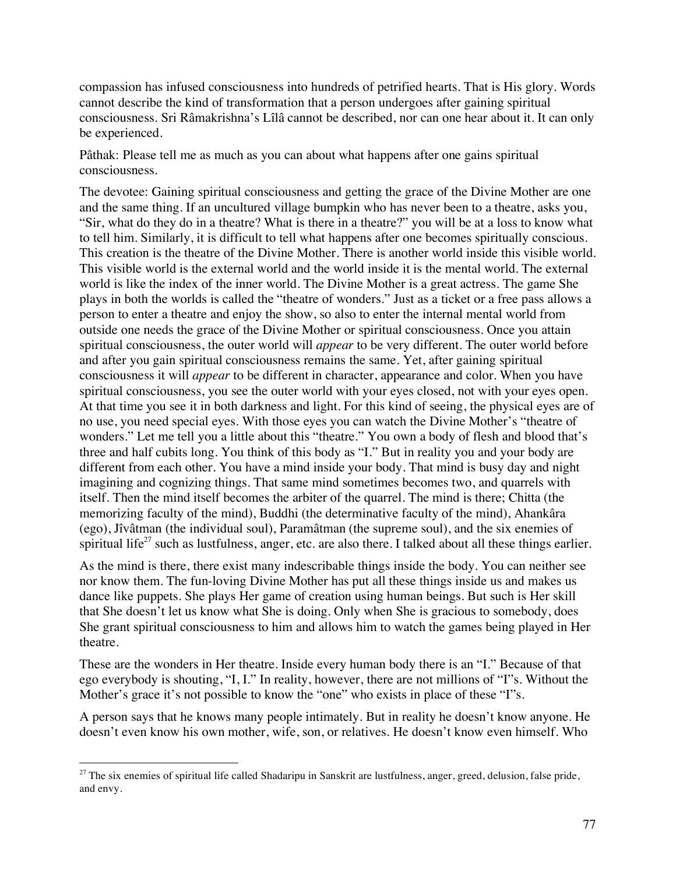compassion has infused consciousness into hundreds of petrified hearts. That is His glory. Words cannot describe the kind of transformation that a person undergoes after gaining spiritual consciousness. Sri Râmakrishna's Lîlâ cannot be described, nor can one hear about it. It can only be experienced.

Pâthak: Please tell me as much as you can about what happens after one gains spiritual consciousness.

The devotee: Gaining spiritual consciousness and getting the grace of the Divine Mother are one and the same thing. If an uncultured village bumpkin who has never been to a theatre, asks you, "Sir, what do they do in a theatre? What is there in a theatre?" you will be at a loss to know what to tell him. Similarly, it is difficult to tell what happens after one becomes spiritually conscious. This creation is the theatre of the Divine Mother. There is another world inside this visible world. This visible world is the external world and the world inside it is the mental world. The external world is like the index of the inner world. The Divine Mother is a great actress. The game She plays in both the worlds is called the "theatre of wonders." Just as a ticket or a free pass allows a person to enter a theatre and enjoy the show, so also to enter the internal mental world from outside one needs the grace of the Divine Mother or spiritual consciousness. Once you attain spiritual consciousness, the outer world will *appear* to be very different. The outer world before and after you gain spiritual consciousness remains the same. Yet, after gaining spiritual consciousness it will *appear* to be different in character, appearance and color. When you have spiritual consciousness, you see the outer world with your eyes closed, not with your eyes open. At that time you see it in both darkness and light. For this kind of seeing, the physical eyes are of no use, you need special eyes. With those eyes you can watch the Divine Mother's "theatre of wonders." Let me tell you a little about this "theatre." You own a body of flesh and blood that's three and half cubits long. You think of this body as "I." But in reality you and your body are different from each other. You have a mind inside your body. That mind is busy day and night imagining and cognizing things. That same mind sometimes becomes two, and quarrels with itself. Then the mind itself becomes the arbiter of the quarrel. The mind is there; Chitta (the memorizing faculty of the mind), Buddhi (the determinative faculty of the mind), Ahankâra (ego), Jîvâtman (the individual soul), Paramâtman (the supreme soul), and the six enemies of spiritual life<sup>27</sup> such as lustfulness, anger, etc. are also there. I talked about all these things earlier.

As the mind is there, there exist many indescribable things inside the body. You can neither see nor know them. The fun-loving Divine Mother has put all these things inside us and makes us dance like puppets. She plays Her game of creation using human beings. But such is Her skill that She doesn't let us know what She is doing. Only when She is gracious to somebody, does She grant spiritual consciousness to him and allows him to watch the games being played in Her theatre.

These are the wonders in Her theatre. Inside every human body there is an "I." Because of that ego everybody is shouting, "I, I." In reality, however, there are not millions of "I"s. Without the Mother's grace it's not possible to know the "one" who exists in place of these "I"s.

A person says that he knows many people intimately. But in reality he doesn't know anyone. He doesn't even know his own mother, wife, son, or relatives. He doesn't know even himself. Who

 $27$  The six enemies of spiritual life called Shadaripu in Sanskrit are lustfulness, anger, greed, delusion, false pride, and envy.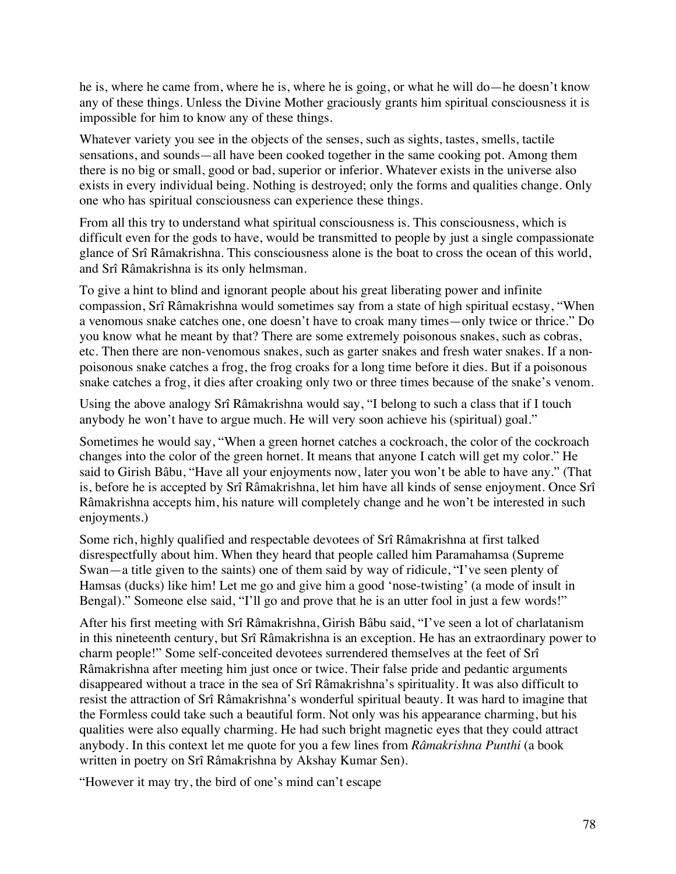he is, where he came from, where he is, where he is going, or what he will do—he doesn't know any of these things. Unless the Divine Mother graciously grants him spiritual consciousness it is impossible for him to know any of these things.

Whatever variety you see in the objects of the senses, such as sights, tastes, smells, tactile sensations, and sounds—all have been cooked together in the same cooking pot. Among them there is no big or small, good or bad, superior or inferior. Whatever exists in the universe also exists in every individual being. Nothing is destroyed; only the forms and qualities change. Only one who has spiritual consciousness can experience these things.

From all this try to understand what spiritual consciousness is. This consciousness, which is difficult even for the gods to have, would be transmitted to people by just a single compassionate glance of Srî Râmakrishna. This consciousness alone is the boat to cross the ocean of this world, and Srî Râmakrishna is its only helmsman.

To give a hint to blind and ignorant people about his great liberating power and infinite compassion, Srî Râmakrishna would sometimes say from a state of high spiritual ecstasy, "When a venomous snake catches one, one doesn't have to croak many times—only twice or thrice." Do you know what he meant by that? There are some extremely poisonous snakes, such as cobras, etc. Then there are non-venomous snakes, such as garter snakes and fresh water snakes. If a nonpoisonous snake catches a frog, the frog croaks for a long time before it dies. But if a poisonous snake catches a frog, it dies after croaking only two or three times because of the snake's venom.

Using the above analogy Srî Râmakrishna would say, "I belong to such a class that if I touch anybody he won't have to argue much. He will very soon achieve his (spiritual) goal."

Sometimes he would say, "When a green hornet catches a cockroach, the color of the cockroach changes into the color of the green hornet. It means that anyone I catch will get my color." He said to Girish Bâbu, "Have all your enjoyments now, later you won't be able to have any." (That is, before he is accepted by Srî Râmakrishna, let him have all kinds of sense enjoyment. Once Srî Râmakrishna accepts him, his nature will completely change and he won't be interested in such enjoyments.)

Some rich, highly qualified and respectable devotees of Srî Râmakrishna at first talked disrespectfully about him. When they heard that people called him Paramahamsa (Supreme Swan—a title given to the saints) one of them said by way of ridicule, "I've seen plenty of Hamsas (ducks) like him! Let me go and give him a good 'nose-twisting' (a mode of insult in Bengal)." Someone else said, "I'll go and prove that he is an utter fool in just a few words!"

After his first meeting with Srî Râmakrishna, Girish Bâbu said, "I've seen a lot of charlatanism in this nineteenth century, but Srî Râmakrishna is an exception. He has an extraordinary power to charm people!" Some self-conceited devotees surrendered themselves at the feet of Srî Râmakrishna after meeting him just once or twice. Their false pride and pedantic arguments disappeared without a trace in the sea of Srî Râmakrishna's spirituality. It was also difficult to resist the attraction of Srî Râmakrishna's wonderful spiritual beauty. It was hard to imagine that the Formless could take such a beautiful form. Not only was his appearance charming, but his qualities were also equally charming. He had such bright magnetic eyes that they could attract anybody. In this context let me quote for you a few lines from *Râmakrishna Punthi* (a book written in poetry on Srî Râmakrishna by Akshay Kumar Sen).

"However it may try, the bird of one's mind can't escape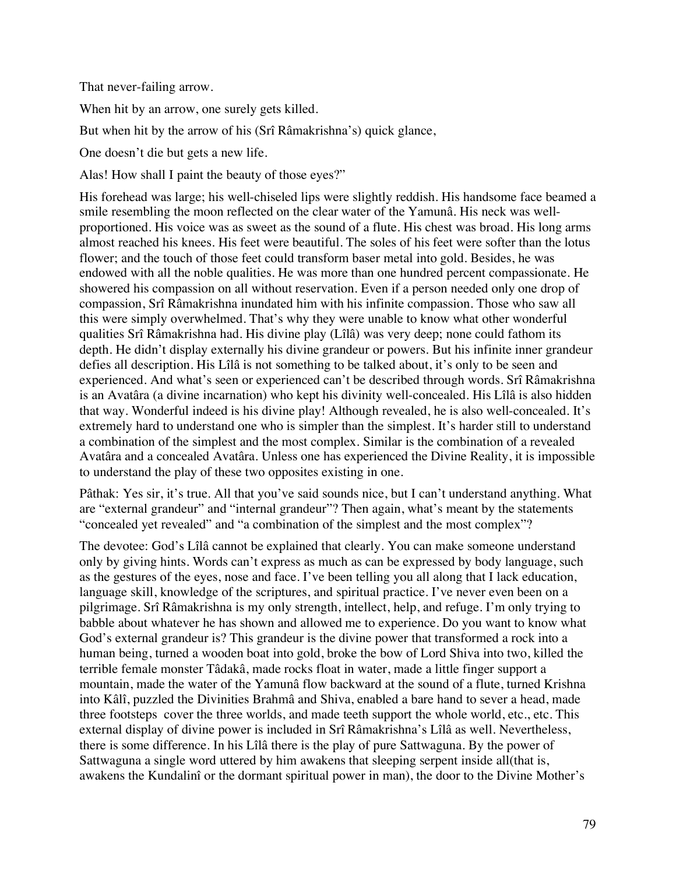That never-failing arrow.

When hit by an arrow, one surely gets killed.

But when hit by the arrow of his (Srî Râmakrishna's) quick glance,

One doesn't die but gets a new life.

Alas! How shall I paint the beauty of those eyes?"

His forehead was large; his well-chiseled lips were slightly reddish. His handsome face beamed a smile resembling the moon reflected on the clear water of the Yamunâ. His neck was wellproportioned. His voice was as sweet as the sound of a flute. His chest was broad. His long arms almost reached his knees. His feet were beautiful. The soles of his feet were softer than the lotus flower; and the touch of those feet could transform baser metal into gold. Besides, he was endowed with all the noble qualities. He was more than one hundred percent compassionate. He showered his compassion on all without reservation. Even if a person needed only one drop of compassion, Srî Râmakrishna inundated him with his infinite compassion. Those who saw all this were simply overwhelmed. That's why they were unable to know what other wonderful qualities Srî Râmakrishna had. His divine play (Lîlâ) was very deep; none could fathom its depth. He didn't display externally his divine grandeur or powers. But his infinite inner grandeur defies all description. His Lîlâ is not something to be talked about, it's only to be seen and experienced. And what's seen or experienced can't be described through words. Srî Râmakrishna is an Avatâra (a divine incarnation) who kept his divinity well-concealed. His Lîlâ is also hidden that way. Wonderful indeed is his divine play! Although revealed, he is also well-concealed. It's extremely hard to understand one who is simpler than the simplest. It's harder still to understand a combination of the simplest and the most complex. Similar is the combination of a revealed Avatâra and a concealed Avatâra. Unless one has experienced the Divine Reality, it is impossible to understand the play of these two opposites existing in one.

Pâthak: Yes sir, it's true. All that you've said sounds nice, but I can't understand anything. What are "external grandeur" and "internal grandeur"? Then again, what's meant by the statements "concealed yet revealed" and "a combination of the simplest and the most complex"?

The devotee: God's Lîlâ cannot be explained that clearly. You can make someone understand only by giving hints. Words can't express as much as can be expressed by body language, such as the gestures of the eyes, nose and face. I've been telling you all along that I lack education, language skill, knowledge of the scriptures, and spiritual practice. I've never even been on a pilgrimage. Srî Râmakrishna is my only strength, intellect, help, and refuge. I'm only trying to babble about whatever he has shown and allowed me to experience. Do you want to know what God's external grandeur is? This grandeur is the divine power that transformed a rock into a human being, turned a wooden boat into gold, broke the bow of Lord Shiva into two, killed the terrible female monster Tâdakâ, made rocks float in water, made a little finger support a mountain, made the water of the Yamunâ flow backward at the sound of a flute, turned Krishna into Kâlî, puzzled the Divinities Brahmâ and Shiva, enabled a bare hand to sever a head, made three footsteps cover the three worlds, and made teeth support the whole world, etc., etc. This external display of divine power is included in Srî Râmakrishna's Lîlâ as well. Nevertheless, there is some difference. In his Lîlâ there is the play of pure Sattwaguna. By the power of Sattwaguna a single word uttered by him awakens that sleeping serpent inside all(that is, awakens the Kundalinî or the dormant spiritual power in man), the door to the Divine Mother's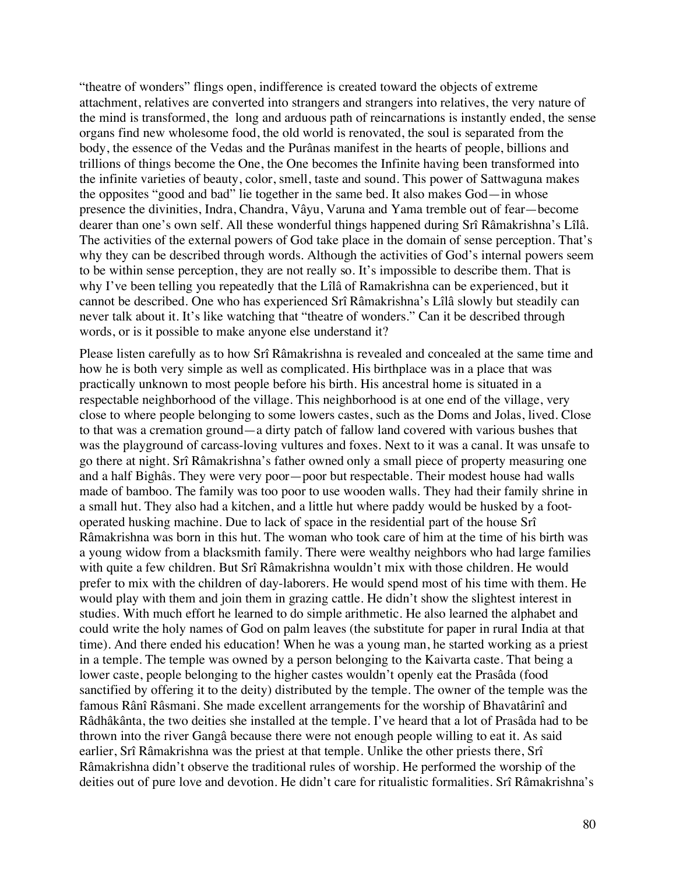"theatre of wonders" flings open, indifference is created toward the objects of extreme attachment, relatives are converted into strangers and strangers into relatives, the very nature of the mind is transformed, the long and arduous path of reincarnations is instantly ended, the sense organs find new wholesome food, the old world is renovated, the soul is separated from the body, the essence of the Vedas and the Purânas manifest in the hearts of people, billions and trillions of things become the One, the One becomes the Infinite having been transformed into the infinite varieties of beauty, color, smell, taste and sound. This power of Sattwaguna makes the opposites "good and bad" lie together in the same bed. It also makes God—in whose presence the divinities, Indra, Chandra, Vâyu, Varuna and Yama tremble out of fear—become dearer than one's own self. All these wonderful things happened during Srî Râmakrishna's Lîlâ. The activities of the external powers of God take place in the domain of sense perception. That's why they can be described through words. Although the activities of God's internal powers seem to be within sense perception, they are not really so. It's impossible to describe them. That is why I've been telling you repeatedly that the Lîlâ of Ramakrishna can be experienced, but it cannot be described. One who has experienced Srî Râmakrishna's Lîlâ slowly but steadily can never talk about it. It's like watching that "theatre of wonders." Can it be described through words, or is it possible to make anyone else understand it?

Please listen carefully as to how Srî Râmakrishna is revealed and concealed at the same time and how he is both very simple as well as complicated. His birthplace was in a place that was practically unknown to most people before his birth. His ancestral home is situated in a respectable neighborhood of the village. This neighborhood is at one end of the village, very close to where people belonging to some lowers castes, such as the Doms and Jolas, lived. Close to that was a cremation ground—a dirty patch of fallow land covered with various bushes that was the playground of carcass-loving vultures and foxes. Next to it was a canal. It was unsafe to go there at night. Srî Râmakrishna's father owned only a small piece of property measuring one and a half Bighâs. They were very poor—poor but respectable. Their modest house had walls made of bamboo. The family was too poor to use wooden walls. They had their family shrine in a small hut. They also had a kitchen, and a little hut where paddy would be husked by a footoperated husking machine. Due to lack of space in the residential part of the house Srî Râmakrishna was born in this hut. The woman who took care of him at the time of his birth was a young widow from a blacksmith family. There were wealthy neighbors who had large families with quite a few children. But Srî Râmakrishna wouldn't mix with those children. He would prefer to mix with the children of day-laborers. He would spend most of his time with them. He would play with them and join them in grazing cattle. He didn't show the slightest interest in studies. With much effort he learned to do simple arithmetic. He also learned the alphabet and could write the holy names of God on palm leaves (the substitute for paper in rural India at that time). And there ended his education! When he was a young man, he started working as a priest in a temple. The temple was owned by a person belonging to the Kaivarta caste. That being a lower caste, people belonging to the higher castes wouldn't openly eat the Prasâda (food sanctified by offering it to the deity) distributed by the temple. The owner of the temple was the famous Rânî Râsmani. She made excellent arrangements for the worship of Bhavatârinî and Râdhâkânta, the two deities she installed at the temple. I've heard that a lot of Prasâda had to be thrown into the river Gangâ because there were not enough people willing to eat it. As said earlier, Srî Râmakrishna was the priest at that temple. Unlike the other priests there, Srî Râmakrishna didn't observe the traditional rules of worship. He performed the worship of the deities out of pure love and devotion. He didn't care for ritualistic formalities. Srî Râmakrishna's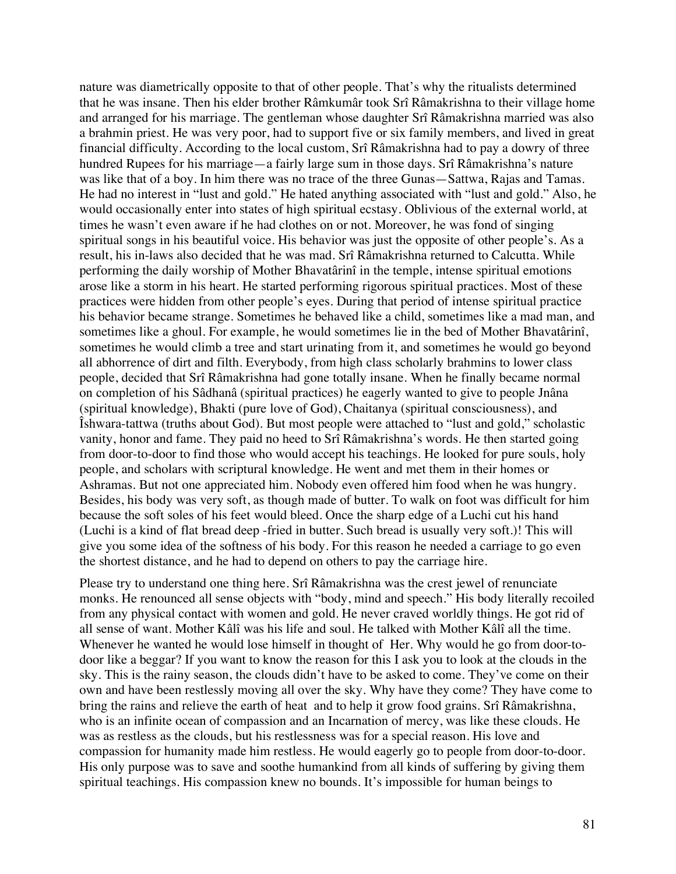nature was diametrically opposite to that of other people. That's why the ritualists determined that he was insane. Then his elder brother Râmkumâr took Srî Râmakrishna to their village home and arranged for his marriage. The gentleman whose daughter Srî Râmakrishna married was also a brahmin priest. He was very poor, had to support five or six family members, and lived in great financial difficulty. According to the local custom, Srî Râmakrishna had to pay a dowry of three hundred Rupees for his marriage—a fairly large sum in those days. Srî Râmakrishna's nature was like that of a boy. In him there was no trace of the three Gunas—Sattwa, Rajas and Tamas. He had no interest in "lust and gold." He hated anything associated with "lust and gold." Also, he would occasionally enter into states of high spiritual ecstasy. Oblivious of the external world, at times he wasn't even aware if he had clothes on or not. Moreover, he was fond of singing spiritual songs in his beautiful voice. His behavior was just the opposite of other people's. As a result, his in-laws also decided that he was mad. Srî Râmakrishna returned to Calcutta. While performing the daily worship of Mother Bhavatârinî in the temple, intense spiritual emotions arose like a storm in his heart. He started performing rigorous spiritual practices. Most of these practices were hidden from other people's eyes. During that period of intense spiritual practice his behavior became strange. Sometimes he behaved like a child, sometimes like a mad man, and sometimes like a ghoul. For example, he would sometimes lie in the bed of Mother Bhavatârinî, sometimes he would climb a tree and start urinating from it, and sometimes he would go beyond all abhorrence of dirt and filth. Everybody, from high class scholarly brahmins to lower class people, decided that Srî Râmakrishna had gone totally insane. When he finally became normal on completion of his Sâdhanâ (spiritual practices) he eagerly wanted to give to people Jnâna (spiritual knowledge), Bhakti (pure love of God), Chaitanya (spiritual consciousness), and Îshwara-tattwa (truths about God). But most people were attached to "lust and gold," scholastic vanity, honor and fame. They paid no heed to Srî Râmakrishna's words. He then started going from door-to-door to find those who would accept his teachings. He looked for pure souls, holy people, and scholars with scriptural knowledge. He went and met them in their homes or Ashramas. But not one appreciated him. Nobody even offered him food when he was hungry. Besides, his body was very soft, as though made of butter. To walk on foot was difficult for him because the soft soles of his feet would bleed. Once the sharp edge of a Luchi cut his hand (Luchi is a kind of flat bread deep -fried in butter. Such bread is usually very soft.)! This will give you some idea of the softness of his body. For this reason he needed a carriage to go even the shortest distance, and he had to depend on others to pay the carriage hire.

Please try to understand one thing here. Srî Râmakrishna was the crest jewel of renunciate monks. He renounced all sense objects with "body, mind and speech." His body literally recoiled from any physical contact with women and gold. He never craved worldly things. He got rid of all sense of want. Mother Kâlî was his life and soul. He talked with Mother Kâlî all the time. Whenever he wanted he would lose himself in thought of Her. Why would he go from door-todoor like a beggar? If you want to know the reason for this I ask you to look at the clouds in the sky. This is the rainy season, the clouds didn't have to be asked to come. They've come on their own and have been restlessly moving all over the sky. Why have they come? They have come to bring the rains and relieve the earth of heat and to help it grow food grains. Srî Râmakrishna, who is an infinite ocean of compassion and an Incarnation of mercy, was like these clouds. He was as restless as the clouds, but his restlessness was for a special reason. His love and compassion for humanity made him restless. He would eagerly go to people from door-to-door. His only purpose was to save and soothe humankind from all kinds of suffering by giving them spiritual teachings. His compassion knew no bounds. It's impossible for human beings to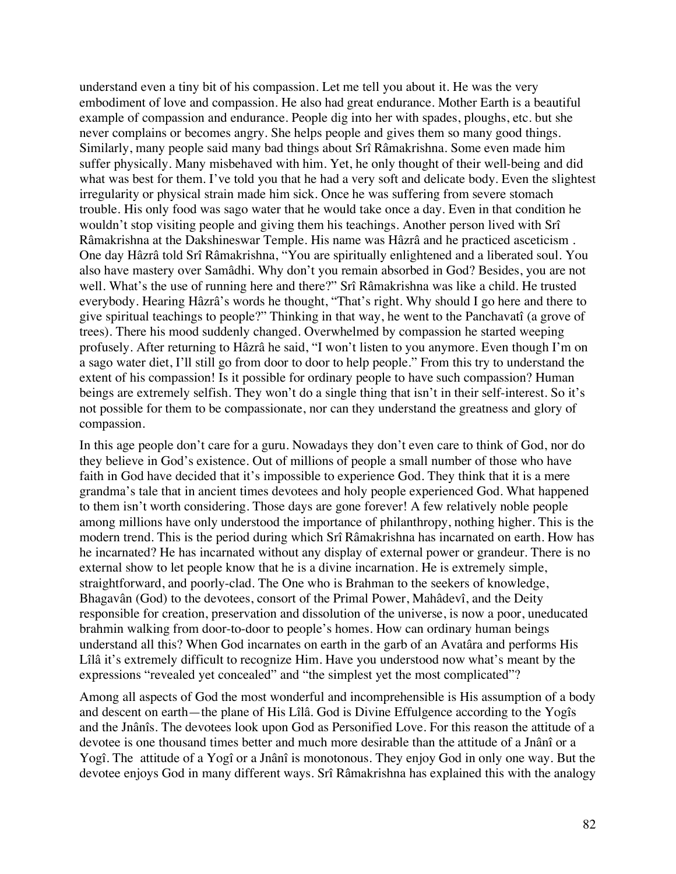understand even a tiny bit of his compassion. Let me tell you about it. He was the very embodiment of love and compassion. He also had great endurance. Mother Earth is a beautiful example of compassion and endurance. People dig into her with spades, ploughs, etc. but she never complains or becomes angry. She helps people and gives them so many good things. Similarly, many people said many bad things about Srî Râmakrishna. Some even made him suffer physically. Many misbehaved with him. Yet, he only thought of their well-being and did what was best for them. I've told you that he had a very soft and delicate body. Even the slightest irregularity or physical strain made him sick. Once he was suffering from severe stomach trouble. His only food was sago water that he would take once a day. Even in that condition he wouldn't stop visiting people and giving them his teachings. Another person lived with Srî Râmakrishna at the Dakshineswar Temple. His name was Hâzrâ and he practiced asceticism . One day Hâzrâ told Srî Râmakrishna, "You are spiritually enlightened and a liberated soul. You also have mastery over Samâdhi. Why don't you remain absorbed in God? Besides, you are not well. What's the use of running here and there?" Srî Râmakrishna was like a child. He trusted everybody. Hearing Hâzrâ's words he thought, "That's right. Why should I go here and there to give spiritual teachings to people?" Thinking in that way, he went to the Panchavatî (a grove of trees). There his mood suddenly changed. Overwhelmed by compassion he started weeping profusely. After returning to Hâzrâ he said, "I won't listen to you anymore. Even though I'm on a sago water diet, I'll still go from door to door to help people." From this try to understand the extent of his compassion! Is it possible for ordinary people to have such compassion? Human beings are extremely selfish. They won't do a single thing that isn't in their self-interest. So it's not possible for them to be compassionate, nor can they understand the greatness and glory of compassion.

In this age people don't care for a guru. Nowadays they don't even care to think of God, nor do they believe in God's existence. Out of millions of people a small number of those who have faith in God have decided that it's impossible to experience God. They think that it is a mere grandma's tale that in ancient times devotees and holy people experienced God. What happened to them isn't worth considering. Those days are gone forever! A few relatively noble people among millions have only understood the importance of philanthropy, nothing higher. This is the modern trend. This is the period during which Srî Râmakrishna has incarnated on earth. How has he incarnated? He has incarnated without any display of external power or grandeur. There is no external show to let people know that he is a divine incarnation. He is extremely simple, straightforward, and poorly-clad. The One who is Brahman to the seekers of knowledge, Bhagavân (God) to the devotees, consort of the Primal Power, Mahâdevî, and the Deity responsible for creation, preservation and dissolution of the universe, is now a poor, uneducated brahmin walking from door-to-door to people's homes. How can ordinary human beings understand all this? When God incarnates on earth in the garb of an Avatâra and performs His Lîlâ it's extremely difficult to recognize Him. Have you understood now what's meant by the expressions "revealed yet concealed" and "the simplest yet the most complicated"?

Among all aspects of God the most wonderful and incomprehensible is His assumption of a body and descent on earth—the plane of His Lîlâ. God is Divine Effulgence according to the Yogîs and the Jnânîs. The devotees look upon God as Personified Love. For this reason the attitude of a devotee is one thousand times better and much more desirable than the attitude of a Jnânî or a Yogî. The attitude of a Yogî or a Jnânî is monotonous. They enjoy God in only one way. But the devotee enjoys God in many different ways. Srî Râmakrishna has explained this with the analogy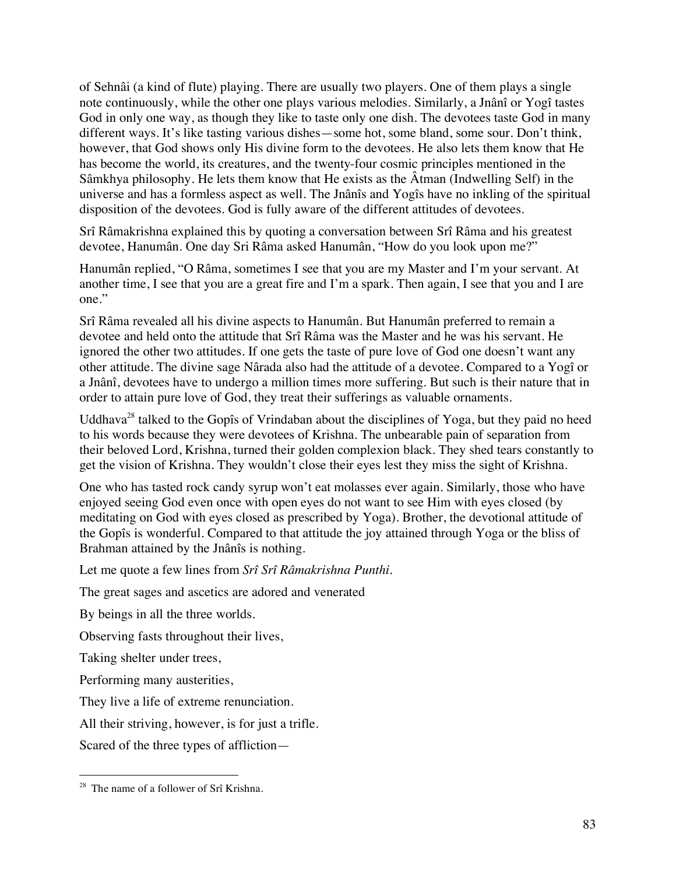of Sehnâi (a kind of flute) playing. There are usually two players. One of them plays a single note continuously, while the other one plays various melodies. Similarly, a Jnânî or Yogî tastes God in only one way, as though they like to taste only one dish. The devotees taste God in many different ways. It's like tasting various dishes—some hot, some bland, some sour. Don't think, however, that God shows only His divine form to the devotees. He also lets them know that He has become the world, its creatures, and the twenty-four cosmic principles mentioned in the Sâmkhya philosophy. He lets them know that He exists as the Âtman (Indwelling Self) in the universe and has a formless aspect as well. The Jnânîs and Yogîs have no inkling of the spiritual disposition of the devotees. God is fully aware of the different attitudes of devotees.

Srî Râmakrishna explained this by quoting a conversation between Srî Râma and his greatest devotee, Hanumân. One day Sri Râma asked Hanumân, "How do you look upon me?"

Hanumân replied, "O Râma, sometimes I see that you are my Master and I'm your servant. At another time, I see that you are a great fire and I'm a spark. Then again, I see that you and I are one."

Srî Râma revealed all his divine aspects to Hanumân. But Hanumân preferred to remain a devotee and held onto the attitude that Srî Râma was the Master and he was his servant. He ignored the other two attitudes. If one gets the taste of pure love of God one doesn't want any other attitude. The divine sage Nârada also had the attitude of a devotee. Compared to a Yogî or a Jnânî, devotees have to undergo a million times more suffering. But such is their nature that in order to attain pure love of God, they treat their sufferings as valuable ornaments.

Uddhava<sup>28</sup> talked to the Gopîs of Vrindaban about the disciplines of Yoga, but they paid no heed to his words because they were devotees of Krishna. The unbearable pain of separation from their beloved Lord, Krishna, turned their golden complexion black. They shed tears constantly to get the vision of Krishna. They wouldn't close their eyes lest they miss the sight of Krishna.

One who has tasted rock candy syrup won't eat molasses ever again. Similarly, those who have enjoyed seeing God even once with open eyes do not want to see Him with eyes closed (by meditating on God with eyes closed as prescribed by Yoga). Brother, the devotional attitude of the Gopîs is wonderful. Compared to that attitude the joy attained through Yoga or the bliss of Brahman attained by the Jnânîs is nothing.

Let me quote a few lines from *Srî Srî Râmakrishna Punthi*.

The great sages and ascetics are adored and venerated

By beings in all the three worlds.

Observing fasts throughout their lives,

Taking shelter under trees,

Performing many austerities,

They live a life of extreme renunciation.

All their striving, however, is for just a trifle.

Scared of the three types of affliction—

<sup>&</sup>lt;sup>28</sup> The name of a follower of Srî Krishna.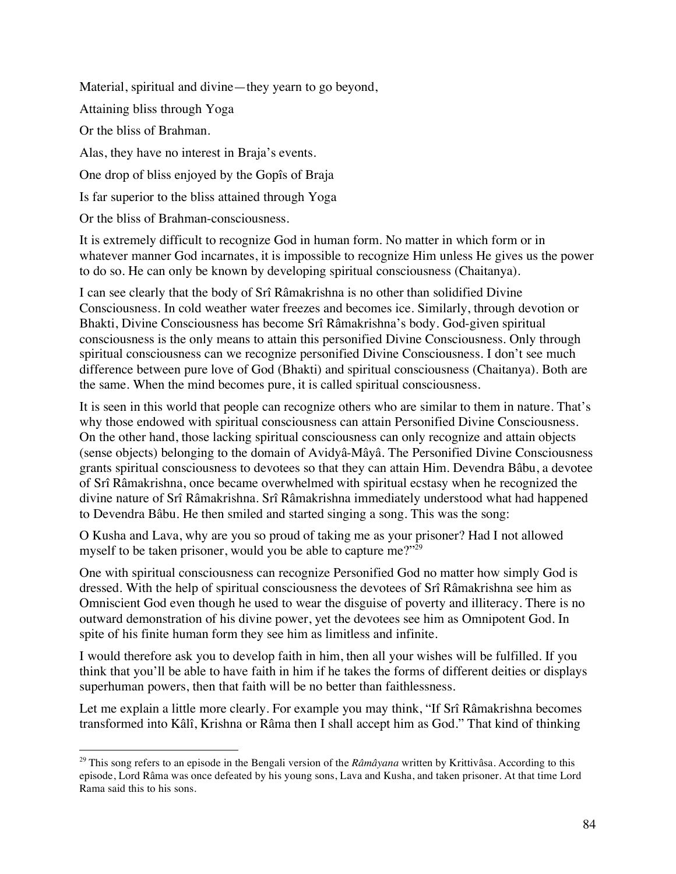Material, spiritual and divine—they yearn to go beyond, Attaining bliss through Yoga Or the bliss of Brahman. Alas, they have no interest in Braja's events. One drop of bliss enjoyed by the Gopîs of Braja Is far superior to the bliss attained through Yoga

Or the bliss of Brahman-consciousness.

It is extremely difficult to recognize God in human form. No matter in which form or in whatever manner God incarnates, it is impossible to recognize Him unless He gives us the power to do so. He can only be known by developing spiritual consciousness (Chaitanya).

I can see clearly that the body of Srî Râmakrishna is no other than solidified Divine Consciousness. In cold weather water freezes and becomes ice. Similarly, through devotion or Bhakti, Divine Consciousness has become Srî Râmakrishna's body. God-given spiritual consciousness is the only means to attain this personified Divine Consciousness. Only through spiritual consciousness can we recognize personified Divine Consciousness. I don't see much difference between pure love of God (Bhakti) and spiritual consciousness (Chaitanya). Both are the same. When the mind becomes pure, it is called spiritual consciousness.

It is seen in this world that people can recognize others who are similar to them in nature. That's why those endowed with spiritual consciousness can attain Personified Divine Consciousness. On the other hand, those lacking spiritual consciousness can only recognize and attain objects (sense objects) belonging to the domain of Avidyâ-Mâyâ. The Personified Divine Consciousness grants spiritual consciousness to devotees so that they can attain Him. Devendra Bâbu, a devotee of Srî Râmakrishna, once became overwhelmed with spiritual ecstasy when he recognized the divine nature of Srî Râmakrishna. Srî Râmakrishna immediately understood what had happened to Devendra Bâbu. He then smiled and started singing a song. This was the song:

O Kusha and Lava, why are you so proud of taking me as your prisoner? Had I not allowed myself to be taken prisoner, would you be able to capture me?"<sup>29</sup>

One with spiritual consciousness can recognize Personified God no matter how simply God is dressed. With the help of spiritual consciousness the devotees of Srî Râmakrishna see him as Omniscient God even though he used to wear the disguise of poverty and illiteracy. There is no outward demonstration of his divine power, yet the devotees see him as Omnipotent God. In spite of his finite human form they see him as limitless and infinite.

I would therefore ask you to develop faith in him, then all your wishes will be fulfilled. If you think that you'll be able to have faith in him if he takes the forms of different deities or displays superhuman powers, then that faith will be no better than faithlessness.

Let me explain a little more clearly. For example you may think, "If Srî Râmakrishna becomes transformed into Kâlî, Krishna or Râma then I shall accept him as God." That kind of thinking

 <sup>29</sup> This song refers to an episode in the Bengali version of the *Râmâyana* written by Krittivâsa. According to this episode, Lord Râma was once defeated by his young sons, Lava and Kusha, and taken prisoner. At that time Lord Rama said this to his sons.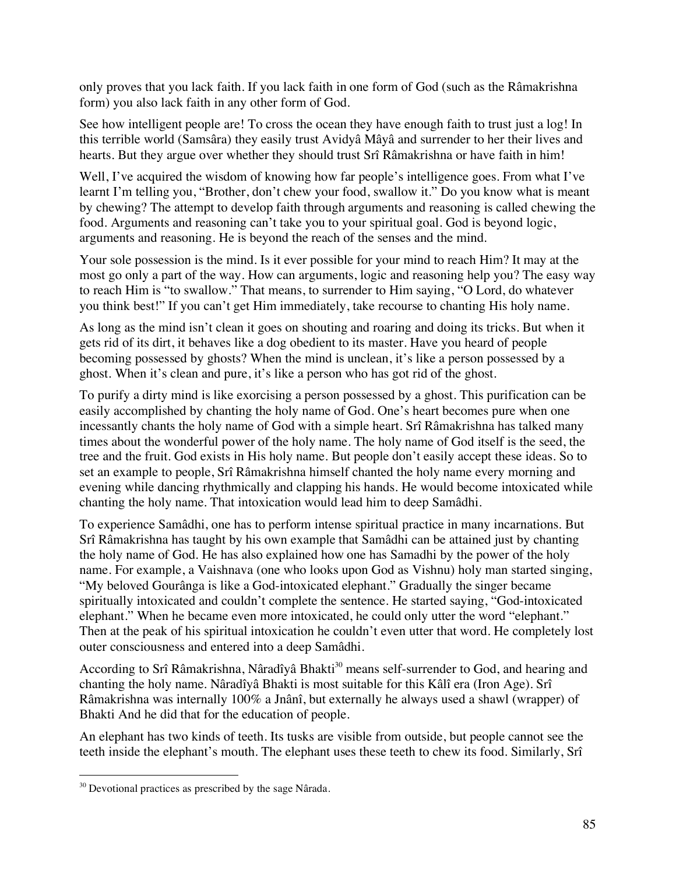only proves that you lack faith. If you lack faith in one form of God (such as the Râmakrishna form) you also lack faith in any other form of God.

See how intelligent people are! To cross the ocean they have enough faith to trust just a log! In this terrible world (Samsâra) they easily trust Avidyâ Mâyâ and surrender to her their lives and hearts. But they argue over whether they should trust Srî Râmakrishna or have faith in him!

Well, I've acquired the wisdom of knowing how far people's intelligence goes. From what I've learnt I'm telling you, "Brother, don't chew your food, swallow it." Do you know what is meant by chewing? The attempt to develop faith through arguments and reasoning is called chewing the food. Arguments and reasoning can't take you to your spiritual goal. God is beyond logic, arguments and reasoning. He is beyond the reach of the senses and the mind.

Your sole possession is the mind. Is it ever possible for your mind to reach Him? It may at the most go only a part of the way. How can arguments, logic and reasoning help you? The easy way to reach Him is "to swallow." That means, to surrender to Him saying, "O Lord, do whatever you think best!" If you can't get Him immediately, take recourse to chanting His holy name.

As long as the mind isn't clean it goes on shouting and roaring and doing its tricks. But when it gets rid of its dirt, it behaves like a dog obedient to its master. Have you heard of people becoming possessed by ghosts? When the mind is unclean, it's like a person possessed by a ghost. When it's clean and pure, it's like a person who has got rid of the ghost.

To purify a dirty mind is like exorcising a person possessed by a ghost. This purification can be easily accomplished by chanting the holy name of God. One's heart becomes pure when one incessantly chants the holy name of God with a simple heart. Srî Râmakrishna has talked many times about the wonderful power of the holy name. The holy name of God itself is the seed, the tree and the fruit. God exists in His holy name. But people don't easily accept these ideas. So to set an example to people, Srî Râmakrishna himself chanted the holy name every morning and evening while dancing rhythmically and clapping his hands. He would become intoxicated while chanting the holy name. That intoxication would lead him to deep Samâdhi.

To experience Samâdhi, one has to perform intense spiritual practice in many incarnations. But Srî Râmakrishna has taught by his own example that Samâdhi can be attained just by chanting the holy name of God. He has also explained how one has Samadhi by the power of the holy name. For example, a Vaishnava (one who looks upon God as Vishnu) holy man started singing, "My beloved Gourânga is like a God-intoxicated elephant." Gradually the singer became spiritually intoxicated and couldn't complete the sentence. He started saying, "God-intoxicated elephant." When he became even more intoxicated, he could only utter the word "elephant." Then at the peak of his spiritual intoxication he couldn't even utter that word. He completely lost outer consciousness and entered into a deep Samâdhi.

According to Srî Râmakrishna, Nâradîyâ Bhakti<sup>30</sup> means self-surrender to God, and hearing and chanting the holy name. Nâradîyâ Bhakti is most suitable for this Kâlî era (Iron Age). Srî Râmakrishna was internally 100% a Jnânî, but externally he always used a shawl (wrapper) of Bhakti And he did that for the education of people.

An elephant has two kinds of teeth. Its tusks are visible from outside, but people cannot see the teeth inside the elephant's mouth. The elephant uses these teeth to chew its food. Similarly, Srî

 $30$  Devotional practices as prescribed by the sage Nârada.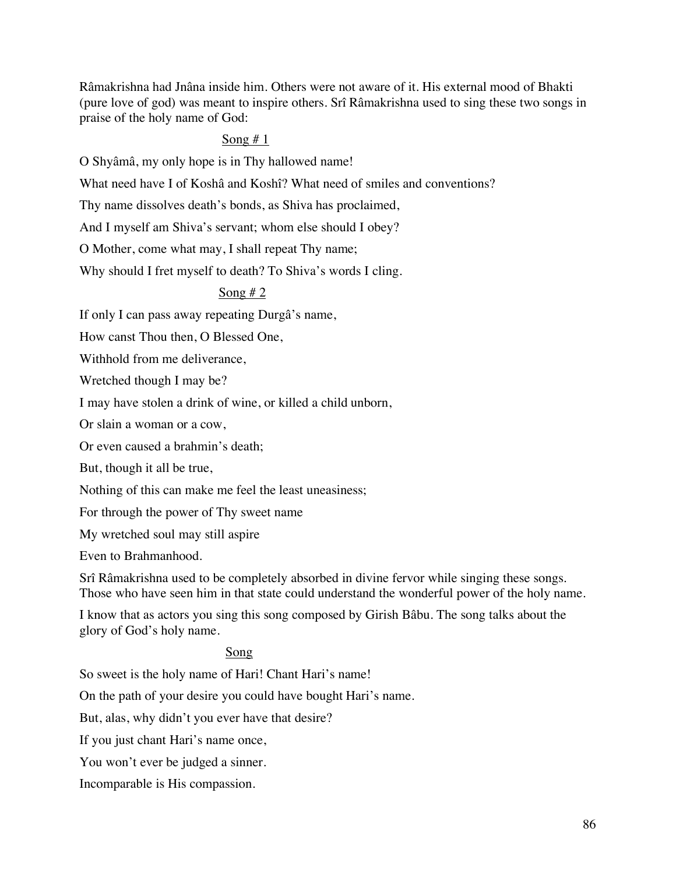Râmakrishna had Jnâna inside him. Others were not aware of it. His external mood of Bhakti (pure love of god) was meant to inspire others. Srî Râmakrishna used to sing these two songs in praise of the holy name of God:

## Song  $# 1$

O Shyâmâ, my only hope is in Thy hallowed name!

What need have I of Koshâ and Koshî? What need of smiles and conventions?

Thy name dissolves death's bonds, as Shiva has proclaimed,

And I myself am Shiva's servant; whom else should I obey?

O Mother, come what may, I shall repeat Thy name;

Why should I fret myself to death? To Shiva's words I cling.

## Song  $# 2$

If only I can pass away repeating Durgâ's name,

How canst Thou then, O Blessed One,

Withhold from me deliverance,

Wretched though I may be?

I may have stolen a drink of wine, or killed a child unborn,

Or slain a woman or a cow,

Or even caused a brahmin's death;

But, though it all be true,

Nothing of this can make me feel the least uneasiness;

For through the power of Thy sweet name

My wretched soul may still aspire

Even to Brahmanhood.

Srî Râmakrishna used to be completely absorbed in divine fervor while singing these songs. Those who have seen him in that state could understand the wonderful power of the holy name.

I know that as actors you sing this song composed by Girish Bâbu. The song talks about the glory of God's holy name.

### Song

So sweet is the holy name of Hari! Chant Hari's name!

On the path of your desire you could have bought Hari's name.

But, alas, why didn't you ever have that desire?

If you just chant Hari's name once,

You won't ever be judged a sinner.

Incomparable is His compassion.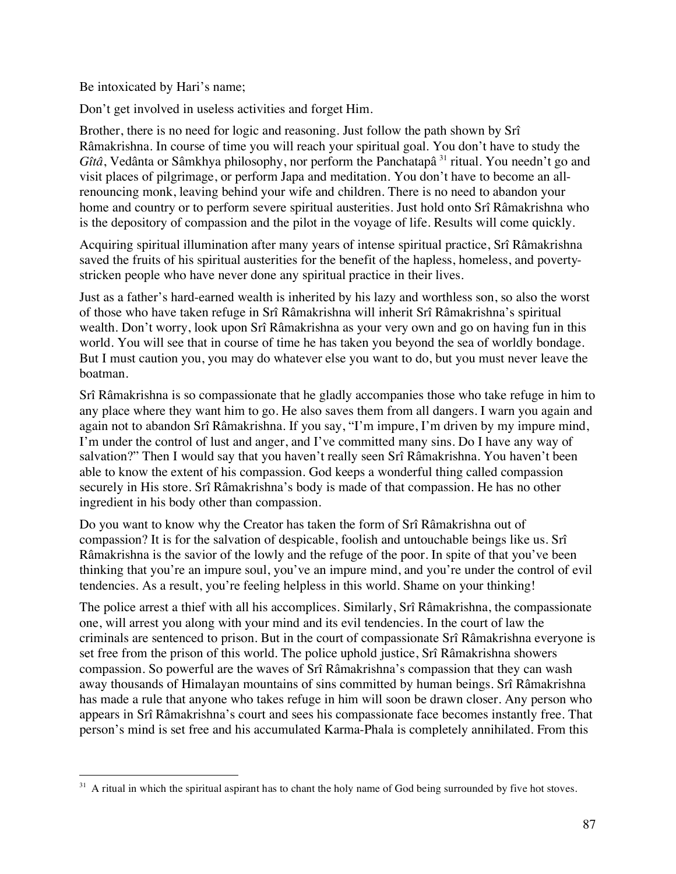Be intoxicated by Hari's name;

Don't get involved in useless activities and forget Him.

Brother, there is no need for logic and reasoning. Just follow the path shown by Srî Râmakrishna. In course of time you will reach your spiritual goal. You don't have to study the *Gîtâ*, Vedânta or Sâmkhya philosophy, nor perform the Panchatapâ<sup>31</sup> ritual. You needn't go and visit places of pilgrimage, or perform Japa and meditation. You don't have to become an allrenouncing monk, leaving behind your wife and children. There is no need to abandon your home and country or to perform severe spiritual austerities. Just hold onto Srî Râmakrishna who is the depository of compassion and the pilot in the voyage of life. Results will come quickly.

Acquiring spiritual illumination after many years of intense spiritual practice, Srî Râmakrishna saved the fruits of his spiritual austerities for the benefit of the hapless, homeless, and povertystricken people who have never done any spiritual practice in their lives.

Just as a father's hard-earned wealth is inherited by his lazy and worthless son, so also the worst of those who have taken refuge in Srî Râmakrishna will inherit Srî Râmakrishna's spiritual wealth. Don't worry, look upon Srî Râmakrishna as your very own and go on having fun in this world. You will see that in course of time he has taken you beyond the sea of worldly bondage. But I must caution you, you may do whatever else you want to do, but you must never leave the boatman.

Srî Râmakrishna is so compassionate that he gladly accompanies those who take refuge in him to any place where they want him to go. He also saves them from all dangers. I warn you again and again not to abandon Srî Râmakrishna. If you say, "I'm impure, I'm driven by my impure mind, I'm under the control of lust and anger, and I've committed many sins. Do I have any way of salvation?" Then I would say that you haven't really seen Srî Râmakrishna. You haven't been able to know the extent of his compassion. God keeps a wonderful thing called compassion securely in His store. Srî Râmakrishna's body is made of that compassion. He has no other ingredient in his body other than compassion.

Do you want to know why the Creator has taken the form of Srî Râmakrishna out of compassion? It is for the salvation of despicable, foolish and untouchable beings like us. Srî Râmakrishna is the savior of the lowly and the refuge of the poor. In spite of that you've been thinking that you're an impure soul, you've an impure mind, and you're under the control of evil tendencies. As a result, you're feeling helpless in this world. Shame on your thinking!

The police arrest a thief with all his accomplices. Similarly, Srî Râmakrishna, the compassionate one, will arrest you along with your mind and its evil tendencies. In the court of law the criminals are sentenced to prison. But in the court of compassionate Srî Râmakrishna everyone is set free from the prison of this world. The police uphold justice, Srî Râmakrishna showers compassion. So powerful are the waves of Srî Râmakrishna's compassion that they can wash away thousands of Himalayan mountains of sins committed by human beings. Srî Râmakrishna has made a rule that anyone who takes refuge in him will soon be drawn closer. Any person who appears in Srî Râmakrishna's court and sees his compassionate face becomes instantly free. That person's mind is set free and his accumulated Karma-Phala is completely annihilated. From this

<sup>&</sup>lt;sup>31</sup> A ritual in which the spiritual aspirant has to chant the holy name of God being surrounded by five hot stoves.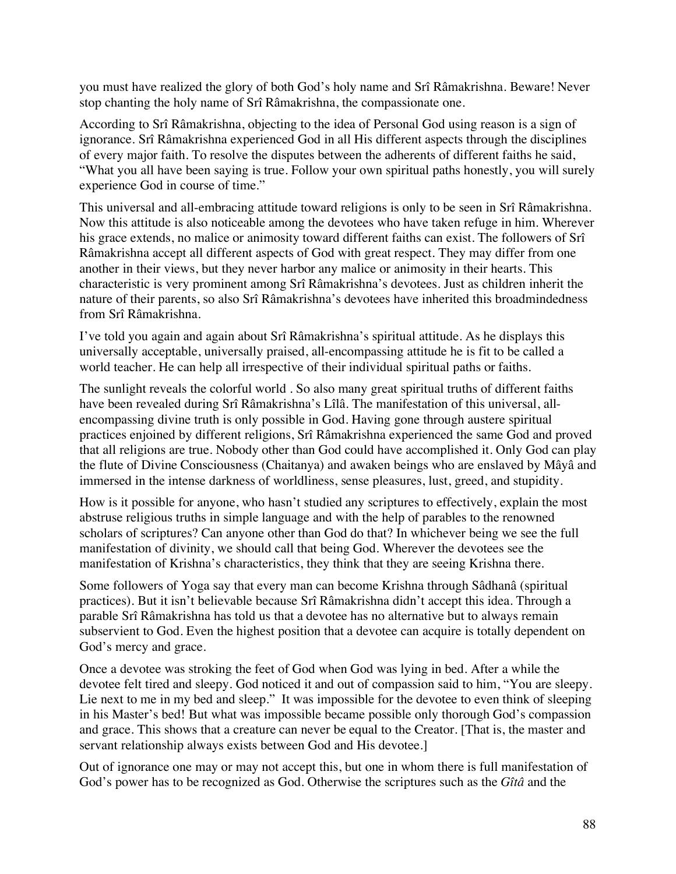you must have realized the glory of both God's holy name and Srî Râmakrishna. Beware! Never stop chanting the holy name of Srî Râmakrishna, the compassionate one.

According to Srî Râmakrishna, objecting to the idea of Personal God using reason is a sign of ignorance. Srî Râmakrishna experienced God in all His different aspects through the disciplines of every major faith. To resolve the disputes between the adherents of different faiths he said, "What you all have been saying is true. Follow your own spiritual paths honestly, you will surely experience God in course of time."

This universal and all-embracing attitude toward religions is only to be seen in Srî Râmakrishna. Now this attitude is also noticeable among the devotees who have taken refuge in him. Wherever his grace extends, no malice or animosity toward different faiths can exist. The followers of Srî Râmakrishna accept all different aspects of God with great respect. They may differ from one another in their views, but they never harbor any malice or animosity in their hearts. This characteristic is very prominent among Srî Râmakrishna's devotees. Just as children inherit the nature of their parents, so also Srî Râmakrishna's devotees have inherited this broadmindedness from Srî Râmakrishna.

I've told you again and again about Srî Râmakrishna's spiritual attitude. As he displays this universally acceptable, universally praised, all-encompassing attitude he is fit to be called a world teacher. He can help all irrespective of their individual spiritual paths or faiths.

The sunlight reveals the colorful world . So also many great spiritual truths of different faiths have been revealed during Srî Râmakrishna's Lîlâ. The manifestation of this universal, allencompassing divine truth is only possible in God. Having gone through austere spiritual practices enjoined by different religions, Srî Râmakrishna experienced the same God and proved that all religions are true. Nobody other than God could have accomplished it. Only God can play the flute of Divine Consciousness (Chaitanya) and awaken beings who are enslaved by Mâyâ and immersed in the intense darkness of worldliness, sense pleasures, lust, greed, and stupidity.

How is it possible for anyone, who hasn't studied any scriptures to effectively, explain the most abstruse religious truths in simple language and with the help of parables to the renowned scholars of scriptures? Can anyone other than God do that? In whichever being we see the full manifestation of divinity, we should call that being God. Wherever the devotees see the manifestation of Krishna's characteristics, they think that they are seeing Krishna there.

Some followers of Yoga say that every man can become Krishna through Sâdhanâ (spiritual practices). But it isn't believable because Srî Râmakrishna didn't accept this idea. Through a parable Srî Râmakrishna has told us that a devotee has no alternative but to always remain subservient to God. Even the highest position that a devotee can acquire is totally dependent on God's mercy and grace.

Once a devotee was stroking the feet of God when God was lying in bed. After a while the devotee felt tired and sleepy. God noticed it and out of compassion said to him, "You are sleepy. Lie next to me in my bed and sleep." It was impossible for the devotee to even think of sleeping in his Master's bed! But what was impossible became possible only thorough God's compassion and grace. This shows that a creature can never be equal to the Creator. [That is, the master and servant relationship always exists between God and His devotee.]

Out of ignorance one may or may not accept this, but one in whom there is full manifestation of God's power has to be recognized as God. Otherwise the scriptures such as the *Gîtâ* and the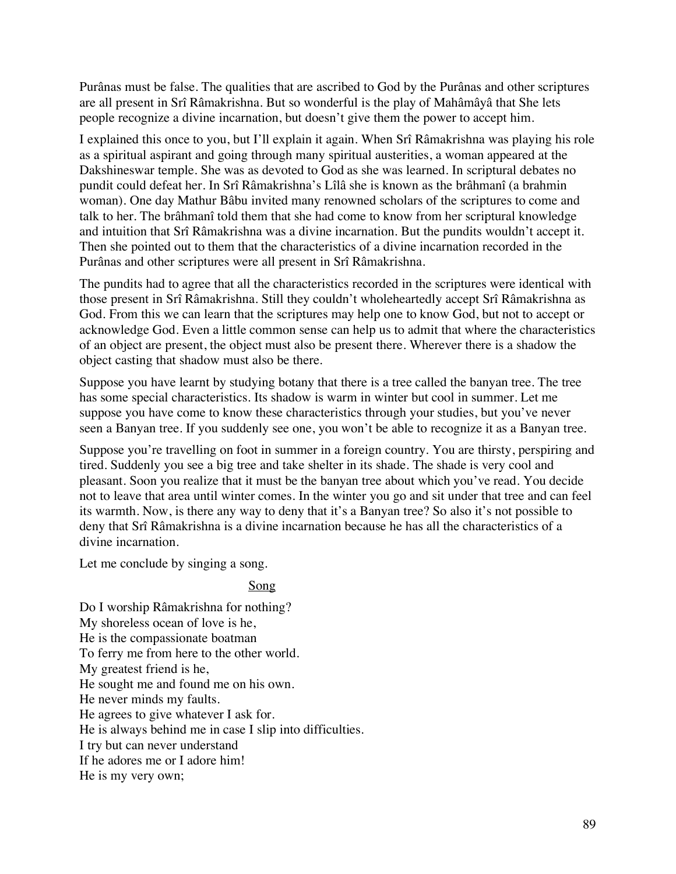Purânas must be false. The qualities that are ascribed to God by the Purânas and other scriptures are all present in Srî Râmakrishna. But so wonderful is the play of Mahâmâyâ that She lets people recognize a divine incarnation, but doesn't give them the power to accept him.

I explained this once to you, but I'll explain it again. When Srî Râmakrishna was playing his role as a spiritual aspirant and going through many spiritual austerities, a woman appeared at the Dakshineswar temple. She was as devoted to God as she was learned. In scriptural debates no pundit could defeat her. In Srî Râmakrishna's Lîlâ she is known as the brâhmanî (a brahmin woman). One day Mathur Bâbu invited many renowned scholars of the scriptures to come and talk to her. The brâhmanî told them that she had come to know from her scriptural knowledge and intuition that Srî Râmakrishna was a divine incarnation. But the pundits wouldn't accept it. Then she pointed out to them that the characteristics of a divine incarnation recorded in the Purânas and other scriptures were all present in Srî Râmakrishna.

The pundits had to agree that all the characteristics recorded in the scriptures were identical with those present in Srî Râmakrishna. Still they couldn't wholeheartedly accept Srî Râmakrishna as God. From this we can learn that the scriptures may help one to know God, but not to accept or acknowledge God. Even a little common sense can help us to admit that where the characteristics of an object are present, the object must also be present there. Wherever there is a shadow the object casting that shadow must also be there.

Suppose you have learnt by studying botany that there is a tree called the banyan tree. The tree has some special characteristics. Its shadow is warm in winter but cool in summer. Let me suppose you have come to know these characteristics through your studies, but you've never seen a Banyan tree. If you suddenly see one, you won't be able to recognize it as a Banyan tree.

Suppose you're travelling on foot in summer in a foreign country. You are thirsty, perspiring and tired. Suddenly you see a big tree and take shelter in its shade. The shade is very cool and pleasant. Soon you realize that it must be the banyan tree about which you've read. You decide not to leave that area until winter comes. In the winter you go and sit under that tree and can feel its warmth. Now, is there any way to deny that it's a Banyan tree? So also it's not possible to deny that Srî Râmakrishna is a divine incarnation because he has all the characteristics of a divine incarnation.

Let me conclude by singing a song.

# Song

Do I worship Râmakrishna for nothing? My shoreless ocean of love is he, He is the compassionate boatman To ferry me from here to the other world. My greatest friend is he, He sought me and found me on his own. He never minds my faults. He agrees to give whatever I ask for. He is always behind me in case I slip into difficulties. I try but can never understand If he adores me or I adore him! He is my very own;